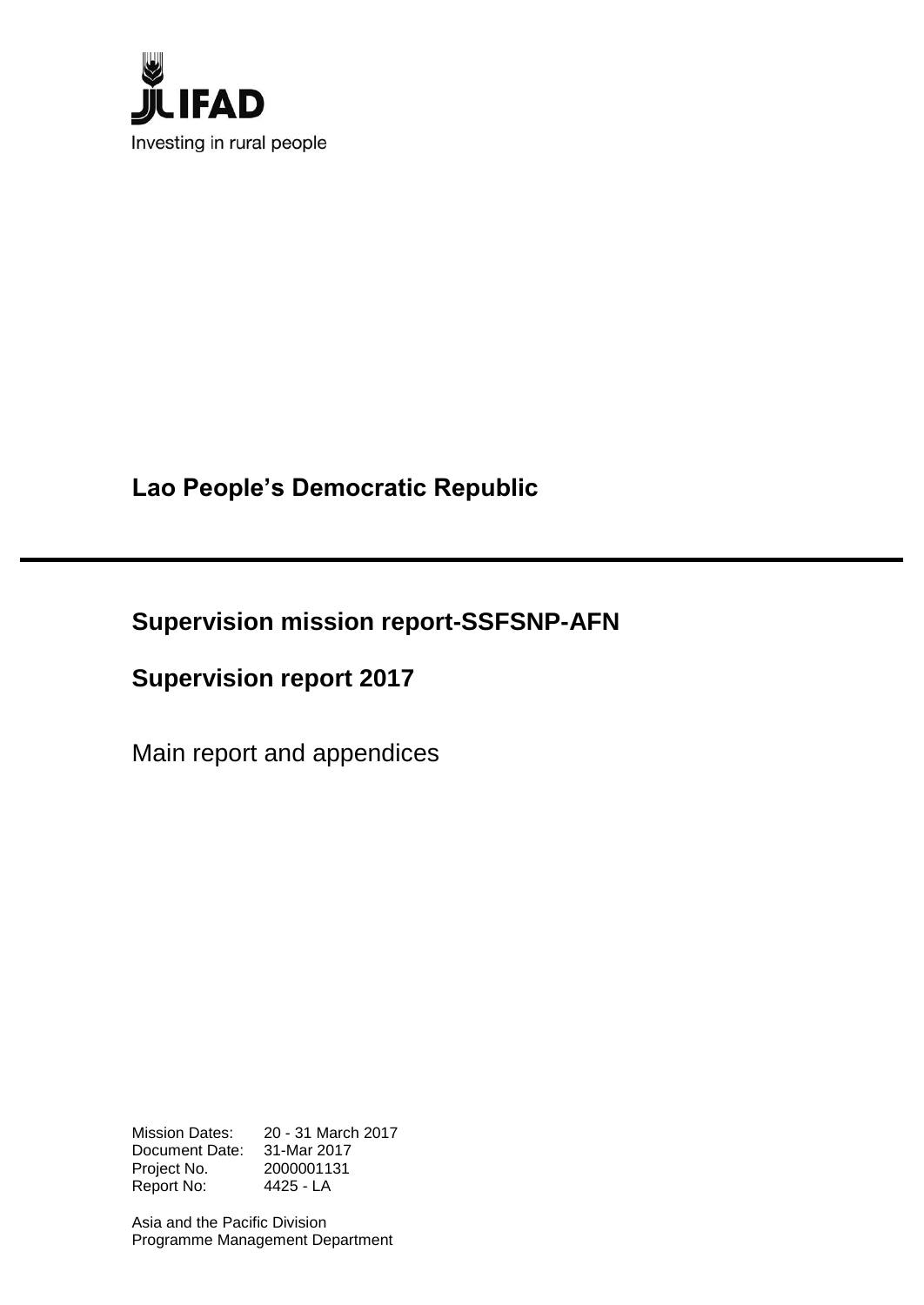

**Lao People's Democratic Republic**

**Supervision mission report-SSFSNP-AFN**

**Supervision report 2017**

Main report and appendices

Mission Dates: 20 - 31 March 2017 Document Date: 31-Mar 2017 Project No. 2000001131 Report No: 4425 - LA

Asia and the Pacific Division Programme Management Department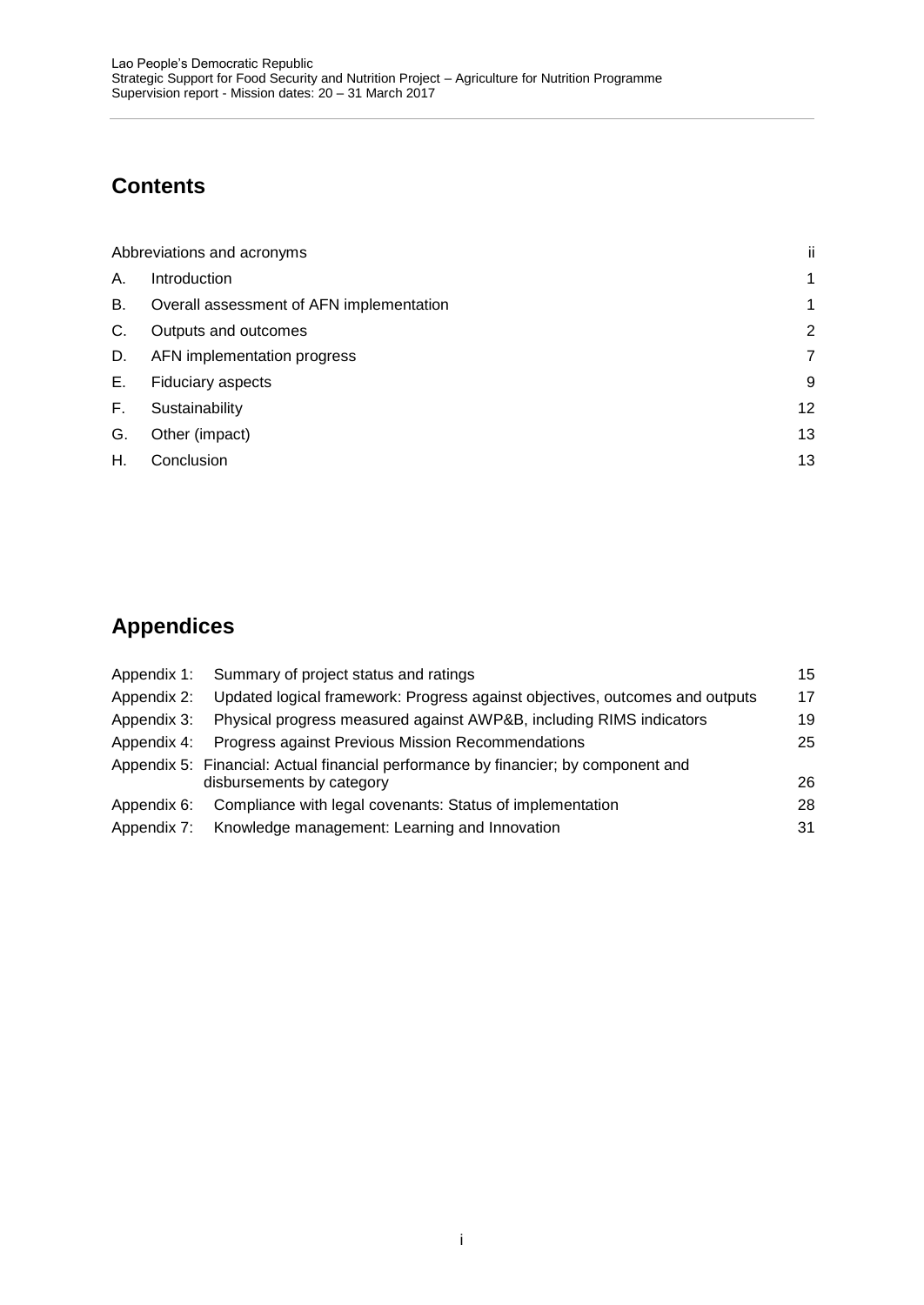# **Contents**

|    | Abbreviations and acronyms               | ii |
|----|------------------------------------------|----|
| А. | <b>Introduction</b>                      | 1  |
| В. | Overall assessment of AFN implementation | 1  |
| C. | Outputs and outcomes                     | 2  |
| D. | AFN implementation progress              | 7  |
| Е. | <b>Fiduciary aspects</b>                 | 9  |
| Е. | Sustainability                           | 12 |
| G. | Other (impact)                           | 13 |
| Η. | Conclusion                               | 13 |

# **Appendices**

| Appendix 1: | Summary of project status and ratings                                                                           | 15 |
|-------------|-----------------------------------------------------------------------------------------------------------------|----|
| Appendix 2: | Updated logical framework: Progress against objectives, outcomes and outputs                                    | 17 |
| Appendix 3: | Physical progress measured against AWP&B, including RIMS indicators                                             | 19 |
| Appendix 4: | Progress against Previous Mission Recommendations                                                               | 25 |
|             | Appendix 5: Financial: Actual financial performance by financier; by component and<br>disbursements by category | 26 |
| Appendix 6: | Compliance with legal covenants: Status of implementation                                                       | 28 |
|             | Appendix 7: Knowledge management: Learning and Innovation                                                       | 31 |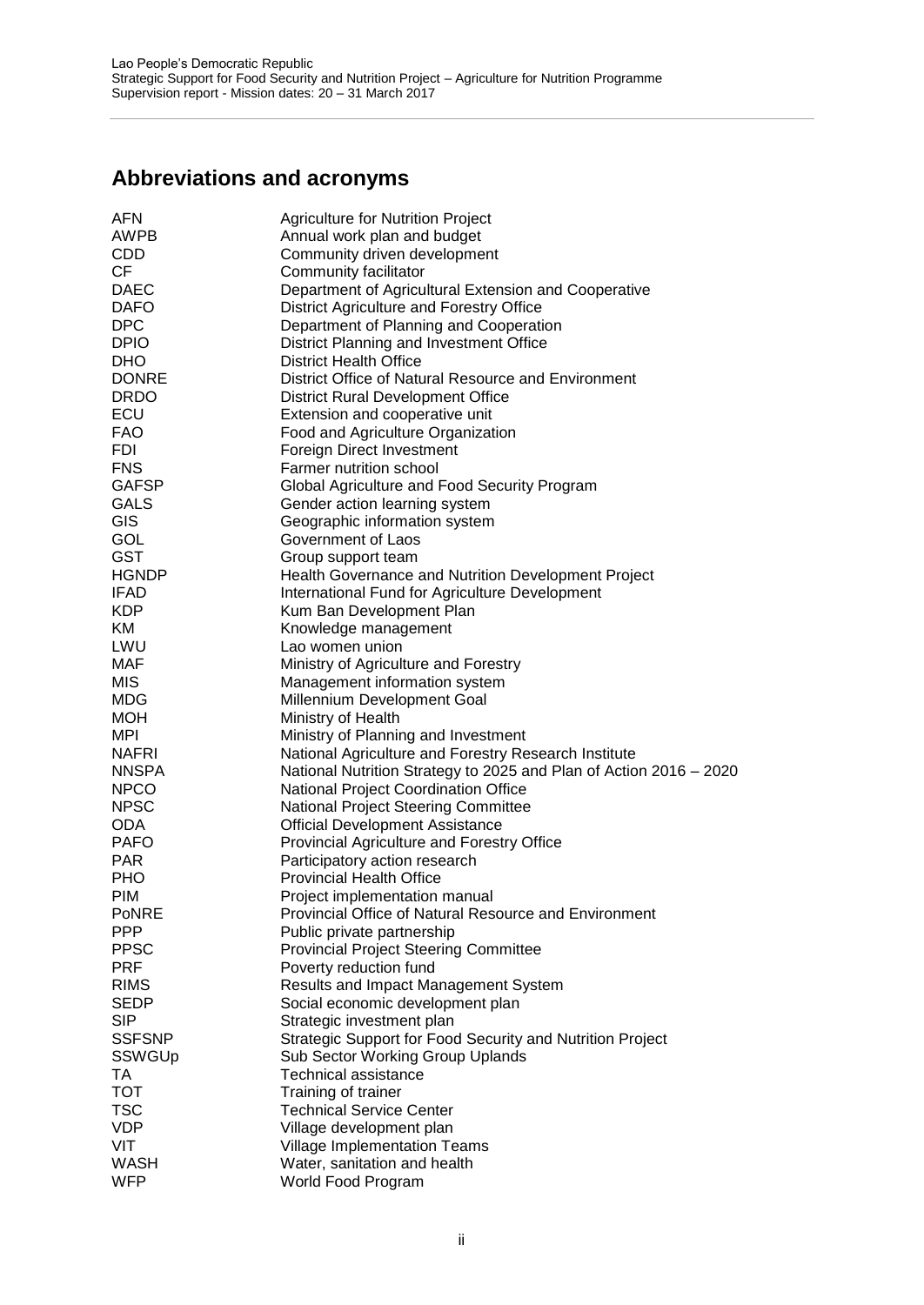# <span id="page-2-0"></span>**Abbreviations and acronyms**

| AFN           | <b>Agriculture for Nutrition Project</b>                           |
|---------------|--------------------------------------------------------------------|
| AWPB          | Annual work plan and budget                                        |
| <b>CDD</b>    | Community driven development                                       |
| CF.           | Community facilitator                                              |
| <b>DAEC</b>   | Department of Agricultural Extension and Cooperative               |
| <b>DAFO</b>   | District Agriculture and Forestry Office                           |
| <b>DPC</b>    | Department of Planning and Cooperation                             |
| <b>DPIO</b>   | District Planning and Investment Office                            |
| <b>DHO</b>    | <b>District Health Office</b>                                      |
| <b>DONRE</b>  | District Office of Natural Resource and Environment                |
| <b>DRDO</b>   | <b>District Rural Development Office</b>                           |
|               |                                                                    |
| ECU           | Extension and cooperative unit                                     |
| <b>FAO</b>    | Food and Agriculture Organization                                  |
| <b>FDI</b>    | Foreign Direct Investment                                          |
| <b>FNS</b>    | Farmer nutrition school                                            |
| <b>GAFSP</b>  | Global Agriculture and Food Security Program                       |
| GALS          | Gender action learning system                                      |
| GIS           | Geographic information system                                      |
| GOL           | Government of Laos                                                 |
| <b>GST</b>    | Group support team                                                 |
| <b>HGNDP</b>  | Health Governance and Nutrition Development Project                |
| <b>IFAD</b>   | International Fund for Agriculture Development                     |
| <b>KDP</b>    | Kum Ban Development Plan                                           |
| KM            | Knowledge management                                               |
| LWU           | Lao women union                                                    |
| <b>MAF</b>    | Ministry of Agriculture and Forestry                               |
| <b>MIS</b>    | Management information system                                      |
| <b>MDG</b>    | Millennium Development Goal                                        |
| <b>MOH</b>    | Ministry of Health                                                 |
| MPI           | Ministry of Planning and Investment                                |
| <b>NAFRI</b>  | National Agriculture and Forestry Research Institute               |
| <b>NNSPA</b>  | National Nutrition Strategy to 2025 and Plan of Action 2016 - 2020 |
| <b>NPCO</b>   | National Project Coordination Office                               |
| <b>NPSC</b>   | National Project Steering Committee                                |
| <b>ODA</b>    | <b>Official Development Assistance</b>                             |
| <b>PAFO</b>   | Provincial Agriculture and Forestry Office                         |
| <b>PAR</b>    | Participatory action research                                      |
| <b>PHO</b>    | <b>Provincial Health Office</b>                                    |
| <b>PIM</b>    | Project implementation manual                                      |
| <b>PoNRE</b>  | Provincial Office of Natural Resource and Environment              |
| <b>PPP</b>    | Public private partnership                                         |
| <b>PPSC</b>   | <b>Provincial Project Steering Committee</b>                       |
| <b>PRF</b>    | Poverty reduction fund                                             |
| <b>RIMS</b>   | Results and Impact Management System                               |
| <b>SEDP</b>   | Social economic development plan                                   |
| <b>SIP</b>    | Strategic investment plan                                          |
| <b>SSFSNP</b> | Strategic Support for Food Security and Nutrition Project          |
| SSWGUp        | Sub Sector Working Group Uplands                                   |
|               |                                                                    |
| TA            | <b>Technical assistance</b>                                        |
| <b>TOT</b>    | Training of trainer                                                |
| <b>TSC</b>    | <b>Technical Service Center</b>                                    |
| <b>VDP</b>    | Village development plan                                           |
| VIT           | Village Implementation Teams                                       |
| <b>WASH</b>   | Water, sanitation and health                                       |
| <b>WFP</b>    | World Food Program                                                 |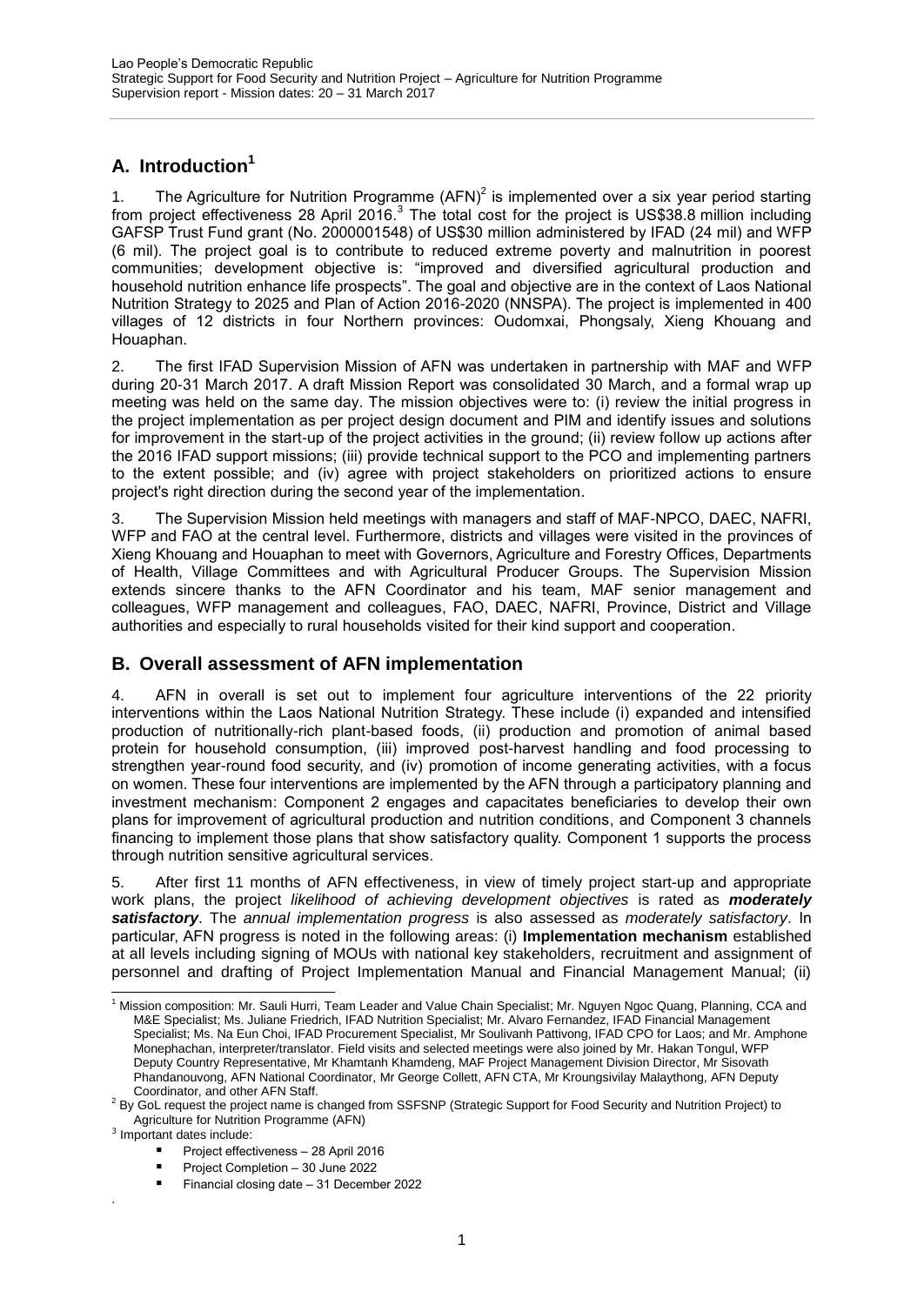# <span id="page-3-0"></span>**A. Introduction<sup>1</sup>**

1. The Agriculture for Nutrition Programme  $(AFN)^2$  is implemented over a six year period starting from project effectiveness 28 April 2016.<sup>3</sup> The total cost for the project is US\$38.8 million including GAFSP Trust Fund grant (No. 2000001548) of US\$30 million administered by IFAD (24 mil) and WFP (6 mil). The project goal is to contribute to reduced extreme poverty and malnutrition in poorest communities; development objective is: "improved and diversified agricultural production and household nutrition enhance life prospects". The goal and objective are in the context of Laos National Nutrition Strategy to 2025 and Plan of Action 2016-2020 (NNSPA). The project is implemented in 400 villages of 12 districts in four Northern provinces: Oudomxai, Phongsaly, Xieng Khouang and Houaphan.

2. The first IFAD Supervision Mission of AFN was undertaken in partnership with MAF and WFP during 20-31 March 2017. A draft Mission Report was consolidated 30 March, and a formal wrap up meeting was held on the same day. The mission objectives were to: (i) review the initial progress in the project implementation as per project design document and PIM and identify issues and solutions for improvement in the start-up of the project activities in the ground; (ii) review follow up actions after the 2016 IFAD support missions; (iii) provide technical support to the PCO and implementing partners to the extent possible; and (iv) agree with project stakeholders on prioritized actions to ensure project's right direction during the second year of the implementation.

3. The Supervision Mission held meetings with managers and staff of MAF-NPCO, DAEC, NAFRI, WFP and FAO at the central level. Furthermore, districts and villages were visited in the provinces of Xieng Khouang and Houaphan to meet with Governors, Agriculture and Forestry Offices, Departments of Health, Village Committees and with Agricultural Producer Groups. The Supervision Mission extends sincere thanks to the AFN Coordinator and his team, MAF senior management and colleagues, WFP management and colleagues, FAO, DAEC, NAFRI, Province, District and Village authorities and especially to rural households visited for their kind support and cooperation.

# <span id="page-3-1"></span>**B. Overall assessment of AFN implementation**

4. AFN in overall is set out to implement four agriculture interventions of the 22 priority interventions within the Laos National Nutrition Strategy. These include (i) expanded and intensified production of nutritionally-rich plant-based foods, (ii) production and promotion of animal based protein for household consumption, (iii) improved post-harvest handling and food processing to strengthen year-round food security, and (iv) promotion of income generating activities, with a focus on women. These four interventions are implemented by the AFN through a participatory planning and investment mechanism: Component 2 engages and capacitates beneficiaries to develop their own plans for improvement of agricultural production and nutrition conditions, and Component 3 channels financing to implement those plans that show satisfactory quality. Component 1 supports the process through nutrition sensitive agricultural services.

5. After first 11 months of AFN effectiveness, in view of timely project start-up and appropriate work plans, the project *likelihood of achieving development objectives* is rated as *moderately satisfactory*. The *annual implementation progress* is also assessed as *moderately satisfactory*. In particular, AFN progress is noted in the following areas: (i) **Implementation mechanism** established at all levels including signing of MOUs with national key stakeholders, recruitment and assignment of personnel and drafting of Project Implementation Manual and Financial Management Manual; (ii)

.

- **Project effectiveness 28 April 2016**
- Project Completion 30 June 2022

<sup>1</sup> <sup>1</sup> Mission composition: Mr. Sauli Hurri, Team Leader and Value Chain Specialist; Mr. Nguyen Ngoc Quang, Planning, CCA and M&E Specialist; Ms. Juliane Friedrich, IFAD Nutrition Specialist; Mr. Alvaro Fernandez, IFAD Financial Management Specialist; Ms. Na Eun Choi, IFAD Procurement Specialist, Mr Soulivanh Pattivong, IFAD CPO for Laos; and Mr. Amphone Monephachan, interpreter/translator. Field visits and selected meetings were also joined by Mr. Hakan Tongul, WFP Deputy Country Representative, Mr Khamtanh Khamdeng, MAF Project Management Division Director, Mr Sisovath Phandanouvong, AFN National Coordinator, Mr George Collett, AFN CTA, Mr Kroungsivilay Malaythong, AFN Deputy Coordinator, and other AFN Staff.

 $2$  By GoL request the project name is changed from SSFSNP (Strategic Support for Food Security and Nutrition Project) to Agriculture for Nutrition Programme (AFN)

<sup>&</sup>lt;sup>3</sup> Important dates include:

Financial closing date – 31 December 2022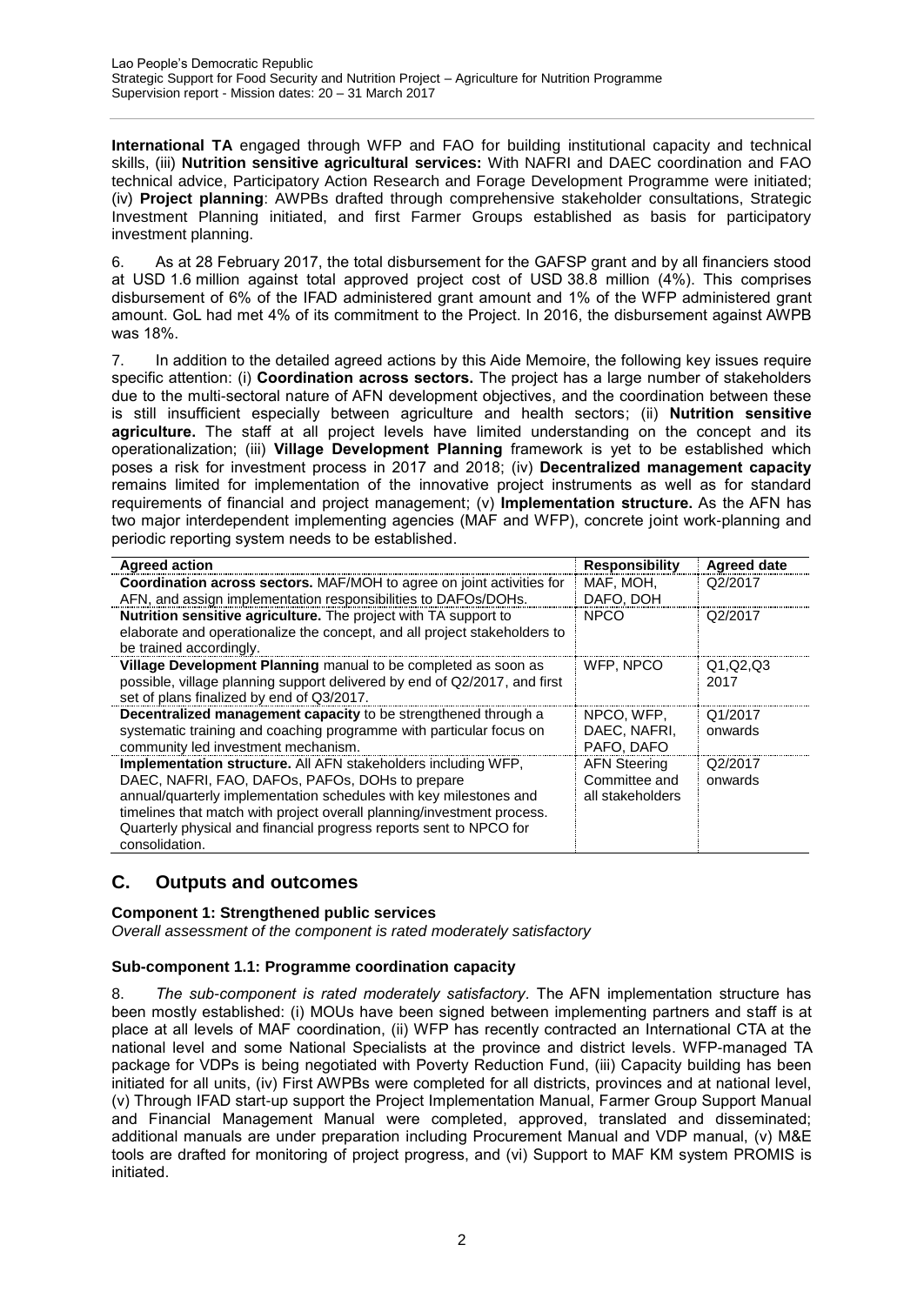**International TA** engaged through WFP and FAO for building institutional capacity and technical skills, (iii) **Nutrition sensitive agricultural services:** With NAFRI and DAEC coordination and FAO technical advice, Participatory Action Research and Forage Development Programme were initiated; (iv) **Project planning**: AWPBs drafted through comprehensive stakeholder consultations, Strategic Investment Planning initiated, and first Farmer Groups established as basis for participatory investment planning.

6. As at 28 February 2017, the total disbursement for the GAFSP grant and by all financiers stood at USD 1.6 million against total approved project cost of USD 38.8 million (4%). This comprises disbursement of 6% of the IFAD administered grant amount and 1% of the WFP administered grant amount. GoL had met 4% of its commitment to the Project. In 2016, the disbursement against AWPB was 18%.

7. In addition to the detailed agreed actions by this Aide Memoire, the following key issues require specific attention: (i) **Coordination across sectors.** The project has a large number of stakeholders due to the multi-sectoral nature of AFN development objectives, and the coordination between these is still insufficient especially between agriculture and health sectors; (ii) **Nutrition sensitive agriculture.** The staff at all project levels have limited understanding on the concept and its operationalization; (iii) **Village Development Planning** framework is yet to be established which poses a risk for investment process in 2017 and 2018; (iv) **Decentralized management capacity** remains limited for implementation of the innovative project instruments as well as for standard requirements of financial and project management; (v) **Implementation structure.** As the AFN has two major interdependent implementing agencies (MAF and WFP), concrete joint work-planning and periodic reporting system needs to be established.

| <b>Agreed action</b>                                                                                                                                                                                                                                                                                                                                    | <b>Responsibility</b>                                    | <b>Agreed date</b> |
|---------------------------------------------------------------------------------------------------------------------------------------------------------------------------------------------------------------------------------------------------------------------------------------------------------------------------------------------------------|----------------------------------------------------------|--------------------|
| <b>Coordination across sectors.</b> MAF/MOH to agree on joint activities for                                                                                                                                                                                                                                                                            | MAF, MOH,                                                | Q2/2017            |
| AFN, and assign implementation responsibilities to DAFOs/DOHs.                                                                                                                                                                                                                                                                                          | DAFO, DOH                                                |                    |
| <b>Nutrition sensitive agriculture.</b> The project with TA support to<br>elaborate and operationalize the concept, and all project stakeholders to<br>be trained accordingly.                                                                                                                                                                          | <b>NPCO</b>                                              | Q2/2017            |
| Village Development Planning manual to be completed as soon as<br>possible, village planning support delivered by end of Q2/2017, and first<br>set of plans finalized by end of Q3/2017.                                                                                                                                                                | WFP, NPCO                                                | Q1, Q2, Q3<br>2017 |
| Decentralized management capacity to be strengthened through a<br>systematic training and coaching programme with particular focus on<br>community led investment mechanism.                                                                                                                                                                            | NPCO, WFP.<br>DAEC, NAFRI.<br>PAFO, DAFO                 | Q1/2017<br>onwards |
| Implementation structure. All AFN stakeholders including WFP,<br>DAEC, NAFRI, FAO, DAFOs, PAFOs, DOHs to prepare<br>annual/quarterly implementation schedules with key milestones and<br>timelines that match with project overall planning/investment process.<br>Quarterly physical and financial progress reports sent to NPCO for<br>consolidation. | <b>AFN Steering</b><br>Committee and<br>all stakeholders | Q2/2017<br>onwards |

# <span id="page-4-0"></span>**C. Outputs and outcomes**

# **Component 1: Strengthened public services**

*Overall assessment of the component is rated moderately satisfactory*

# **Sub-component 1.1: Programme coordination capacity**

8. *The sub-component is rated moderately satisfactory.* The AFN implementation structure has been mostly established: (i) MOUs have been signed between implementing partners and staff is at place at all levels of MAF coordination, (ii) WFP has recently contracted an International CTA at the national level and some National Specialists at the province and district levels. WFP-managed TA package for VDPs is being negotiated with Poverty Reduction Fund, (iii) Capacity building has been initiated for all units, (iv) First AWPBs were completed for all districts, provinces and at national level, (v) Through IFAD start-up support the Project Implementation Manual, Farmer Group Support Manual and Financial Management Manual were completed, approved, translated and disseminated; additional manuals are under preparation including Procurement Manual and VDP manual, (v) M&E tools are drafted for monitoring of project progress, and (vi) Support to MAF KM system PROMIS is initiated.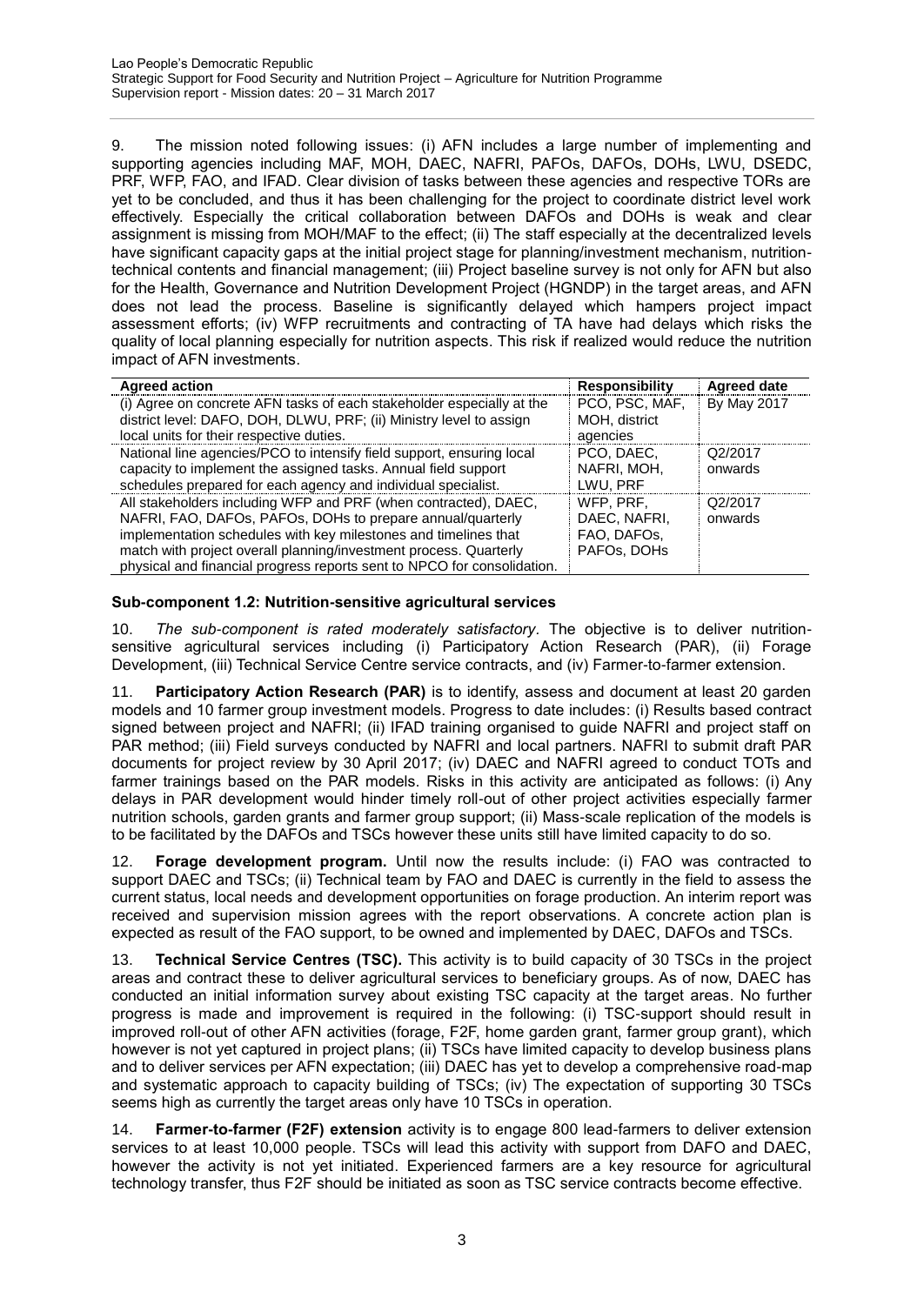9. The mission noted following issues: (i) AFN includes a large number of implementing and supporting agencies including MAF, MOH, DAEC, NAFRI, PAFOs, DAFOs, DOHs, LWU, DSEDC, PRF, WFP, FAO, and IFAD. Clear division of tasks between these agencies and respective TORs are yet to be concluded, and thus it has been challenging for the project to coordinate district level work effectively. Especially the critical collaboration between DAFOs and DOHs is weak and clear assignment is missing from MOH/MAF to the effect; (ii) The staff especially at the decentralized levels have significant capacity gaps at the initial project stage for planning/investment mechanism, nutritiontechnical contents and financial management; (iii) Project baseline survey is not only for AFN but also for the Health, Governance and Nutrition Development Project (HGNDP) in the target areas, and AFN does not lead the process. Baseline is significantly delayed which hampers project impact assessment efforts; (iv) WFP recruitments and contracting of TA have had delays which risks the quality of local planning especially for nutrition aspects. This risk if realized would reduce the nutrition impact of AFN investments.

| <b>Agreed action</b>                                                    | <b>Responsibility</b> | <b>Agreed date</b> |
|-------------------------------------------------------------------------|-----------------------|--------------------|
| (i) Agree on concrete AFN tasks of each stakeholder especially at the   | PCO, PSC, MAF,        | <b>By May 2017</b> |
| district level: DAFO, DOH, DLWU, PRF; (ii) Ministry level to assign     | MOH, district         |                    |
| local units for their respective duties.                                | agencies              |                    |
| National line agencies/PCO to intensify field support, ensuring local   | PCO. DAEC.            | Q2/2017            |
| capacity to implement the assigned tasks. Annual field support          | NAFRI. MOH.           | onwards            |
| schedules prepared for each agency and individual specialist.           | LWU, PRF              |                    |
| All stakeholders including WFP and PRF (when contracted), DAEC,         | WFP. PRF.             | Q2/2017            |
| NAFRI, FAO, DAFOs, PAFOs, DOHs to prepare annual/quarterly              | DAEC, NAFRI.          | onwards            |
| implementation schedules with key milestones and timelines that         | FAO, DAFOS,           |                    |
| match with project overall planning/investment process. Quarterly       | PAFOs. DOHS           |                    |
| physical and financial progress reports sent to NPCO for consolidation. |                       |                    |

# **Sub-component 1.2: Nutrition-sensitive agricultural services**

10. *The sub-component is rated moderately satisfactory.* The objective is to deliver nutritionsensitive agricultural services including (i) Participatory Action Research (PAR), (ii) Forage Development, (iii) Technical Service Centre service contracts, and (iv) Farmer-to-farmer extension.

**Participatory Action Research (PAR)** is to identify, assess and document at least 20 garden models and 10 farmer group investment models. Progress to date includes: (i) Results based contract signed between project and NAFRI; (ii) IFAD training organised to guide NAFRI and project staff on PAR method; (iii) Field surveys conducted by NAFRI and local partners. NAFRI to submit draft PAR documents for project review by 30 April 2017; (iv) DAEC and NAFRI agreed to conduct TOTs and farmer trainings based on the PAR models. Risks in this activity are anticipated as follows: (i) Any delays in PAR development would hinder timely roll-out of other project activities especially farmer nutrition schools, garden grants and farmer group support; (ii) Mass-scale replication of the models is to be facilitated by the DAFOs and TSCs however these units still have limited capacity to do so.

12. **Forage development program.** Until now the results include: (i) FAO was contracted to support DAEC and TSCs; (ii) Technical team by FAO and DAEC is currently in the field to assess the current status, local needs and development opportunities on forage production. An interim report was received and supervision mission agrees with the report observations. A concrete action plan is expected as result of the FAO support, to be owned and implemented by DAEC, DAFOs and TSCs.

13. **Technical Service Centres (TSC).** This activity is to build capacity of 30 TSCs in the project areas and contract these to deliver agricultural services to beneficiary groups. As of now, DAEC has conducted an initial information survey about existing TSC capacity at the target areas. No further progress is made and improvement is required in the following: (i) TSC-support should result in improved roll-out of other AFN activities (forage, F2F, home garden grant, farmer group grant), which however is not yet captured in project plans; (ii) TSCs have limited capacity to develop business plans and to deliver services per AFN expectation; (iii) DAEC has yet to develop a comprehensive road-map and systematic approach to capacity building of TSCs; (iv) The expectation of supporting 30 TSCs seems high as currently the target areas only have 10 TSCs in operation.

14. **Farmer-to-farmer (F2F) extension** activity is to engage 800 lead-farmers to deliver extension services to at least 10,000 people. TSCs will lead this activity with support from DAFO and DAEC, however the activity is not yet initiated. Experienced farmers are a key resource for agricultural technology transfer, thus F2F should be initiated as soon as TSC service contracts become effective.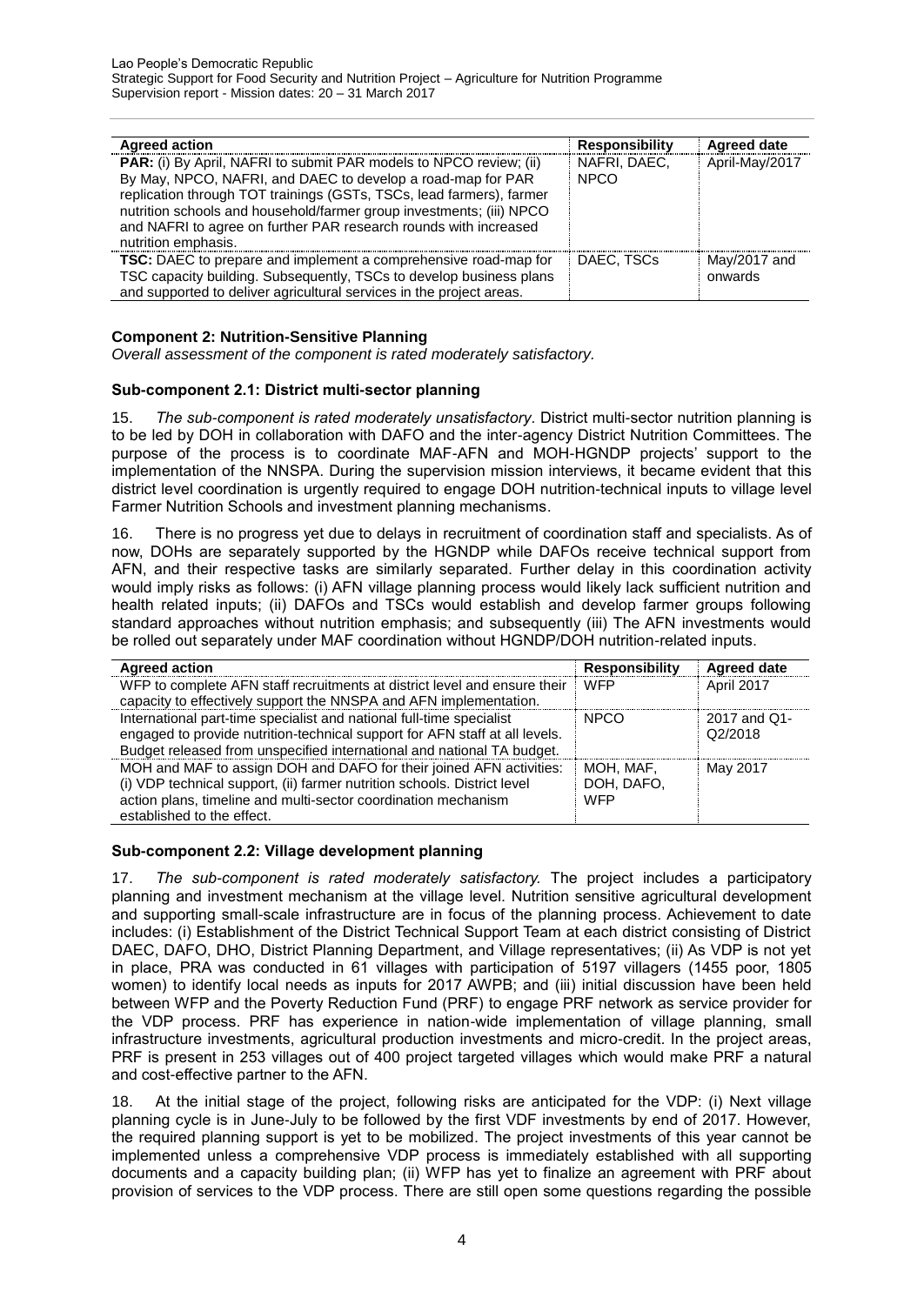| <b>Agreed action</b>                                                                                                                                                                                                                                                                                                                                                         | <b>Responsibility</b>       | <b>Agreed date</b>      |
|------------------------------------------------------------------------------------------------------------------------------------------------------------------------------------------------------------------------------------------------------------------------------------------------------------------------------------------------------------------------------|-----------------------------|-------------------------|
| PAR: (i) By April, NAFRI to submit PAR models to NPCO review; (ii)<br>By May, NPCO, NAFRI, and DAEC to develop a road-map for PAR<br>replication through TOT trainings (GSTs, TSCs, lead farmers), farmer<br>nutrition schools and household/farmer group investments; (iii) NPCO<br>and NAFRI to agree on further PAR research rounds with increased<br>nutrition emphasis. | NAFRI, DAEC,<br><b>NPCO</b> | April-May/2017          |
| <b>TSC:</b> DAEC to prepare and implement a comprehensive road-map for<br>TSC capacity building. Subsequently, TSCs to develop business plans<br>and supported to deliver agricultural services in the project areas.                                                                                                                                                        | DAEC. TSCs                  | May/2017 and<br>onwards |

# **Component 2: Nutrition-Sensitive Planning**

*Overall assessment of the component is rated moderately satisfactory.*

# **Sub-component 2.1: District multi-sector planning**

15. *The sub-component is rated moderately unsatisfactory.* District multi-sector nutrition planning is to be led by DOH in collaboration with DAFO and the inter-agency District Nutrition Committees. The purpose of the process is to coordinate MAF-AFN and MOH-HGNDP projects' support to the implementation of the NNSPA. During the supervision mission interviews, it became evident that this district level coordination is urgently required to engage DOH nutrition-technical inputs to village level Farmer Nutrition Schools and investment planning mechanisms.

16. There is no progress yet due to delays in recruitment of coordination staff and specialists. As of now, DOHs are separately supported by the HGNDP while DAFOs receive technical support from AFN, and their respective tasks are similarly separated. Further delay in this coordination activity would imply risks as follows: (i) AFN village planning process would likely lack sufficient nutrition and health related inputs; (ii) DAFOs and TSCs would establish and develop farmer groups following standard approaches without nutrition emphasis; and subsequently (iii) The AFN investments would be rolled out separately under MAF coordination without HGNDP/DOH nutrition-related inputs.

| <b>Agreed action</b>                                                        | <b>Responsibility</b> | <b>Agreed date</b> |
|-----------------------------------------------------------------------------|-----------------------|--------------------|
| WFP to complete AFN staff recruitments at district level and ensure their   | <b>WFP</b>            | April 2017         |
| capacity to effectively support the NNSPA and AFN implementation.           |                       |                    |
| International part-time specialist and national full-time specialist        | <b>NPCO</b>           | 2017 and Q1-       |
| engaged to provide nutrition-technical support for AFN staff at all levels. |                       | Q2/2018            |
| Budget released from unspecified international and national TA budget.      |                       |                    |
| MOH and MAF to assign DOH and DAFO for their joined AFN activities:         | MOH. MAF.             | May 2017           |
| (i) VDP technical support, (ii) farmer nutrition schools. District level    | DOH. DAFO.            |                    |
| action plans, timeline and multi-sector coordination mechanism              | <b>WFP</b>            |                    |
| established to the effect.                                                  |                       |                    |

# **Sub-component 2.2: Village development planning**

17. *The sub-component is rated moderately satisfactory.* The project includes a participatory planning and investment mechanism at the village level. Nutrition sensitive agricultural development and supporting small-scale infrastructure are in focus of the planning process. Achievement to date includes: (i) Establishment of the District Technical Support Team at each district consisting of District DAEC, DAFO, DHO, District Planning Department, and Village representatives; (ii) As VDP is not yet in place, PRA was conducted in 61 villages with participation of 5197 villagers (1455 poor, 1805 women) to identify local needs as inputs for 2017 AWPB; and (iii) initial discussion have been held between WFP and the Poverty Reduction Fund (PRF) to engage PRF network as service provider for the VDP process. PRF has experience in nation-wide implementation of village planning, small infrastructure investments, agricultural production investments and micro-credit. In the project areas, PRF is present in 253 villages out of 400 project targeted villages which would make PRF a natural and cost-effective partner to the AFN.

18. At the initial stage of the project, following risks are anticipated for the VDP: (i) Next village planning cycle is in June-July to be followed by the first VDF investments by end of 2017. However, the required planning support is yet to be mobilized. The project investments of this year cannot be implemented unless a comprehensive VDP process is immediately established with all supporting documents and a capacity building plan; (ii) WFP has yet to finalize an agreement with PRF about provision of services to the VDP process. There are still open some questions regarding the possible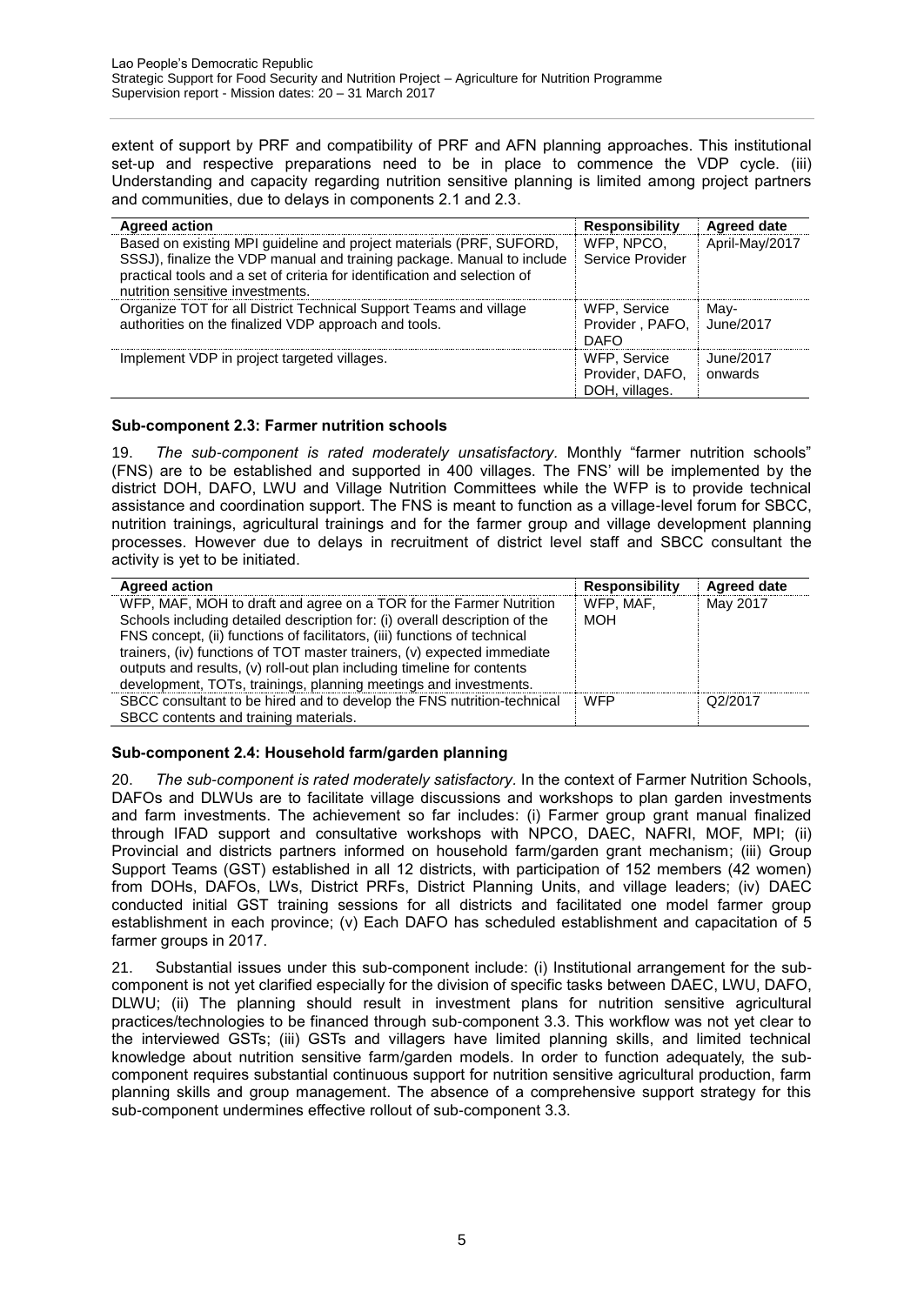extent of support by PRF and compatibility of PRF and AFN planning approaches. This institutional set-up and respective preparations need to be in place to commence the VDP cycle. (iii) Understanding and capacity regarding nutrition sensitive planning is limited among project partners and communities, due to delays in components 2.1 and 2.3.

| <b>Agreed action</b>                                                                                                                                                                                                                                           | <b>Responsibility</b>                             | <b>Agreed date</b>   |
|----------------------------------------------------------------------------------------------------------------------------------------------------------------------------------------------------------------------------------------------------------------|---------------------------------------------------|----------------------|
| Based on existing MPI guideline and project materials (PRF, SUFORD,<br>SSSJ), finalize the VDP manual and training package. Manual to include<br>practical tools and a set of criteria for identification and selection of<br>nutrition sensitive investments. | WFP. NPCO.<br>Service Provider                    | April-May/2017       |
| Organize TOT for all District Technical Support Teams and village<br>authorities on the finalized VDP approach and tools.                                                                                                                                      | WFP, Service<br>Provider, PAFO,<br><b>DAFO</b>    | May-<br>: June/2017  |
| Implement VDP in project targeted villages.                                                                                                                                                                                                                    | WFP, Service<br>Provider, DAFO,<br>DOH, villages. | June/2017<br>onwards |

# **Sub-component 2.3: Farmer nutrition schools**

19. *The sub-component is rated moderately unsatisfactory.* Monthly "farmer nutrition schools" (FNS) are to be established and supported in 400 villages. The FNS' will be implemented by the district DOH, DAFO, LWU and Village Nutrition Committees while the WFP is to provide technical assistance and coordination support. The FNS is meant to function as a village-level forum for SBCC, nutrition trainings, agricultural trainings and for the farmer group and village development planning processes. However due to delays in recruitment of district level staff and SBCC consultant the activity is yet to be initiated.

| <b>Agreed action</b>                                                       | <b>Responsibility</b> | <b>Agreed date</b> |
|----------------------------------------------------------------------------|-----------------------|--------------------|
| WFP, MAF, MOH to draft and agree on a TOR for the Farmer Nutrition         | WFP. MAF.             | May 2017           |
| Schools including detailed description for: (i) overall description of the | <b>MOH</b>            |                    |
| FNS concept, (ii) functions of facilitators, (iii) functions of technical  |                       |                    |
| trainers, (iv) functions of TOT master trainers, (v) expected immediate    |                       |                    |
| outputs and results, (v) roll-out plan including timeline for contents     |                       |                    |
| development, TOTs, trainings, planning meetings and investments.           |                       |                    |
| SBCC consultant to be hired and to develop the FNS nutrition-technical     | <b>WFP</b>            | Q2/2017            |
| SBCC contents and training materials.                                      |                       |                    |

# **Sub-component 2.4: Household farm/garden planning**

20. *The sub-component is rated moderately satisfactory.* In the context of Farmer Nutrition Schools, DAFOs and DLWUs are to facilitate village discussions and workshops to plan garden investments and farm investments. The achievement so far includes: (i) Farmer group grant manual finalized through IFAD support and consultative workshops with NPCO, DAEC, NAFRI, MOF, MPI; (ii) Provincial and districts partners informed on household farm/garden grant mechanism; (iii) Group Support Teams (GST) established in all 12 districts, with participation of 152 members (42 women) from DOHs, DAFOs, LWs, District PRFs, District Planning Units, and village leaders; (iv) DAEC conducted initial GST training sessions for all districts and facilitated one model farmer group establishment in each province; (v) Each DAFO has scheduled establishment and capacitation of 5 farmer groups in 2017.

21. Substantial issues under this sub-component include: (i) Institutional arrangement for the subcomponent is not yet clarified especially for the division of specific tasks between DAEC, LWU, DAFO, DLWU; (ii) The planning should result in investment plans for nutrition sensitive agricultural practices/technologies to be financed through sub-component 3.3. This workflow was not yet clear to the interviewed GSTs; (iii) GSTs and villagers have limited planning skills, and limited technical knowledge about nutrition sensitive farm/garden models. In order to function adequately, the subcomponent requires substantial continuous support for nutrition sensitive agricultural production, farm planning skills and group management. The absence of a comprehensive support strategy for this sub-component undermines effective rollout of sub-component 3.3.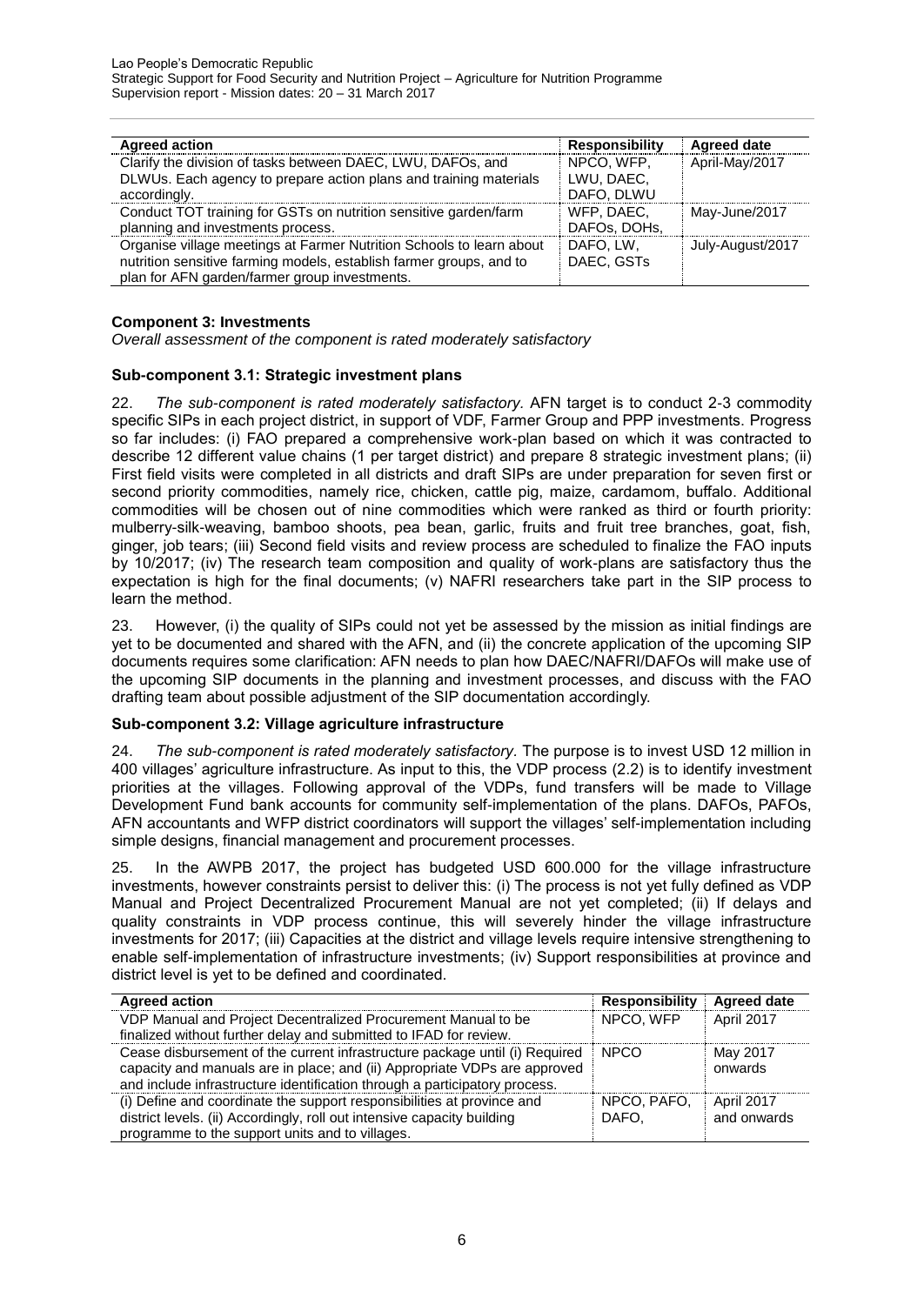| <b>Agreed action</b>                                                                                                                                                                         | <b>Responsibility</b>                  | <b>Agreed date</b> |
|----------------------------------------------------------------------------------------------------------------------------------------------------------------------------------------------|----------------------------------------|--------------------|
| Clarify the division of tasks between DAEC, LWU, DAFOs, and<br>DLWUs. Each agency to prepare action plans and training materials<br>accordingly.                                             | NPCO, WFP.<br>LWU. DAEC.<br>DAFO, DLWU | April-May/2017     |
| Conduct TOT training for GSTs on nutrition sensitive garden/farm<br>planning and investments process.                                                                                        | WFP. DAEC.<br>DAFOs, DOHs,             | May-June/2017      |
| Organise village meetings at Farmer Nutrition Schools to learn about<br>nutrition sensitive farming models, establish farmer groups, and to<br>plan for AFN garden/farmer group investments. | DAFO. LW.<br>DAEC, GSTs                | July-August/2017   |

# **Component 3: Investments**

*Overall assessment of the component is rated moderately satisfactory*

# **Sub-component 3.1: Strategic investment plans**

22. *The sub-component is rated moderately satisfactory.* AFN target is to conduct 2-3 commodity specific SIPs in each project district, in support of VDF, Farmer Group and PPP investments. Progress so far includes: (i) FAO prepared a comprehensive work-plan based on which it was contracted to describe 12 different value chains (1 per target district) and prepare 8 strategic investment plans; (ii) First field visits were completed in all districts and draft SIPs are under preparation for seven first or second priority commodities, namely rice, chicken, cattle pig, maize, cardamom, buffalo. Additional commodities will be chosen out of nine commodities which were ranked as third or fourth priority: mulberry-silk-weaving, bamboo shoots, pea bean, garlic, fruits and fruit tree branches, goat, fish, ginger, job tears; (iii) Second field visits and review process are scheduled to finalize the FAO inputs by 10/2017; (iv) The research team composition and quality of work-plans are satisfactory thus the expectation is high for the final documents; (v) NAFRI researchers take part in the SIP process to learn the method.

23. However, (i) the quality of SIPs could not yet be assessed by the mission as initial findings are yet to be documented and shared with the AFN, and (ii) the concrete application of the upcoming SIP documents requires some clarification: AFN needs to plan how DAEC/NAFRI/DAFOs will make use of the upcoming SIP documents in the planning and investment processes, and discuss with the FAO drafting team about possible adjustment of the SIP documentation accordingly.

# **Sub-component 3.2: Village agriculture infrastructure**

24. *The sub-component is rated moderately satisfactory.* The purpose is to invest USD 12 million in 400 villages' agriculture infrastructure. As input to this, the VDP process (2.2) is to identify investment priorities at the villages. Following approval of the VDPs, fund transfers will be made to Village Development Fund bank accounts for community self-implementation of the plans. DAFOs, PAFOs, AFN accountants and WFP district coordinators will support the villages' self-implementation including simple designs, financial management and procurement processes.

25. In the AWPB 2017, the project has budgeted USD 600.000 for the village infrastructure investments, however constraints persist to deliver this: (i) The process is not yet fully defined as VDP Manual and Project Decentralized Procurement Manual are not yet completed; (ii) If delays and quality constraints in VDP process continue, this will severely hinder the village infrastructure investments for 2017; (iii) Capacities at the district and village levels require intensive strengthening to enable self-implementation of infrastructure investments; (iv) Support responsibilities at province and district level is yet to be defined and coordinated.

| <b>Agreed action</b>                                                                                                                                                                                                                   | <b>Responsibility</b> | <b>Agreed date</b>        |
|----------------------------------------------------------------------------------------------------------------------------------------------------------------------------------------------------------------------------------------|-----------------------|---------------------------|
| VDP Manual and Project Decentralized Procurement Manual to be                                                                                                                                                                          | NPCO, WFP             | April 2017                |
| finalized without further delay and submitted to IFAD for review.                                                                                                                                                                      |                       |                           |
| Cease disbursement of the current infrastructure package until (i) Required<br>capacity and manuals are in place; and (ii) Appropriate VDPs are approved<br>and include infrastructure identification through a participatory process. | <b>NPCO</b>           | May 2017<br>onwards       |
| (i) Define and coordinate the support responsibilities at province and<br>district levels. (ii) Accordingly, roll out intensive capacity building<br>programme to the support units and to villages.                                   | NPCO, PAFO.<br>DAFO.  | April 2017<br>and onwards |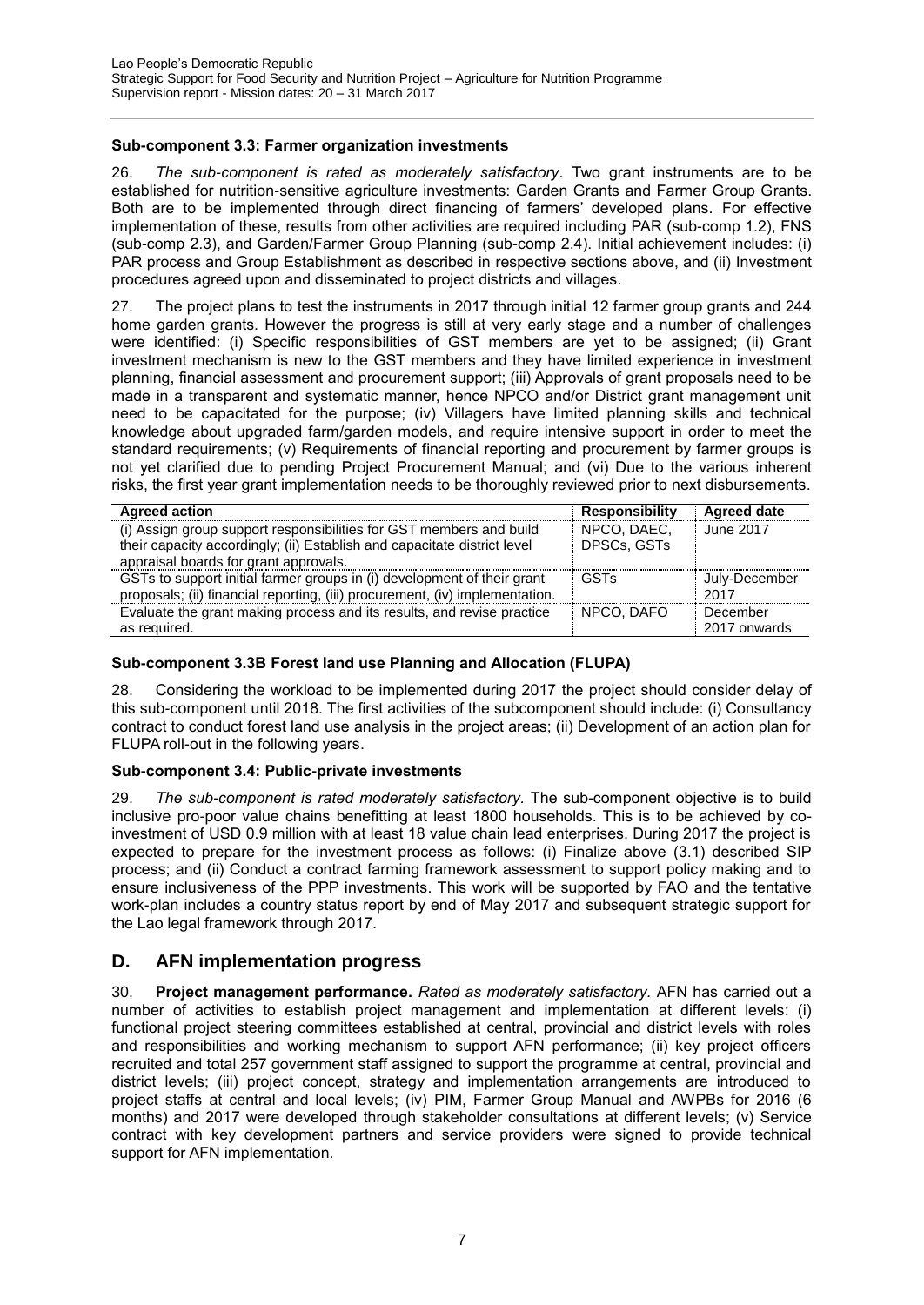# **Sub-component 3.3: Farmer organization investments**

26. *The sub-component is rated as moderately satisfactory.* Two grant instruments are to be established for nutrition-sensitive agriculture investments: Garden Grants and Farmer Group Grants. Both are to be implemented through direct financing of farmers' developed plans. For effective implementation of these, results from other activities are required including PAR (sub-comp 1.2), FNS (sub-comp 2.3), and Garden/Farmer Group Planning (sub-comp 2.4). Initial achievement includes: (i) PAR process and Group Establishment as described in respective sections above, and (ii) Investment procedures agreed upon and disseminated to project districts and villages.

27. The project plans to test the instruments in 2017 through initial 12 farmer group grants and 244 home garden grants. However the progress is still at very early stage and a number of challenges were identified: (i) Specific responsibilities of GST members are yet to be assigned; (ii) Grant investment mechanism is new to the GST members and they have limited experience in investment planning, financial assessment and procurement support; (iii) Approvals of grant proposals need to be made in a transparent and systematic manner, hence NPCO and/or District grant management unit need to be capacitated for the purpose; (iv) Villagers have limited planning skills and technical knowledge about upgraded farm/garden models, and require intensive support in order to meet the standard requirements; (v) Requirements of financial reporting and procurement by farmer groups is not yet clarified due to pending Project Procurement Manual; and (vi) Due to the various inherent risks, the first year grant implementation needs to be thoroughly reviewed prior to next disbursements.

| <b>Agreed action</b>                                                         | <b>Responsibility</b> | Agreed date   |
|------------------------------------------------------------------------------|-----------------------|---------------|
| (i) Assign group support responsibilities for GST members and build          | NPCO, DAEC.           | June 2017     |
| their capacity accordingly; (ii) Establish and capacitate district level     | DPSCs, GSTs           |               |
| appraisal boards for grant approvals.                                        |                       |               |
| GSTs to support initial farmer groups in (i) development of their grant      | <b>GSTs</b>           | July-December |
| proposals; (ii) financial reporting, (iii) procurement, (iv) implementation. |                       | 2017          |
| Evaluate the grant making process and its results, and revise practice       | NPCO, DAFO            | December      |
| as required.                                                                 |                       | 2017 onwards  |

# **Sub-component 3.3B Forest land use Planning and Allocation (FLUPA)**

28. Considering the workload to be implemented during 2017 the project should consider delay of this sub-component until 2018. The first activities of the subcomponent should include: (i) Consultancy contract to conduct forest land use analysis in the project areas; (ii) Development of an action plan for FLUPA roll-out in the following years.

# **Sub-component 3.4: Public-private investments**

29. *The sub-component is rated moderately satisfactory.* The sub-component objective is to build inclusive pro-poor value chains benefitting at least 1800 households. This is to be achieved by coinvestment of USD 0.9 million with at least 18 value chain lead enterprises. During 2017 the project is expected to prepare for the investment process as follows: (i) Finalize above (3.1) described SIP process; and (ii) Conduct a contract farming framework assessment to support policy making and to ensure inclusiveness of the PPP investments. This work will be supported by FAO and the tentative work-plan includes a country status report by end of May 2017 and subsequent strategic support for the Lao legal framework through 2017.

# <span id="page-9-0"></span>**D. AFN implementation progress**

30. **Project management performance.** *Rated as moderately satisfactory.* AFN has carried out a number of activities to establish project management and implementation at different levels: (i) functional project steering committees established at central, provincial and district levels with roles and responsibilities and working mechanism to support AFN performance; (ii) key project officers recruited and total 257 government staff assigned to support the programme at central, provincial and district levels; (iii) project concept, strategy and implementation arrangements are introduced to project staffs at central and local levels; (iv) PIM, Farmer Group Manual and AWPBs for 2016 (6 months) and 2017 were developed through stakeholder consultations at different levels; (v) Service contract with key development partners and service providers were signed to provide technical support for AFN implementation.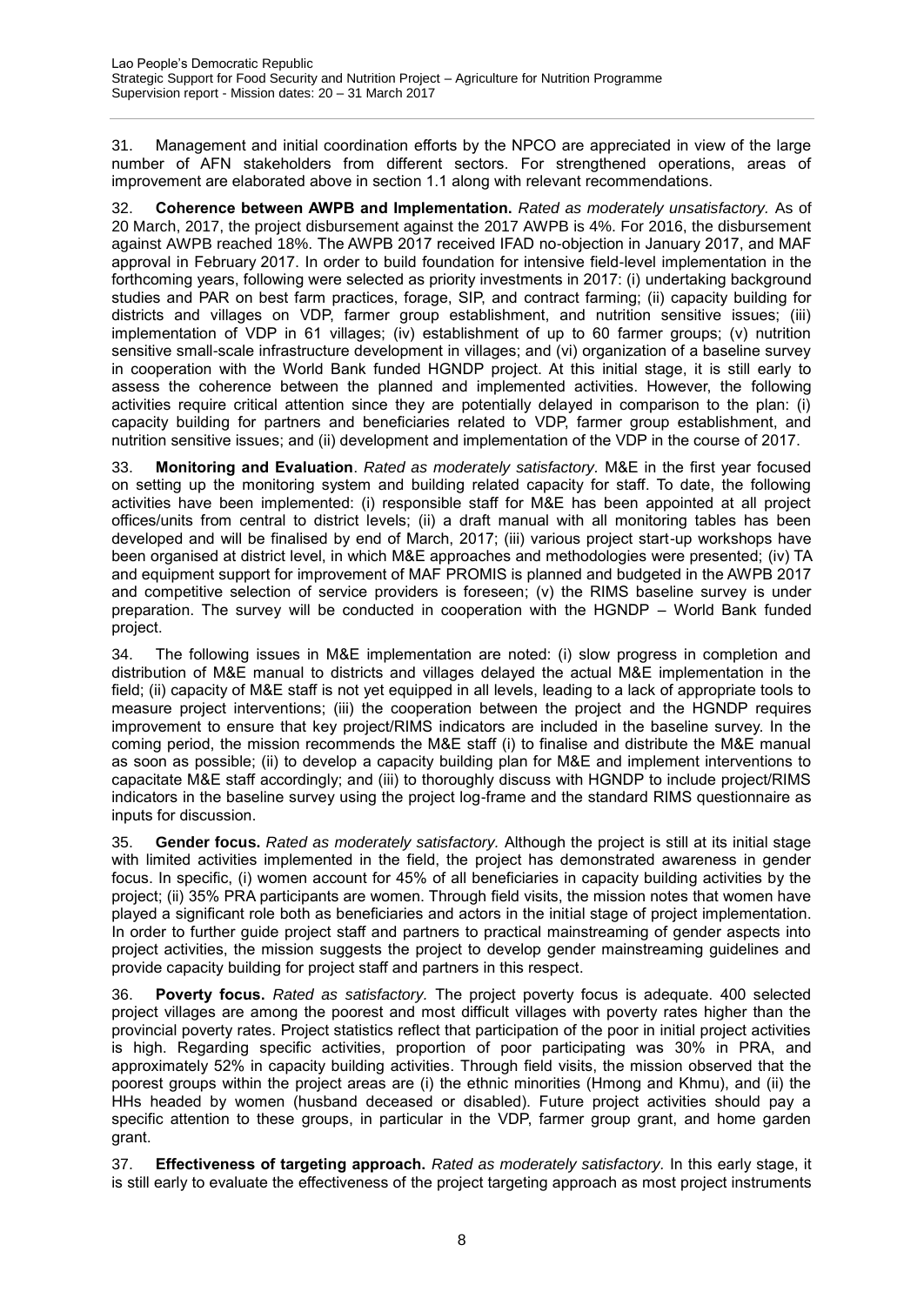31. Management and initial coordination efforts by the NPCO are appreciated in view of the large number of AFN stakeholders from different sectors. For strengthened operations, areas of improvement are elaborated above in section 1.1 along with relevant recommendations.

32. **Coherence between AWPB and Implementation.** *Rated as moderately unsatisfactory.* As of 20 March, 2017, the project disbursement against the 2017 AWPB is 4%. For 2016, the disbursement against AWPB reached 18%. The AWPB 2017 received IFAD no-objection in January 2017, and MAF approval in February 2017. In order to build foundation for intensive field-level implementation in the forthcoming years, following were selected as priority investments in 2017: (i) undertaking background studies and PAR on best farm practices, forage, SIP, and contract farming; (ii) capacity building for districts and villages on VDP, farmer group establishment, and nutrition sensitive issues; (iii) implementation of VDP in 61 villages; (iv) establishment of up to 60 farmer groups; (v) nutrition sensitive small-scale infrastructure development in villages; and (vi) organization of a baseline survey in cooperation with the World Bank funded HGNDP project. At this initial stage, it is still early to assess the coherence between the planned and implemented activities. However, the following activities require critical attention since they are potentially delayed in comparison to the plan: (i) capacity building for partners and beneficiaries related to VDP, farmer group establishment, and nutrition sensitive issues; and (ii) development and implementation of the VDP in the course of 2017.

33. **Monitoring and Evaluation**. *Rated as moderately satisfactory.* M&E in the first year focused on setting up the monitoring system and building related capacity for staff. To date, the following activities have been implemented: (i) responsible staff for M&E has been appointed at all project offices/units from central to district levels; (ii) a draft manual with all monitoring tables has been developed and will be finalised by end of March, 2017; (iii) various project start-up workshops have been organised at district level, in which M&E approaches and methodologies were presented; (iv) TA and equipment support for improvement of MAF PROMIS is planned and budgeted in the AWPB 2017 and competitive selection of service providers is foreseen; (v) the RIMS baseline survey is under preparation. The survey will be conducted in cooperation with the HGNDP – World Bank funded project.

34. The following issues in M&E implementation are noted: (i) slow progress in completion and distribution of M&E manual to districts and villages delayed the actual M&E implementation in the field; (ii) capacity of M&E staff is not yet equipped in all levels, leading to a lack of appropriate tools to measure project interventions; (iii) the cooperation between the project and the HGNDP requires improvement to ensure that key project/RIMS indicators are included in the baseline survey. In the coming period, the mission recommends the M&E staff (i) to finalise and distribute the M&E manual as soon as possible; (ii) to develop a capacity building plan for M&E and implement interventions to capacitate M&E staff accordingly; and (iii) to thoroughly discuss with HGNDP to include project/RIMS indicators in the baseline survey using the project log-frame and the standard RIMS questionnaire as inputs for discussion.

35. **Gender focus.** *Rated as moderately satisfactory.* Although the project is still at its initial stage with limited activities implemented in the field, the project has demonstrated awareness in gender focus. In specific, (i) women account for 45% of all beneficiaries in capacity building activities by the project; (ii) 35% PRA participants are women. Through field visits, the mission notes that women have played a significant role both as beneficiaries and actors in the initial stage of project implementation. In order to further guide project staff and partners to practical mainstreaming of gender aspects into project activities, the mission suggests the project to develop gender mainstreaming guidelines and provide capacity building for project staff and partners in this respect.

36. **Poverty focus.** *Rated as satisfactory.* The project poverty focus is adequate. 400 selected project villages are among the poorest and most difficult villages with poverty rates higher than the provincial poverty rates. Project statistics reflect that participation of the poor in initial project activities is high. Regarding specific activities, proportion of poor participating was 30% in PRA, and approximately 52% in capacity building activities. Through field visits, the mission observed that the poorest groups within the project areas are (i) the ethnic minorities (Hmong and Khmu), and (ii) the HHs headed by women (husband deceased or disabled). Future project activities should pay a specific attention to these groups, in particular in the VDP, farmer group grant, and home garden grant.

37. **Effectiveness of targeting approach.** *Rated as moderately satisfactory.* In this early stage, it is still early to evaluate the effectiveness of the project targeting approach as most project instruments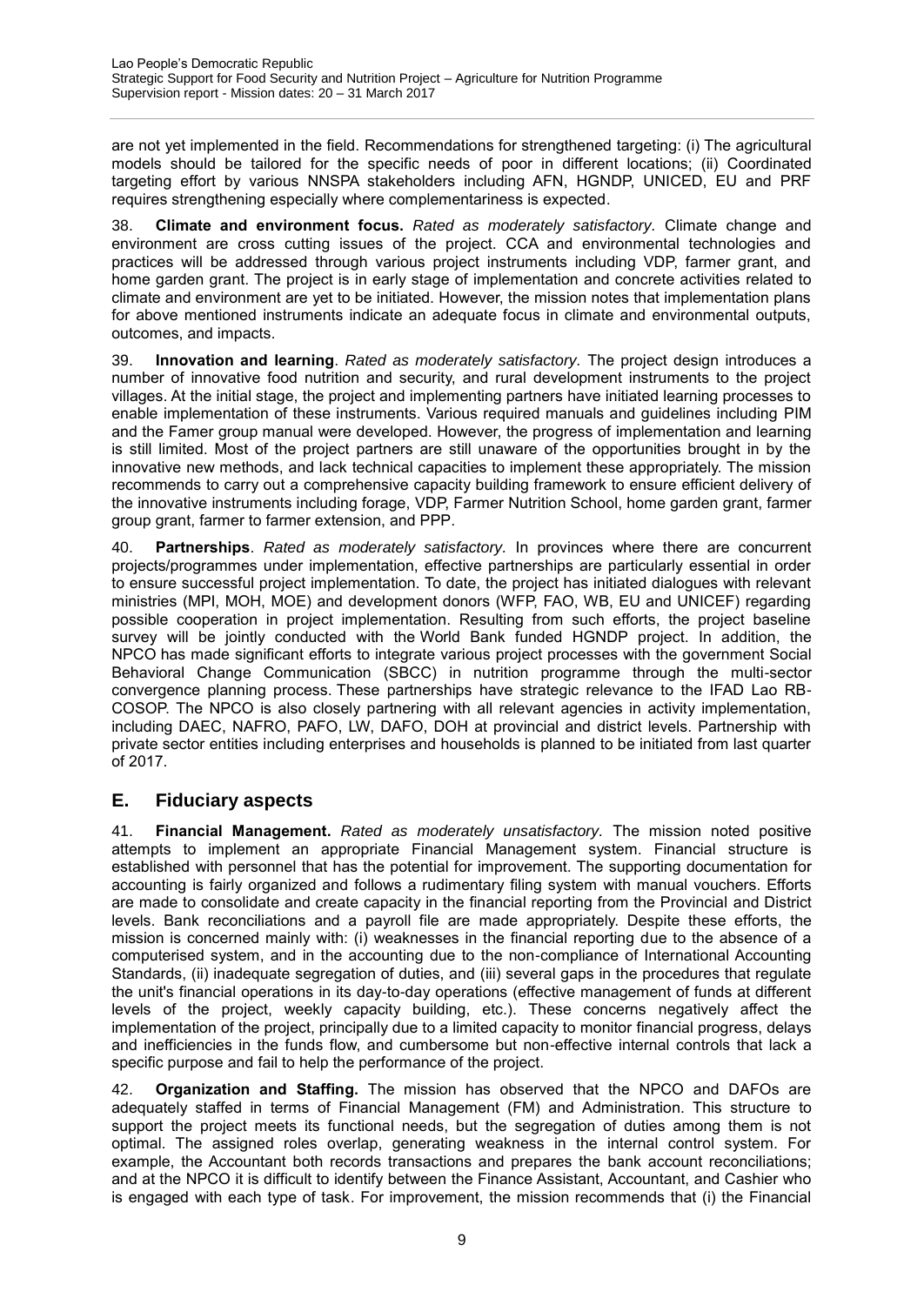are not yet implemented in the field. Recommendations for strengthened targeting: (i) The agricultural models should be tailored for the specific needs of poor in different locations; (ii) Coordinated targeting effort by various NNSPA stakeholders including AFN, HGNDP, UNICED, EU and PRF requires strengthening especially where complementariness is expected.

38. **Climate and environment focus.** *Rated as moderately satisfactory.* Climate change and environment are cross cutting issues of the project. CCA and environmental technologies and practices will be addressed through various project instruments including VDP, farmer grant, and home garden grant. The project is in early stage of implementation and concrete activities related to climate and environment are yet to be initiated. However, the mission notes that implementation plans for above mentioned instruments indicate an adequate focus in climate and environmental outputs, outcomes, and impacts.

39. **Innovation and learning**. *Rated as moderately satisfactory.* The project design introduces a number of innovative food nutrition and security, and rural development instruments to the project villages. At the initial stage, the project and implementing partners have initiated learning processes to enable implementation of these instruments. Various required manuals and guidelines including PIM and the Famer group manual were developed. However, the progress of implementation and learning is still limited. Most of the project partners are still unaware of the opportunities brought in by the innovative new methods, and lack technical capacities to implement these appropriately. The mission recommends to carry out a comprehensive capacity building framework to ensure efficient delivery of the innovative instruments including forage, VDP, Farmer Nutrition School, home garden grant, farmer group grant, farmer to farmer extension, and PPP.

40. **Partnerships**. *Rated as moderately satisfactory.* In provinces where there are concurrent projects/programmes under implementation, effective partnerships are particularly essential in order to ensure successful project implementation. To date, the project has initiated dialogues with relevant ministries (MPI, MOH, MOE) and development donors (WFP, FAO, WB, EU and UNICEF) regarding possible cooperation in project implementation. Resulting from such efforts, the project baseline survey will be jointly conducted with the World Bank funded HGNDP project. In addition, the NPCO has made significant efforts to integrate various project processes with the government Social Behavioral Change Communication (SBCC) in nutrition programme through the multi-sector convergence planning process. These partnerships have strategic relevance to the IFAD Lao RB-COSOP. The NPCO is also closely partnering with all relevant agencies in activity implementation, including DAEC, NAFRO, PAFO, LW, DAFO, DOH at provincial and district levels. Partnership with private sector entities including enterprises and households is planned to be initiated from last quarter of 2017.

# <span id="page-11-0"></span>**E. Fiduciary aspects**

41. **Financial Management.** *Rated as moderately unsatisfactory.* The mission noted positive attempts to implement an appropriate Financial Management system. Financial structure is established with personnel that has the potential for improvement. The supporting documentation for accounting is fairly organized and follows a rudimentary filing system with manual vouchers. Efforts are made to consolidate and create capacity in the financial reporting from the Provincial and District levels. Bank reconciliations and a payroll file are made appropriately. Despite these efforts, the mission is concerned mainly with: (i) weaknesses in the financial reporting due to the absence of a computerised system, and in the accounting due to the non-compliance of International Accounting Standards, (ii) inadequate segregation of duties, and (iii) several gaps in the procedures that regulate the unit's financial operations in its day-to-day operations (effective management of funds at different levels of the project, weekly capacity building, etc.). These concerns negatively affect the implementation of the project, principally due to a limited capacity to monitor financial progress, delays and inefficiencies in the funds flow, and cumbersome but non-effective internal controls that lack a specific purpose and fail to help the performance of the project.

42. **Organization and Staffing.** The mission has observed that the NPCO and DAFOs are adequately staffed in terms of Financial Management (FM) and Administration. This structure to support the project meets its functional needs, but the segregation of duties among them is not optimal. The assigned roles overlap, generating weakness in the internal control system. For example, the Accountant both records transactions and prepares the bank account reconciliations; and at the NPCO it is difficult to identify between the Finance Assistant, Accountant, and Cashier who is engaged with each type of task. For improvement, the mission recommends that (i) the Financial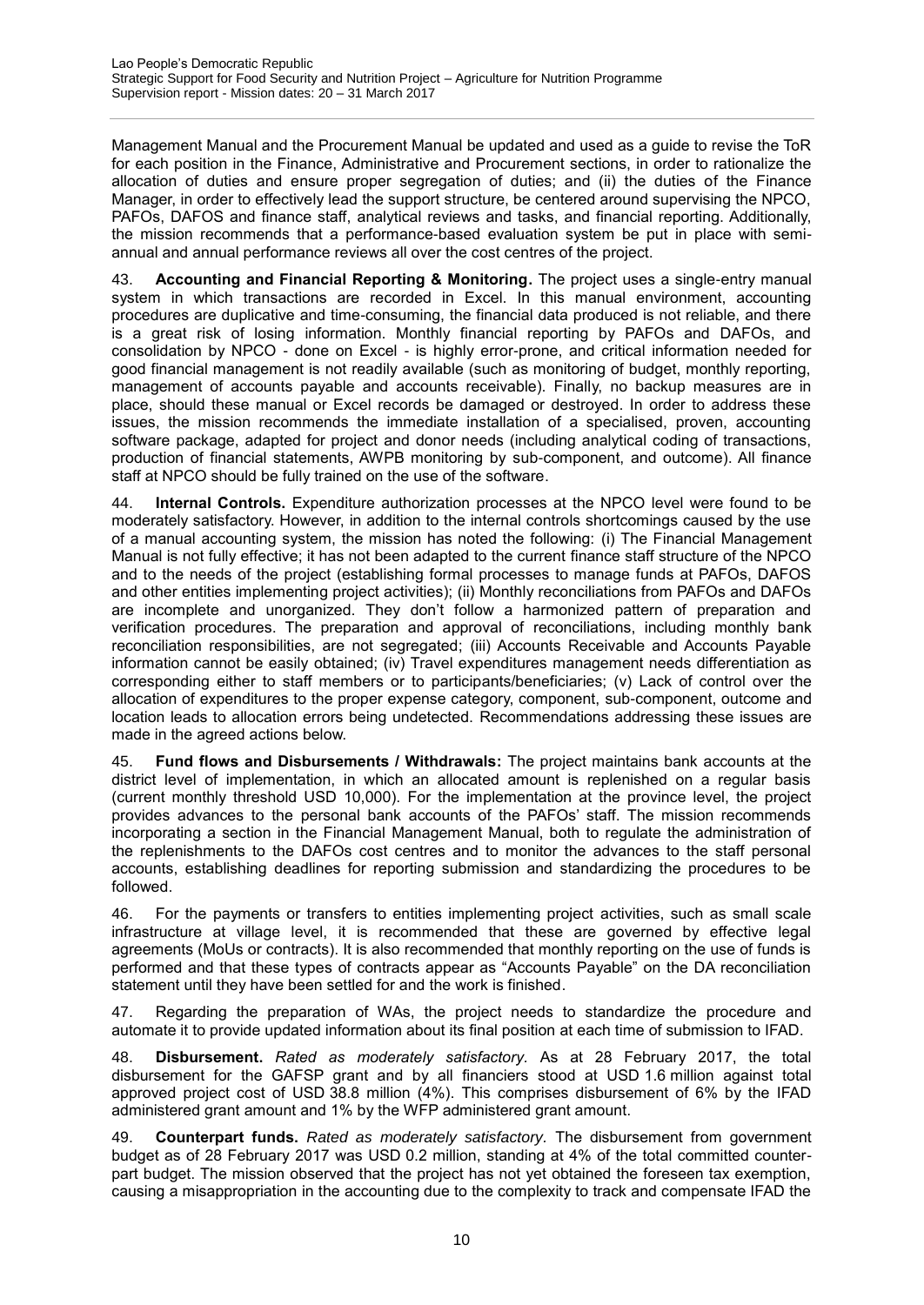Management Manual and the Procurement Manual be updated and used as a guide to revise the ToR for each position in the Finance, Administrative and Procurement sections, in order to rationalize the allocation of duties and ensure proper segregation of duties; and (ii) the duties of the Finance Manager, in order to effectively lead the support structure, be centered around supervising the NPCO, PAFOs, DAFOS and finance staff, analytical reviews and tasks, and financial reporting. Additionally, the mission recommends that a performance-based evaluation system be put in place with semiannual and annual performance reviews all over the cost centres of the project.

43. **Accounting and Financial Reporting & Monitoring.** The project uses a single-entry manual system in which transactions are recorded in Excel. In this manual environment, accounting procedures are duplicative and time-consuming, the financial data produced is not reliable, and there is a great risk of losing information. Monthly financial reporting by PAFOs and DAFOs, and consolidation by NPCO - done on Excel - is highly error-prone, and critical information needed for good financial management is not readily available (such as monitoring of budget, monthly reporting, management of accounts payable and accounts receivable). Finally, no backup measures are in place, should these manual or Excel records be damaged or destroyed. In order to address these issues, the mission recommends the immediate installation of a specialised, proven, accounting software package, adapted for project and donor needs (including analytical coding of transactions, production of financial statements, AWPB monitoring by sub-component, and outcome). All finance staff at NPCO should be fully trained on the use of the software.

44. **Internal Controls.** Expenditure authorization processes at the NPCO level were found to be moderately satisfactory. However, in addition to the internal controls shortcomings caused by the use of a manual accounting system, the mission has noted the following: (i) The Financial Management Manual is not fully effective; it has not been adapted to the current finance staff structure of the NPCO and to the needs of the project (establishing formal processes to manage funds at PAFOs, DAFOS and other entities implementing project activities); (ii) Monthly reconciliations from PAFOs and DAFOs are incomplete and unorganized. They don't follow a harmonized pattern of preparation and verification procedures. The preparation and approval of reconciliations, including monthly bank reconciliation responsibilities, are not segregated; (iii) Accounts Receivable and Accounts Payable information cannot be easily obtained; (iv) Travel expenditures management needs differentiation as corresponding either to staff members or to participants/beneficiaries; (v) Lack of control over the allocation of expenditures to the proper expense category, component, sub-component, outcome and location leads to allocation errors being undetected. Recommendations addressing these issues are made in the agreed actions below.

45. **Fund flows and Disbursements / Withdrawals:** The project maintains bank accounts at the district level of implementation, in which an allocated amount is replenished on a regular basis (current monthly threshold USD 10,000). For the implementation at the province level, the project provides advances to the personal bank accounts of the PAFOs' staff. The mission recommends incorporating a section in the Financial Management Manual, both to regulate the administration of the replenishments to the DAFOs cost centres and to monitor the advances to the staff personal accounts, establishing deadlines for reporting submission and standardizing the procedures to be followed.

46. For the payments or transfers to entities implementing project activities, such as small scale infrastructure at village level, it is recommended that these are governed by effective legal agreements (MoUs or contracts). It is also recommended that monthly reporting on the use of funds is performed and that these types of contracts appear as "Accounts Payable" on the DA reconciliation statement until they have been settled for and the work is finished.

47. Regarding the preparation of WAs, the project needs to standardize the procedure and automate it to provide updated information about its final position at each time of submission to IFAD.

48. **Disbursement.** *Rated as moderately satisfactory.* As at 28 February 2017, the total disbursement for the GAFSP grant and by all financiers stood at USD 1.6 million against total approved project cost of USD 38.8 million (4%). This comprises disbursement of 6% by the IFAD administered grant amount and 1% by the WFP administered grant amount.

49. **Counterpart funds.** *Rated as moderately satisfactory.* The disbursement from government budget as of 28 February 2017 was USD 0.2 million, standing at 4% of the total committed counterpart budget. The mission observed that the project has not yet obtained the foreseen tax exemption, causing a misappropriation in the accounting due to the complexity to track and compensate IFAD the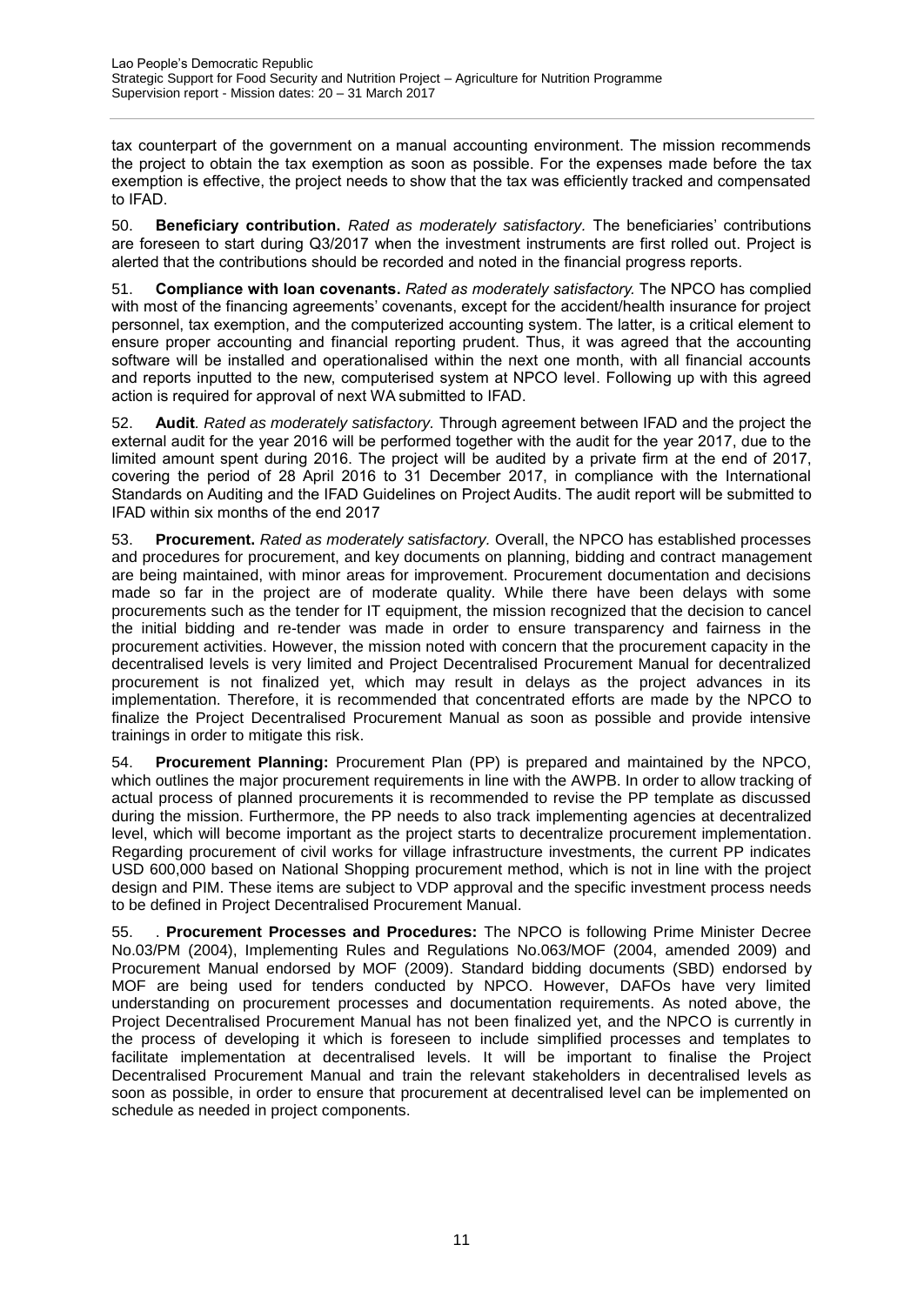tax counterpart of the government on a manual accounting environment. The mission recommends the project to obtain the tax exemption as soon as possible. For the expenses made before the tax exemption is effective, the project needs to show that the tax was efficiently tracked and compensated to IFAD.

50. **Beneficiary contribution.** *Rated as moderately satisfactory.* The beneficiaries' contributions are foreseen to start during Q3/2017 when the investment instruments are first rolled out. Project is alerted that the contributions should be recorded and noted in the financial progress reports.

51. **Compliance with loan covenants.** *Rated as moderately satisfactory.* The NPCO has complied with most of the financing agreements' covenants, except for the accident/health insurance for project personnel, tax exemption, and the computerized accounting system. The latter, is a critical element to ensure proper accounting and financial reporting prudent. Thus, it was agreed that the accounting software will be installed and operationalised within the next one month, with all financial accounts and reports inputted to the new, computerised system at NPCO level. Following up with this agreed action is required for approval of next WA submitted to IFAD.

52. **Audit***. Rated as moderately satisfactory.* Through agreement between IFAD and the project the external audit for the year 2016 will be performed together with the audit for the year 2017, due to the limited amount spent during 2016. The project will be audited by a private firm at the end of 2017, covering the period of 28 April 2016 to 31 December 2017, in compliance with the International Standards on Auditing and the IFAD Guidelines on Project Audits. The audit report will be submitted to IFAD within six months of the end 2017

53. **Procurement.** *Rated as moderately satisfactory.* Overall, the NPCO has established processes and procedures for procurement, and key documents on planning, bidding and contract management are being maintained, with minor areas for improvement. Procurement documentation and decisions made so far in the project are of moderate quality. While there have been delays with some procurements such as the tender for IT equipment, the mission recognized that the decision to cancel the initial bidding and re-tender was made in order to ensure transparency and fairness in the procurement activities. However, the mission noted with concern that the procurement capacity in the decentralised levels is very limited and Project Decentralised Procurement Manual for decentralized procurement is not finalized yet, which may result in delays as the project advances in its implementation. Therefore, it is recommended that concentrated efforts are made by the NPCO to finalize the Project Decentralised Procurement Manual as soon as possible and provide intensive trainings in order to mitigate this risk.

54. **Procurement Planning:** Procurement Plan (PP) is prepared and maintained by the NPCO, which outlines the major procurement requirements in line with the AWPB. In order to allow tracking of actual process of planned procurements it is recommended to revise the PP template as discussed during the mission. Furthermore, the PP needs to also track implementing agencies at decentralized level, which will become important as the project starts to decentralize procurement implementation. Regarding procurement of civil works for village infrastructure investments, the current PP indicates USD 600,000 based on National Shopping procurement method, which is not in line with the project design and PIM. These items are subject to VDP approval and the specific investment process needs to be defined in Project Decentralised Procurement Manual.

55. . **Procurement Processes and Procedures:** The NPCO is following Prime Minister Decree No.03/PM (2004), Implementing Rules and Regulations No.063/MOF (2004, amended 2009) and Procurement Manual endorsed by MOF (2009). Standard bidding documents (SBD) endorsed by MOF are being used for tenders conducted by NPCO. However, DAFOs have very limited understanding on procurement processes and documentation requirements. As noted above, the Project Decentralised Procurement Manual has not been finalized yet, and the NPCO is currently in the process of developing it which is foreseen to include simplified processes and templates to facilitate implementation at decentralised levels. It will be important to finalise the Project Decentralised Procurement Manual and train the relevant stakeholders in decentralised levels as soon as possible, in order to ensure that procurement at decentralised level can be implemented on schedule as needed in project components.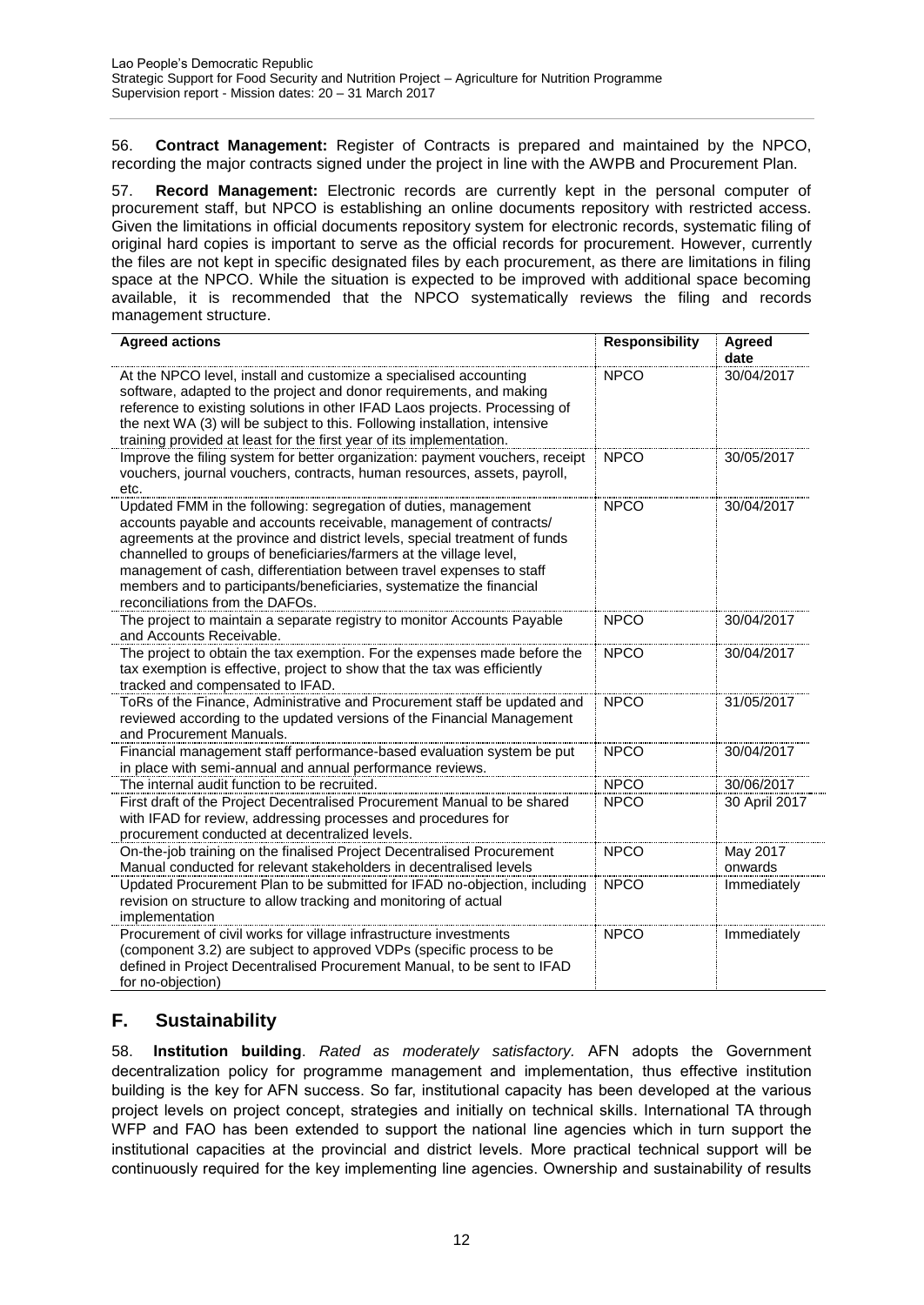56. **Contract Management:** Register of Contracts is prepared and maintained by the NPCO, recording the major contracts signed under the project in line with the AWPB and Procurement Plan.

57. **Record Management:** Electronic records are currently kept in the personal computer of procurement staff, but NPCO is establishing an online documents repository with restricted access. Given the limitations in official documents repository system for electronic records, systematic filing of original hard copies is important to serve as the official records for procurement. However, currently the files are not kept in specific designated files by each procurement, as there are limitations in filing space at the NPCO. While the situation is expected to be improved with additional space becoming available, it is recommended that the NPCO systematically reviews the filing and records management structure.

| <b>Agreed actions</b>                                                                                                                                                                                                                                                                                                                                                                                                                                                         | <b>Responsibility</b> | Agreed<br>date      |
|-------------------------------------------------------------------------------------------------------------------------------------------------------------------------------------------------------------------------------------------------------------------------------------------------------------------------------------------------------------------------------------------------------------------------------------------------------------------------------|-----------------------|---------------------|
| At the NPCO level, install and customize a specialised accounting<br>software, adapted to the project and donor requirements, and making<br>reference to existing solutions in other IFAD Laos projects. Processing of<br>the next WA (3) will be subject to this. Following installation, intensive<br>training provided at least for the first year of its implementation.                                                                                                  | <b>NPCO</b>           | 30/04/2017          |
| Improve the filing system for better organization: payment vouchers, receipt<br>vouchers, journal vouchers, contracts, human resources, assets, payroll,<br>etc.                                                                                                                                                                                                                                                                                                              | <b>NPCO</b>           | 30/05/2017          |
| Updated FMM in the following: segregation of duties, management<br>accounts payable and accounts receivable, management of contracts/<br>agreements at the province and district levels, special treatment of funds<br>channelled to groups of beneficiaries/farmers at the village level,<br>management of cash, differentiation between travel expenses to staff<br>members and to participants/beneficiaries, systematize the financial<br>reconciliations from the DAFOs. | <b>NPCO</b>           | 30/04/2017          |
| The project to maintain a separate registry to monitor Accounts Payable<br>and Accounts Receivable.                                                                                                                                                                                                                                                                                                                                                                           | <b>NPCO</b>           | 30/04/2017          |
| The project to obtain the tax exemption. For the expenses made before the<br>tax exemption is effective, project to show that the tax was efficiently<br>tracked and compensated to IFAD.                                                                                                                                                                                                                                                                                     | <b>NPCO</b>           | 30/04/2017          |
| ToRs of the Finance, Administrative and Procurement staff be updated and<br>reviewed according to the updated versions of the Financial Management<br>and Procurement Manuals.                                                                                                                                                                                                                                                                                                | <b>NPCO</b>           | 31/05/2017          |
| Financial management staff performance-based evaluation system be put<br>in place with semi-annual and annual performance reviews.                                                                                                                                                                                                                                                                                                                                            | <b>NPCO</b>           | 30/04/2017          |
| The internal audit function to be recruited.                                                                                                                                                                                                                                                                                                                                                                                                                                  | <b>NPCO</b>           | 30/06/2017          |
| First draft of the Project Decentralised Procurement Manual to be shared<br>with IFAD for review, addressing processes and procedures for<br>procurement conducted at decentralized levels.                                                                                                                                                                                                                                                                                   | <b>NPCO</b>           | 30 April 2017       |
| On-the-job training on the finalised Project Decentralised Procurement<br>Manual conducted for relevant stakeholders in decentralised levels                                                                                                                                                                                                                                                                                                                                  | <b>NPCO</b>           | May 2017<br>onwards |
| Updated Procurement Plan to be submitted for IFAD no-objection, including<br>revision on structure to allow tracking and monitoring of actual<br>implementation                                                                                                                                                                                                                                                                                                               | <b>NPCO</b>           | Immediately         |
| Procurement of civil works for village infrastructure investments<br>(component 3.2) are subject to approved VDPs (specific process to be<br>defined in Project Decentralised Procurement Manual, to be sent to IFAD<br>for no-objection)                                                                                                                                                                                                                                     | <b>NPCO</b>           | Immediately         |

# <span id="page-14-0"></span>**F. Sustainability**

58. **Institution building**. *Rated as moderately satisfactory.* AFN adopts the Government decentralization policy for programme management and implementation, thus effective institution building is the key for AFN success. So far, institutional capacity has been developed at the various project levels on project concept, strategies and initially on technical skills. International TA through WFP and FAO has been extended to support the national line agencies which in turn support the institutional capacities at the provincial and district levels. More practical technical support will be continuously required for the key implementing line agencies. Ownership and sustainability of results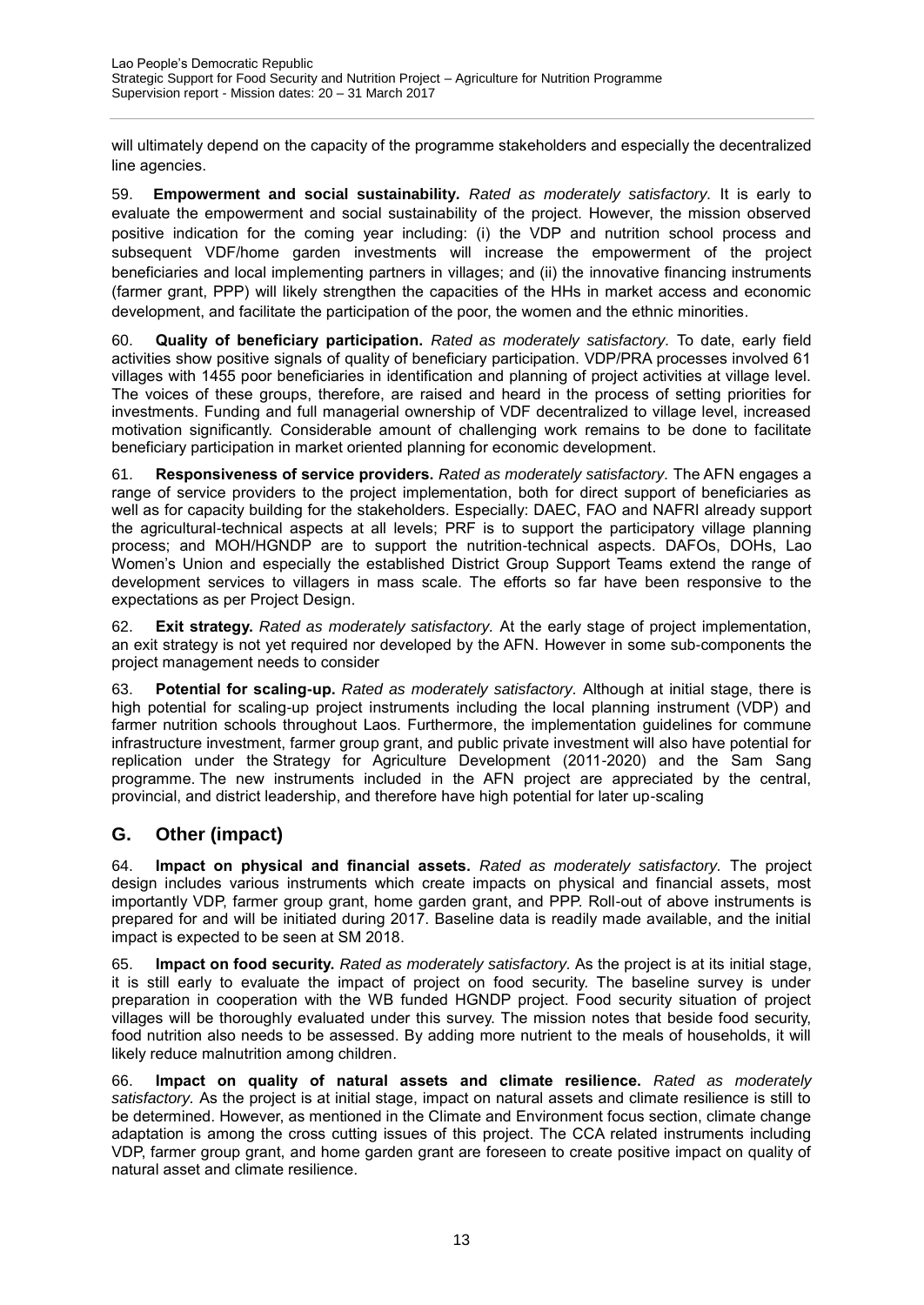will ultimately depend on the capacity of the programme stakeholders and especially the decentralized line agencies.

59. **Empowerment and social sustainability***. Rated as moderately satisfactory.* It is early to evaluate the empowerment and social sustainability of the project. However, the mission observed positive indication for the coming year including: (i) the VDP and nutrition school process and subsequent VDF/home garden investments will increase the empowerment of the project beneficiaries and local implementing partners in villages; and (ii) the innovative financing instruments (farmer grant, PPP) will likely strengthen the capacities of the HHs in market access and economic development, and facilitate the participation of the poor, the women and the ethnic minorities.

60. **Quality of beneficiary participation.** *Rated as moderately satisfactory.* To date, early field activities show positive signals of quality of beneficiary participation. VDP/PRA processes involved 61 villages with 1455 poor beneficiaries in identification and planning of project activities at village level. The voices of these groups, therefore, are raised and heard in the process of setting priorities for investments. Funding and full managerial ownership of VDF decentralized to village level, increased motivation significantly. Considerable amount of challenging work remains to be done to facilitate beneficiary participation in market oriented planning for economic development.

61. **Responsiveness of service providers.** *Rated as moderately satisfactory.* The AFN engages a range of service providers to the project implementation, both for direct support of beneficiaries as well as for capacity building for the stakeholders. Especially: DAEC, FAO and NAFRI already support the agricultural-technical aspects at all levels; PRF is to support the participatory village planning process; and MOH/HGNDP are to support the nutrition-technical aspects. DAFOs, DOHs, Lao Women's Union and especially the established District Group Support Teams extend the range of development services to villagers in mass scale. The efforts so far have been responsive to the expectations as per Project Design.

62. **Exit strategy.** *Rated as moderately satisfactory.* At the early stage of project implementation, an exit strategy is not yet required nor developed by the AFN. However in some sub-components the project management needs to consider

63. **Potential for scaling-up.** *Rated as moderately satisfactory.* Although at initial stage, there is high potential for scaling-up project instruments including the local planning instrument (VDP) and farmer nutrition schools throughout Laos. Furthermore, the implementation guidelines for commune infrastructure investment, farmer group grant, and public private investment will also have potential for replication under the Strategy for Agriculture Development (2011-2020) and the Sam Sang programme. The new instruments included in the AFN project are appreciated by the central, provincial, and district leadership, and therefore have high potential for later up-scaling

# <span id="page-15-0"></span>**G. Other (impact)**

<span id="page-15-1"></span>64. **Impact on physical and financial assets.** *Rated as moderately satisfactory.* The project design includes various instruments which create impacts on physical and financial assets, most importantly VDP, farmer group grant, home garden grant, and PPP. Roll-out of above instruments is prepared for and will be initiated during 2017. Baseline data is readily made available, and the initial impact is expected to be seen at SM 2018.

65. **Impact on food security.** *Rated as moderately satisfactory.* As the project is at its initial stage, it is still early to evaluate the impact of project on food security. The baseline survey is under preparation in cooperation with the WB funded HGNDP project. Food security situation of project villages will be thoroughly evaluated under this survey. The mission notes that beside food security, food nutrition also needs to be assessed. By adding more nutrient to the meals of households, it will likely reduce malnutrition among children.

66. **Impact on quality of natural assets and climate resilience.** *Rated as moderately satisfactory.* As the project is at initial stage, impact on natural assets and climate resilience is still to be determined. However, as mentioned in the Climate and Environment focus section, climate change adaptation is among the cross cutting issues of this project. The CCA related instruments including VDP, farmer group grant, and home garden grant are foreseen to create positive impact on quality of natural asset and climate resilience.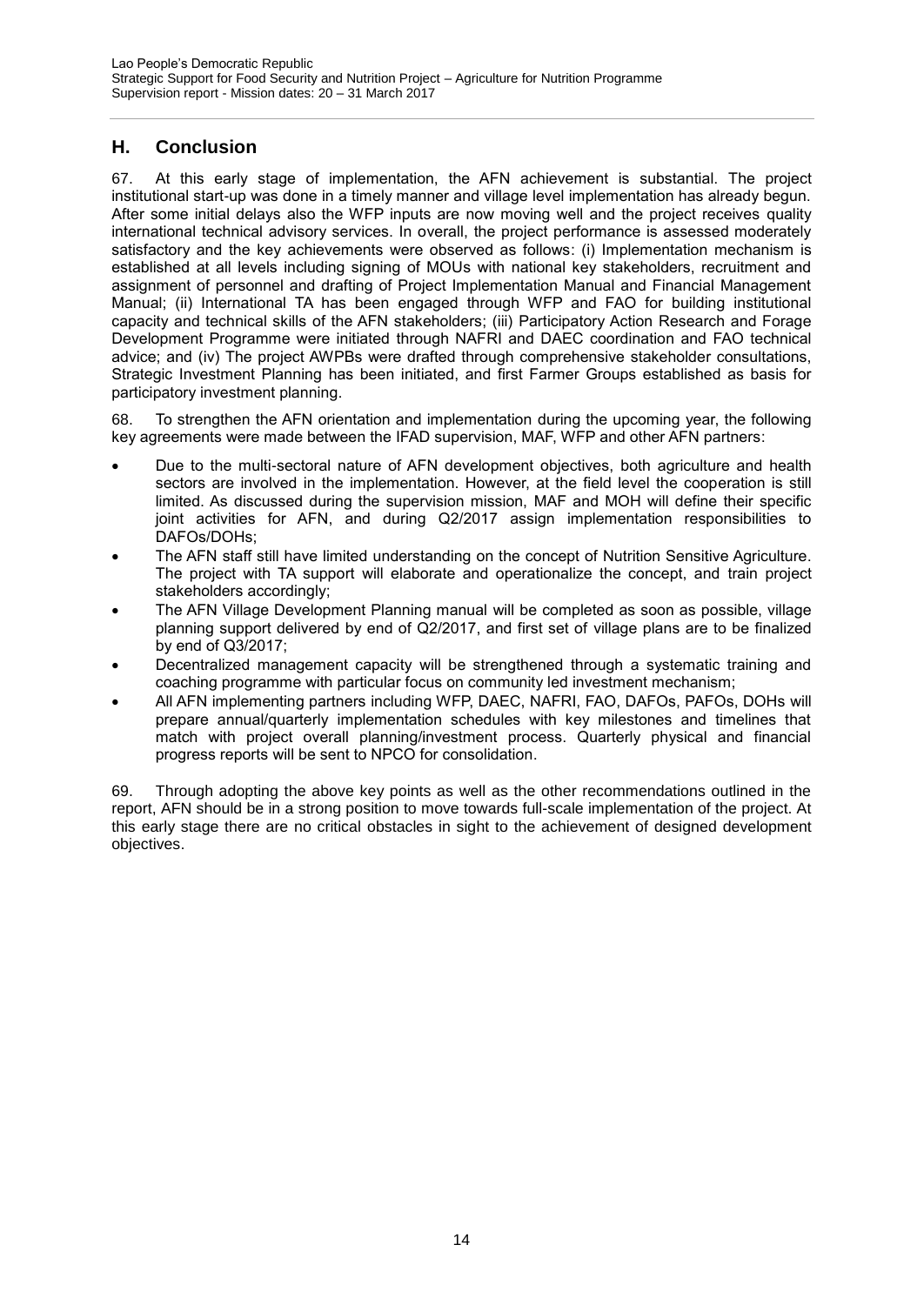# **H. Conclusion**

67. At this early stage of implementation, the AFN achievement is substantial. The project institutional start-up was done in a timely manner and village level implementation has already begun. After some initial delays also the WFP inputs are now moving well and the project receives quality international technical advisory services. In overall, the project performance is assessed moderately satisfactory and the key achievements were observed as follows: (i) Implementation mechanism is established at all levels including signing of MOUs with national key stakeholders, recruitment and assignment of personnel and drafting of Project Implementation Manual and Financial Management Manual; (ii) International TA has been engaged through WFP and FAO for building institutional capacity and technical skills of the AFN stakeholders; (iii) Participatory Action Research and Forage Development Programme were initiated through NAFRI and DAEC coordination and FAO technical advice; and (iv) The project AWPBs were drafted through comprehensive stakeholder consultations, Strategic Investment Planning has been initiated, and first Farmer Groups established as basis for participatory investment planning.

68. To strengthen the AFN orientation and implementation during the upcoming year, the following key agreements were made between the IFAD supervision, MAF, WFP and other AFN partners:

- Due to the multi-sectoral nature of AFN development objectives, both agriculture and health sectors are involved in the implementation. However, at the field level the cooperation is still limited. As discussed during the supervision mission, MAF and MOH will define their specific joint activities for AFN, and during Q2/2017 assign implementation responsibilities to DAFOs/DOHs;
- The AFN staff still have limited understanding on the concept of Nutrition Sensitive Agriculture. The project with TA support will elaborate and operationalize the concept, and train project stakeholders accordingly;
- The AFN Village Development Planning manual will be completed as soon as possible, village planning support delivered by end of Q2/2017, and first set of village plans are to be finalized by end of Q3/2017;
- Decentralized management capacity will be strengthened through a systematic training and coaching programme with particular focus on community led investment mechanism;
- All AFN implementing partners including WFP, DAEC, NAFRI, FAO, DAFOs, PAFOs, DOHs will prepare annual/quarterly implementation schedules with key milestones and timelines that match with project overall planning/investment process. Quarterly physical and financial progress reports will be sent to NPCO for consolidation.

69. Through adopting the above key points as well as the other recommendations outlined in the report, AFN should be in a strong position to move towards full-scale implementation of the project. At this early stage there are no critical obstacles in sight to the achievement of designed development objectives.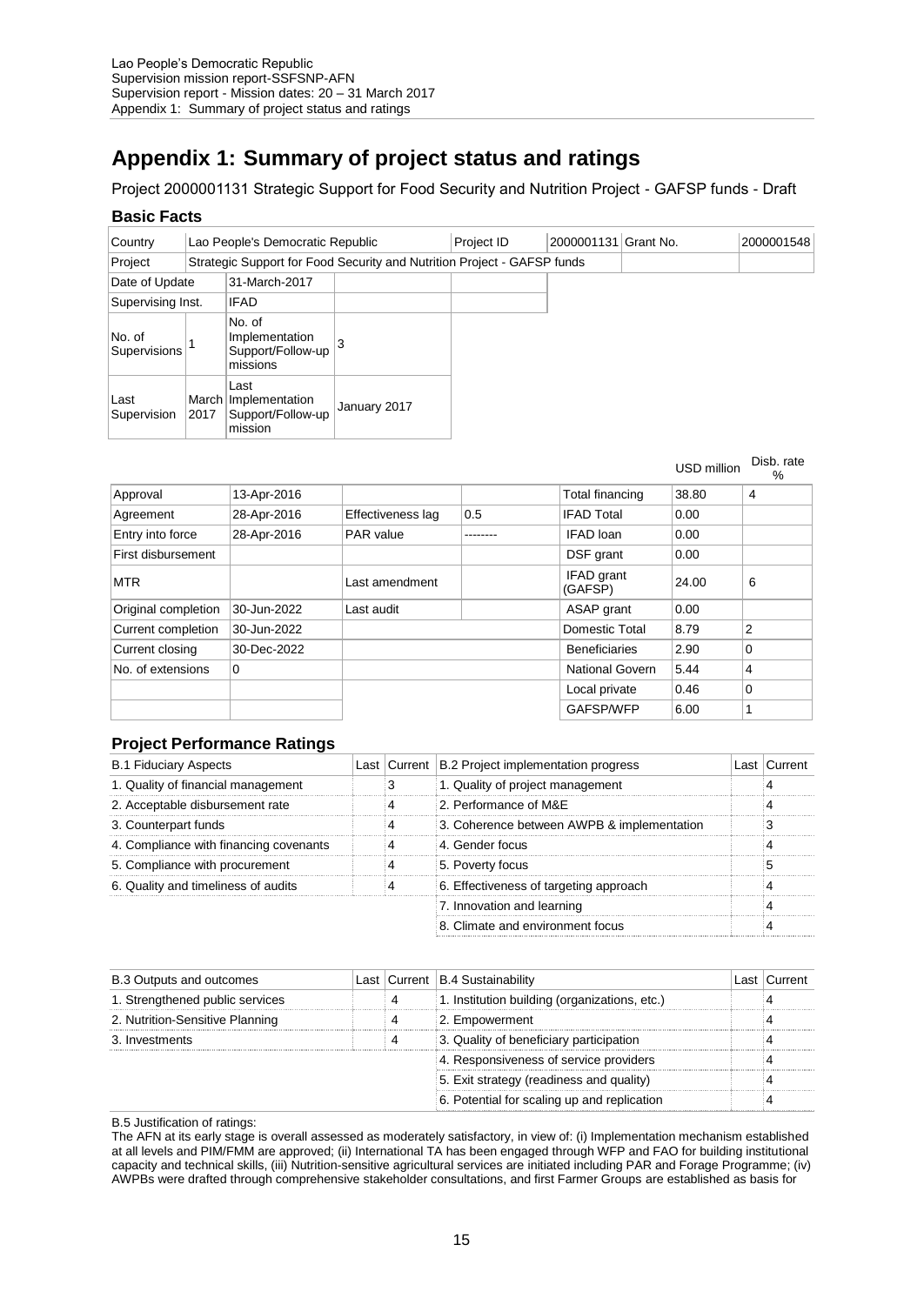# **Appendix 1: Summary of project status and ratings**

Project 2000001131 Strategic Support for Food Security and Nutrition Project - GAFSP funds - Draft

### **Basic Facts**

| Country                |                                                           | Lao People's Democratic Republic                       |                                                                         | Project ID | 2000001131 | Grant No. | 2000001548 |
|------------------------|-----------------------------------------------------------|--------------------------------------------------------|-------------------------------------------------------------------------|------------|------------|-----------|------------|
| Project                |                                                           |                                                        | Strategic Support for Food Security and Nutrition Project - GAFSP funds |            |            |           |            |
| Date of Update         |                                                           | 31-March-2017                                          |                                                                         |            |            |           |            |
| Supervising Inst.      |                                                           | <b>IFAD</b>                                            |                                                                         |            |            |           |            |
| No. of<br>Supervisions | No. of<br>Implementation<br>Support/Follow-up<br>missions |                                                        |                                                                         |            |            |           |            |
| Last<br>Supervision    | March<br>2017                                             | Last<br>Implementation<br>Support/Follow-up<br>mission | January 2017                                                            |            |            |           |            |

USD million Disb. rate %

|                     |             |                   |     |                        |       | 70 |
|---------------------|-------------|-------------------|-----|------------------------|-------|----|
| Approval            | 13-Apr-2016 |                   |     | Total financing        | 38.80 | 4  |
| Agreement           | 28-Apr-2016 | Effectiveness lag | 0.5 | <b>IFAD Total</b>      | 0.00  |    |
| Entry into force    | 28-Apr-2016 | PAR value         |     | IFAD loan              | 0.00  |    |
| First disbursement  |             |                   |     | DSF grant              | 0.00  |    |
| <b>MTR</b>          |             | Last amendment    |     | IFAD grant<br>(GAFSP)  | 24.00 | 6  |
| Original completion | 30-Jun-2022 | Last audit        |     | ASAP grant             | 0.00  |    |
| Current completion  | 30-Jun-2022 |                   |     | Domestic Total         | 8.79  | 2  |
| Current closing     | 30-Dec-2022 |                   |     | <b>Beneficiaries</b>   | 2.90  | 0  |
| No. of extensions   | 0           |                   |     | <b>National Govern</b> | 5.44  | 4  |
|                     |             |                   |     | Local private          | 0.46  | 0  |
|                     |             |                   |     | GAFSP/WFP              | 6.00  |    |
|                     |             |                   |     |                        |       |    |

# **Project Performance Ratings**

| <b>B.1 Fiduciary Aspects</b>           |  | Last Current   B.2 Project implementation progress | Last   Current |
|----------------------------------------|--|----------------------------------------------------|----------------|
| 1. Quality of financial management     |  | 1. Quality of project management                   |                |
| 2. Acceptable disbursement rate        |  | 2. Performance of M&E                              |                |
| 3. Counterpart funds                   |  | 3. Coherence between AWPB & implementation         |                |
| 4. Compliance with financing covenants |  | 4. Gender focus                                    |                |
| 5. Compliance with procurement         |  | 5. Poverty focus                                   |                |
| 6. Quality and timeliness of audits    |  | 6. Effectiveness of targeting approach             |                |
|                                        |  | 7. Innovation and learning                         |                |
|                                        |  | 8. Climate and environment focus                   |                |

| <b>B.3 Outputs and outcomes</b> |  | Last   Current   B.4 Sustainability           | Last   Current |
|---------------------------------|--|-----------------------------------------------|----------------|
| 1. Strengthened public services |  | 1. Institution building (organizations, etc.) |                |
| 2. Nutrition-Sensitive Planning |  | 2. Empowerment                                |                |
| 3. Investments                  |  | 3. Quality of beneficiary participation       |                |
|                                 |  | 4. Responsiveness of service providers        |                |
|                                 |  | 5. Exit strategy (readiness and quality)      |                |
|                                 |  | 6. Potential for scaling up and replication   |                |

B.5 Justification of ratings:

The AFN at its early stage is overall assessed as moderately satisfactory, in view of: (i) Implementation mechanism established at all levels and PIM/FMM are approved; (ii) International TA has been engaged through WFP and FAO for building institutional capacity and technical skills, (iii) Nutrition-sensitive agricultural services are initiated including PAR and Forage Programme; (iv) AWPBs were drafted through comprehensive stakeholder consultations, and first Farmer Groups are established as basis for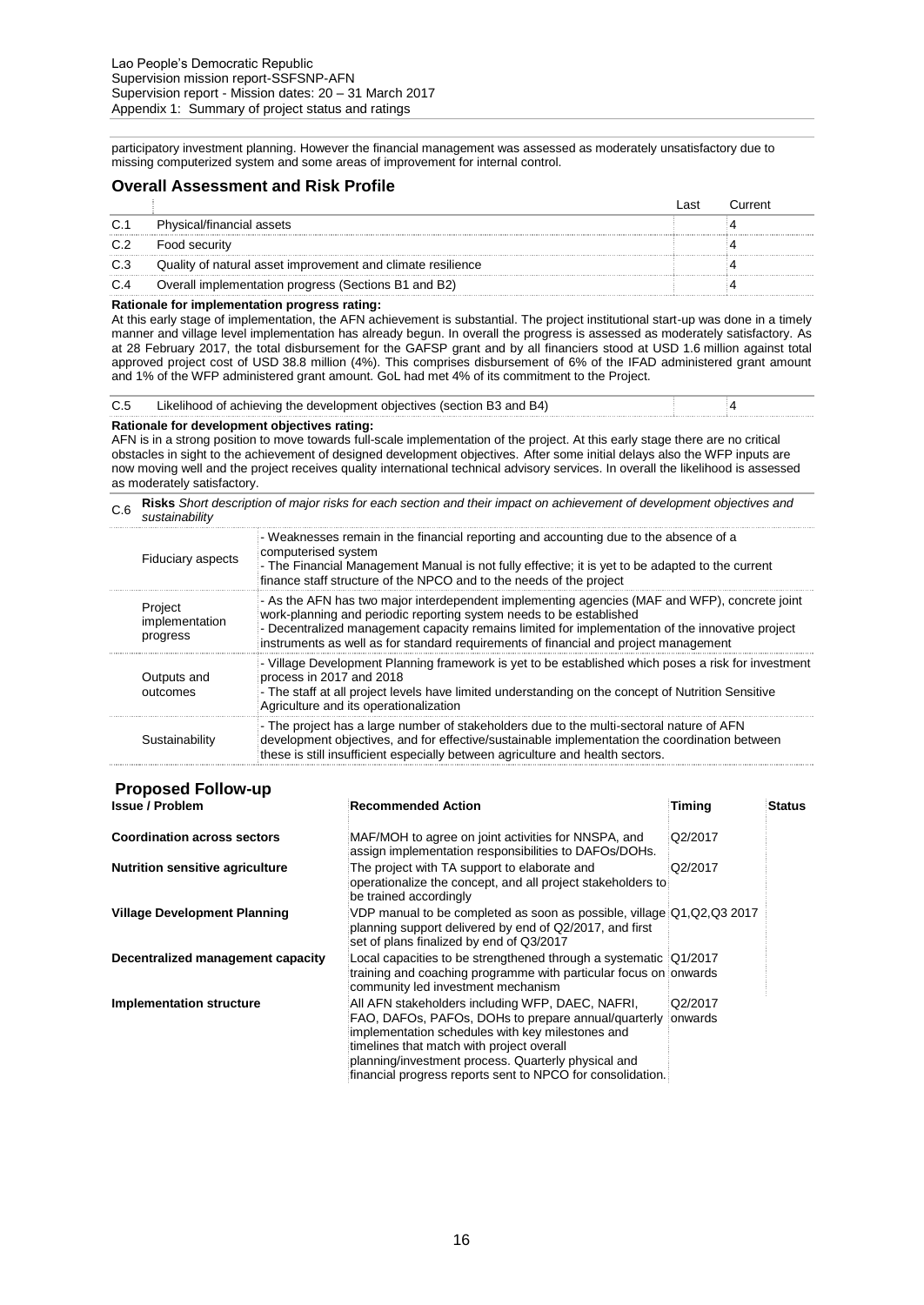participatory investment planning. However the financial management was assessed as moderately unsatisfactory due to missing computerized system and some areas of improvement for internal control.

#### **Overall Assessment and Risk Profile**

|     |                                                             | <b>AS</b> |  |
|-----|-------------------------------------------------------------|-----------|--|
| C.1 | Physical/financial assets                                   |           |  |
| C.2 | Food security                                               |           |  |
| C.3 | Quality of natural asset improvement and climate resilience |           |  |
| C.4 | Overall implementation progress (Sections B1 and B2)        |           |  |

#### **Rationale for implementation progress rating:**

At this early stage of implementation, the AFN achievement is substantial. The project institutional start-up was done in a timely manner and village level implementation has already begun. In overall the progress is assessed as moderately satisfactory. As at 28 February 2017, the total disbursement for the GAFSP grant and by all financiers stood at USD 1.6 million against total approved project cost of USD 38.8 million (4%). This comprises disbursement of 6% of the IFAD administered grant amount and 1% of the WFP administered grant amount. GoL had met 4% of its commitment to the Project.

| C.5 | Likelihood of achieving the development objectives (section B3 and B4) |  |
|-----|------------------------------------------------------------------------|--|
|     |                                                                        |  |
|     |                                                                        |  |

#### **Rationale for development objectives rating:**

AFN is in a strong position to move towards full-scale implementation of the project. At this early stage there are no critical obstacles in sight to the achievement of designed development objectives. After some initial delays also the WFP inputs are now moving well and the project receives quality international technical advisory services. In overall the likelihood is assessed as moderately satisfactory.

C.6 **Risks** *Short description of major risks for each section and their impact on achievement of development objectives and sustainability*

| <b>Fiduciary aspects</b>              | - Weaknesses remain in the financial reporting and accounting due to the absence of a<br>computerised system<br>- The Financial Management Manual is not fully effective; it is yet to be adapted to the current<br>finance staff structure of the NPCO and to the needs of the project                                                                          |
|---------------------------------------|------------------------------------------------------------------------------------------------------------------------------------------------------------------------------------------------------------------------------------------------------------------------------------------------------------------------------------------------------------------|
| Project<br>implementation<br>progress | - As the AFN has two major interdependent implementing agencies (MAF and WFP), concrete joint<br>work-planning and periodic reporting system needs to be established<br>- Decentralized management capacity remains limited for implementation of the innovative project<br>instruments as well as for standard requirements of financial and project management |
| Outputs and<br>outcomes               | - Village Development Planning framework is yet to be established which poses a risk for investment<br>process in 2017 and 2018<br>- The staff at all project levels have limited understanding on the concept of Nutrition Sensitive<br>Agriculture and its operationalization                                                                                  |
| Sustainability                        | - The project has a large number of stakeholders due to the multi-sectoral nature of AFN<br>development objectives, and for effective/sustainable implementation the coordination between<br>these is still insufficient especially between agriculture and health sectors.                                                                                      |

# **Proposed Follow-up**

| <b>Coordination across sectors</b>     | MAF/MOH to agree on joint activities for NNSPA, and<br>assign implementation responsibilities to DAFOs/DOHs.                                                                                                                                                                                                                  | Q2/2017             |  |
|----------------------------------------|-------------------------------------------------------------------------------------------------------------------------------------------------------------------------------------------------------------------------------------------------------------------------------------------------------------------------------|---------------------|--|
| <b>Nutrition sensitive agriculture</b> | The project with TA support to elaborate and<br>operationalize the concept, and all project stakeholders to<br>be trained accordingly                                                                                                                                                                                         | Q2/2017             |  |
| <b>Village Development Planning</b>    | VDP manual to be completed as soon as possible, village Q1, Q2, Q3 2017<br>planning support delivered by end of Q2/2017, and first<br>set of plans finalized by end of Q3/2017                                                                                                                                                |                     |  |
| Decentralized management capacity      | Local capacities to be strengthened through a systematic Q1/2017<br>training and coaching programme with particular focus on onwards<br>community led investment mechanism                                                                                                                                                    |                     |  |
| <b>Implementation structure</b>        | All AFN stakeholders including WFP, DAEC, NAFRI,<br>FAO, DAFOs, PAFOs, DOHs to prepare annual/quarterly<br>implementation schedules with key milestones and<br>timelines that match with project overall<br>planning/investment process. Quarterly physical and<br>financial progress reports sent to NPCO for consolidation. | Q2/2017<br>ionwards |  |

**Issue / Problemanded Action** *Recommended Action* **<b>***Status*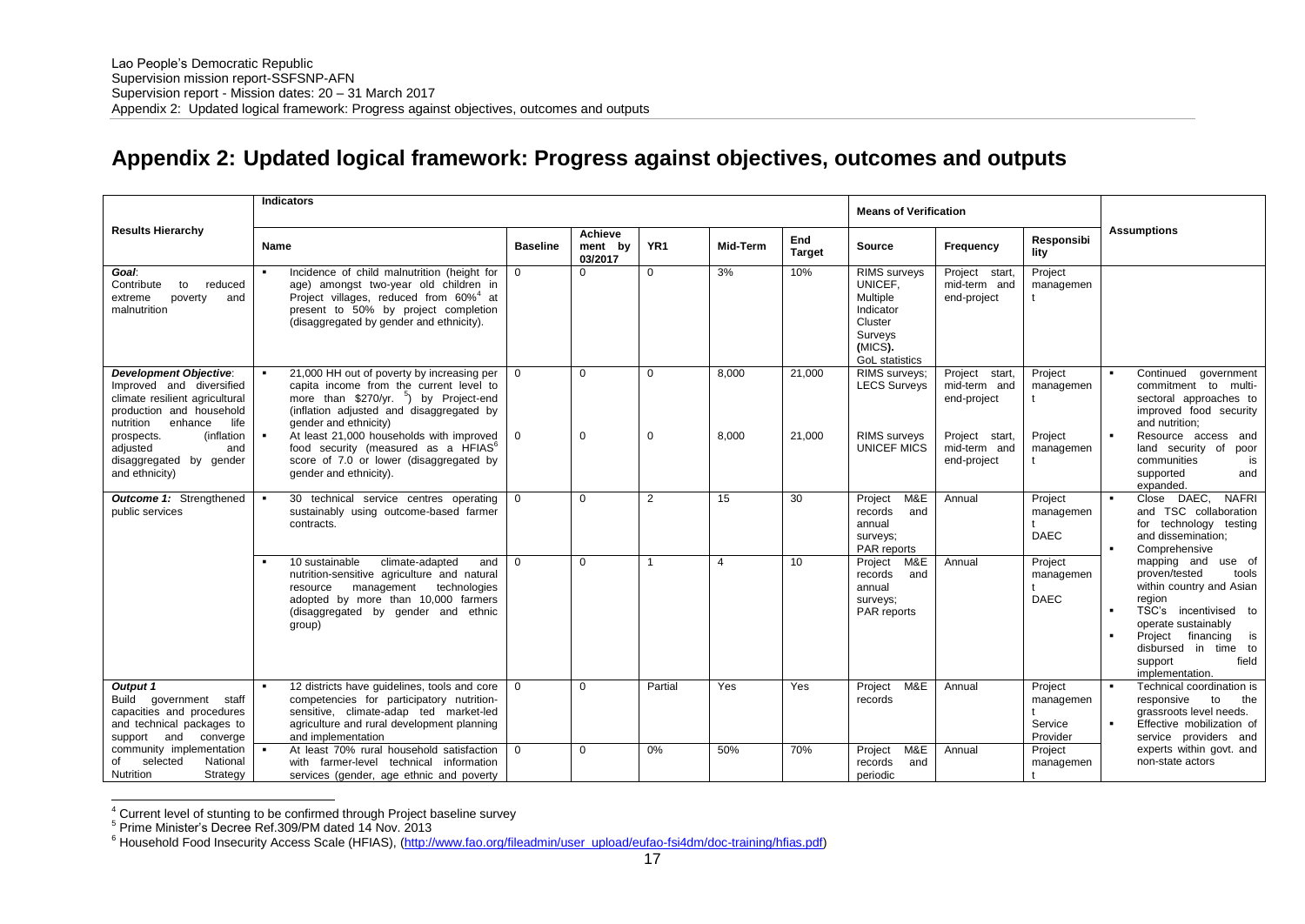# **Appendix 2: Updated logical framework: Progress against objectives, outcomes and outputs**

|                                                                                                                                                                                                                                                     | <b>Indicators</b>                                                                                                                                                                                                                                                                                                                                                                   |                      | <b>Means of Verification</b>                            |                      |                |                      |                                                                                                                          |                                                                                                |                                              |                                                                                                                                                                                                                                               |  |
|-----------------------------------------------------------------------------------------------------------------------------------------------------------------------------------------------------------------------------------------------------|-------------------------------------------------------------------------------------------------------------------------------------------------------------------------------------------------------------------------------------------------------------------------------------------------------------------------------------------------------------------------------------|----------------------|---------------------------------------------------------|----------------------|----------------|----------------------|--------------------------------------------------------------------------------------------------------------------------|------------------------------------------------------------------------------------------------|----------------------------------------------|-----------------------------------------------------------------------------------------------------------------------------------------------------------------------------------------------------------------------------------------------|--|
| <b>Results Hierarchy</b>                                                                                                                                                                                                                            | <b>Name</b>                                                                                                                                                                                                                                                                                                                                                                         | <b>Baseline</b>      | <b>Achieve</b><br>YR <sub>1</sub><br>ment by<br>03/2017 |                      | Mid-Term       | End<br><b>Target</b> | Source                                                                                                                   | Frequency                                                                                      | Responsibi<br>lity                           | <b>Assumptions</b>                                                                                                                                                                                                                            |  |
| Goal:<br>Contribute<br>to<br>reduced<br>poverty<br>extreme<br>and<br>malnutrition                                                                                                                                                                   | Incidence of child malnutrition (height for<br>٠<br>age) amongst two-year old children in<br>Project villages, reduced from 60% <sup>4</sup> at<br>present to 50% by project completion<br>(disaggregated by gender and ethnicity).                                                                                                                                                 | $\Omega$             | 0                                                       | 0                    | 3%             | 10%                  | <b>RIMS</b> surveys<br>UNICEF.<br><b>Multiple</b><br>Indicator<br>Cluster<br>Surveys<br>(MICS).<br><b>GoL</b> statistics | Project start,<br>mid-term and<br>end-project                                                  | Project<br>managemen                         |                                                                                                                                                                                                                                               |  |
| <b>Development Objective:</b><br>Improved and diversified<br>climate resilient agricultural<br>production and household<br>nutrition<br>enhance<br>life<br>(inflation<br>prospects.<br>adjusted<br>and<br>disaggregated by gender<br>and ethnicity) | 21,000 HH out of poverty by increasing per<br>capita income from the current level to<br>more than \$270/yr. <sup>5</sup> ) by Project-end<br>(inflation adjusted and disaggregated by<br>gender and ethnicity)<br>At least 21,000 households with improved<br>food security (measured as a HFIAS <sup>6</sup><br>score of 7.0 or lower (disaggregated by<br>gender and ethnicity). | $\Omega$<br>$\Omega$ | $\Omega$<br>$\mathbf 0$                                 | $\Omega$<br>$\Omega$ | 8,000<br>8,000 | 21,000<br>21,000     | RIMS surveys:<br><b>LECS Surveys</b><br><b>RIMS</b> surveys<br>UNICEF MICS                                               | Project start,<br>mid-term and<br>end-project<br>Project start,<br>mid-term and<br>end-project | Project<br>managemen<br>Project<br>managemen | Continued<br>government<br>commitment to multi-<br>sectoral approaches to<br>improved food security<br>and nutrition:<br>$\blacksquare$<br>Resource access and<br>land security of poor<br>communities<br>is<br>supported<br>and<br>expanded. |  |
| <b>Outcome 1:</b> Strengthened<br>public services                                                                                                                                                                                                   | 30 technical service centres operating<br>sustainably using outcome-based farmer<br>contracts.                                                                                                                                                                                                                                                                                      | $\Omega$             | $\Omega$                                                | $\overline{2}$       | 15             | 30                   | M&E<br>Project<br>records<br>and<br>annual<br>surveys;<br>PAR reports                                                    | Annual                                                                                         | Project<br>managemen<br><b>DAEC</b>          | Close DAEC,<br><b>NAFRI</b><br>and TSC collaboration<br>for technology testing<br>and dissemination:<br>Comprehensive                                                                                                                         |  |
|                                                                                                                                                                                                                                                     | 10 sustainable<br>climate-adapted<br>and<br>nutrition-sensitive agriculture and natural<br>technologies<br>management<br>resource<br>adopted by more than 10,000 farmers<br>(disaggregated by gender and ethnic<br>group)                                                                                                                                                           | $\Omega$             | $\Omega$                                                | 1                    | 4              | 10                   | M&E<br>Project<br>records<br>and<br>annual<br>surveys;<br>PAR reports                                                    | Annual                                                                                         | Project<br>managemen<br><b>DAEC</b>          | mapping and use of<br>proven/tested<br>tools<br>within country and Asian<br>region<br>TSC's incentivised to<br>operate sustainably<br>Project<br>financing is<br>disbursed in time to<br>field<br>support<br>implementation.                  |  |
| Output 1<br><b>Build</b><br>government staff<br>capacities and procedures<br>and technical packages to<br>support and converge                                                                                                                      | 12 districts have guidelines, tools and core<br>competencies for participatory nutrition-<br>sensitive, climate-adap ted market-led<br>agriculture and rural development planning<br>and implementation                                                                                                                                                                             |                      | $\Omega$                                                | Partial              | Yes            | Yes                  | M&E<br>Project<br>records                                                                                                | Annual                                                                                         | Project<br>managemen<br>Service<br>Provider  | Technical coordination is<br>$\blacksquare$<br>to<br>responsive<br>the<br>grassroots level needs.<br>Effective mobilization of<br>$\blacksquare$<br>service providers and                                                                     |  |
| community implementation<br>of<br>selected<br>National<br>Nutrition<br>Strategy                                                                                                                                                                     | At least 70% rural household satisfaction<br>with farmer-level technical information<br>services (gender, age ethnic and poverty                                                                                                                                                                                                                                                    | $\Omega$             | $\Omega$                                                | 0%                   | 50%            | 70%                  | M&E<br>Project<br>records<br>and<br>periodic                                                                             | Annual                                                                                         | Project<br>managemen                         | experts within govt. and<br>non-state actors                                                                                                                                                                                                  |  |

 $4$  Current level of stunting to be confirmed through Project baseline survey

1

<sup>5</sup> Prime Minister's Decree Ref.309/PM dated 14 Nov. 2013

<sup>&</sup>lt;sup>6</sup> Household Food Insecurity Access Scale (HFIAS), [\(http://www.fao.org/fileadmin/user\\_upload/eufao-fsi4dm/doc-training/hfias.pdf\)](http://www.fao.org/fileadmin/user_upload/eufao-fsi4dm/doc-training/hfias.pdf)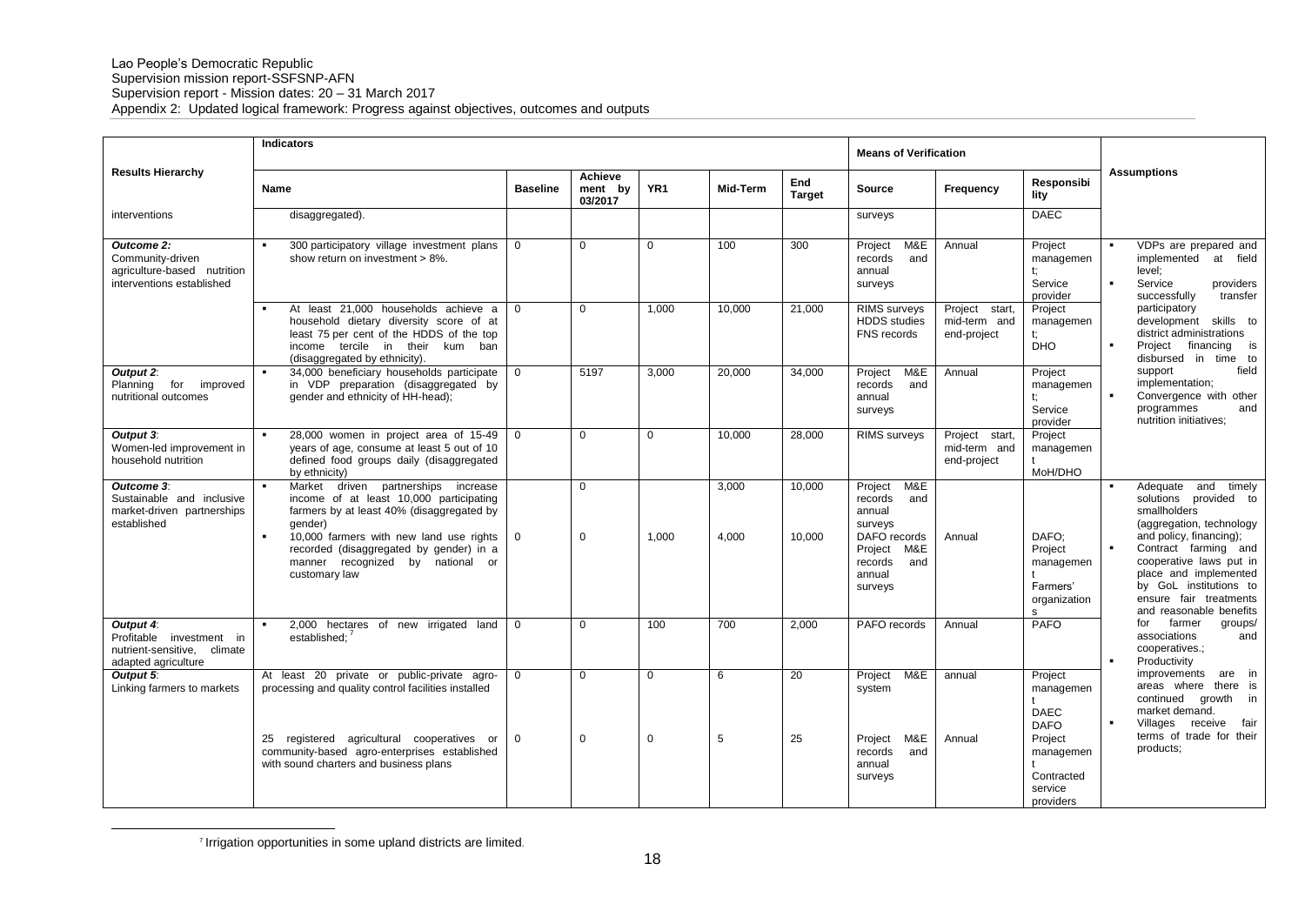|                                                                                             | <b>Indicators</b>                                                                                                                                                                                                                                                                 |                      |                                      |                      |                |                      | <b>Means of Verification</b>                                                                                                   |                                               |                                                                                                                  |                                                                                                                                                                                                                                                                                   |  |
|---------------------------------------------------------------------------------------------|-----------------------------------------------------------------------------------------------------------------------------------------------------------------------------------------------------------------------------------------------------------------------------------|----------------------|--------------------------------------|----------------------|----------------|----------------------|--------------------------------------------------------------------------------------------------------------------------------|-----------------------------------------------|------------------------------------------------------------------------------------------------------------------|-----------------------------------------------------------------------------------------------------------------------------------------------------------------------------------------------------------------------------------------------------------------------------------|--|
| <b>Results Hierarchy</b>                                                                    | Name                                                                                                                                                                                                                                                                              | <b>Baseline</b>      | <b>Achieve</b><br>ment by<br>03/2017 | YR <sub>1</sub>      | Mid-Term       | End<br><b>Target</b> | <b>Source</b>                                                                                                                  | Frequency                                     | Responsibi<br>litv                                                                                               | <b>Assumptions</b>                                                                                                                                                                                                                                                                |  |
| interventions                                                                               | disaggregated).                                                                                                                                                                                                                                                                   |                      |                                      |                      |                |                      | surveys                                                                                                                        |                                               | <b>DAEC</b>                                                                                                      |                                                                                                                                                                                                                                                                                   |  |
| Outcome 2:<br>Community-driven<br>agriculture-based nutrition<br>interventions established  | 300 participatory village investment plans<br>show return on investment > 8%.                                                                                                                                                                                                     | $\Omega$             | $\Omega$                             | $\Omega$             | 100            | 300                  | M&E<br>Project<br>records<br>and<br>annual<br>surveys                                                                          | Annual                                        | Project<br>managemen<br>t:<br>Service<br>provider                                                                | VDPs are prepared and<br>implemented at field<br>level:<br>Service<br>providers<br>successfully<br>transfer                                                                                                                                                                       |  |
|                                                                                             | At least 21,000 households achieve a<br>household dietary diversity score of at<br>least 75 per cent of the HDDS of the top<br>income tercile in their kum ban<br>(disaggregated by ethnicity).                                                                                   | $\Omega$             | $\Omega$                             | 1,000                | 10,000         | 21,000               | RIMS surveys<br><b>HDDS</b> studies<br>FNS records                                                                             | Project start,<br>mid-term and<br>end-project | Project<br>managemen<br>t:<br><b>DHO</b>                                                                         | participatory<br>development skills to<br>district administrations<br>$\blacksquare$<br>Project financing<br>is<br>disbursed in time to                                                                                                                                           |  |
| Output 2:<br>for<br>improved<br>Planning<br>nutritional outcomes                            | 34,000 beneficiary households participate<br>in VDP preparation (disaggregated by<br>gender and ethnicity of HH-head);                                                                                                                                                            | $\Omega$             | 5197                                 | 3,000                | 20,000         | 34,000               | M&E<br>Project<br>records<br>and<br>annual<br>surveys                                                                          | Annual                                        | Project<br>managemen<br>Service<br>provider                                                                      | field<br>support<br>implementation;<br>Convergence with other<br>programmes<br>and<br>nutrition initiatives;                                                                                                                                                                      |  |
| Output 3:<br>Women-led improvement in<br>household nutrition                                | 28,000 women in project area of 15-49<br>years of age, consume at least 5 out of 10<br>defined food groups daily (disaggregated<br>by ethnicity)                                                                                                                                  | $\Omega$             | $\Omega$                             | $\Omega$             | 10,000         | 28,000               | <b>RIMS</b> surveys                                                                                                            | Project start,<br>mid-term and<br>end-project | Project<br>managemen<br>MoH/DHO                                                                                  |                                                                                                                                                                                                                                                                                   |  |
| Outcome 3:<br>Sustainable and inclusive<br>market-driven partnerships<br>established        | Market driven partnerships increase<br>income of at least 10,000 participating<br>farmers by at least 40% (disaggregated by<br>qender)<br>10,000 farmers with new land use rights<br>recorded (disaggregated by gender) in a<br>manner recognized by national or<br>customary law | $\mathbf 0$          | $\Omega$<br>$\mathbf 0$              | 1.000                | 3,000<br>4,000 | 10.000<br>10.000     | M&E<br>Project<br>records<br>and<br>annual<br>surveys<br>DAFO records<br>Project<br>M&E<br>records<br>and<br>annual<br>surveys | Annual                                        | DAFO:<br>Project<br>managemen<br>Farmers'<br>organization<br>s.                                                  | Adequate and<br>timely<br>solutions provided to<br>smallholders<br>(aggregation, technology<br>and policy, financing);<br>Contract farming and<br>cooperative laws put in<br>place and implemented<br>by GoL institutions to<br>ensure fair treatments<br>and reasonable benefits |  |
| Output 4:<br>Profitable investment in<br>nutrient-sensitive, climate<br>adapted agriculture | 2,000 hectares of new irrigated land<br>established;                                                                                                                                                                                                                              | $\Omega$             | $\Omega$                             | 100                  | 700            | 2.000                | PAFO records                                                                                                                   | Annual                                        | PAFO                                                                                                             | farmer<br>for<br>groups/<br>associations<br>and<br>cooperatives.;<br>Productivity                                                                                                                                                                                                 |  |
| Output 5:<br>Linking farmers to markets                                                     | At least 20 private or public-private agro-<br>processing and quality control facilities installed<br>registered agricultural cooperatives or<br>25<br>community-based agro-enterprises established<br>with sound charters and business plans                                     | $\Omega$<br>$\Omega$ | $\Omega$<br>$\mathbf 0$              | $\Omega$<br>$\Omega$ | 6<br>5         | 20<br>25             | M&E<br>Project<br>system<br>M&E<br>Project<br>records<br>and<br>annual<br>surveys                                              | annual<br>Annual                              | Project<br>managemen<br><b>DAEC</b><br><b>DAFO</b><br>Project<br>managemen<br>Contracted<br>service<br>providers | improvements<br>are in<br>areas where there is<br>continued growth in<br>market demand.<br>Villages receive<br>fair<br>terms of trade for their<br>products;                                                                                                                      |  |

<sup>7</sup> Irrigation opportunities in some upland districts are limited.

1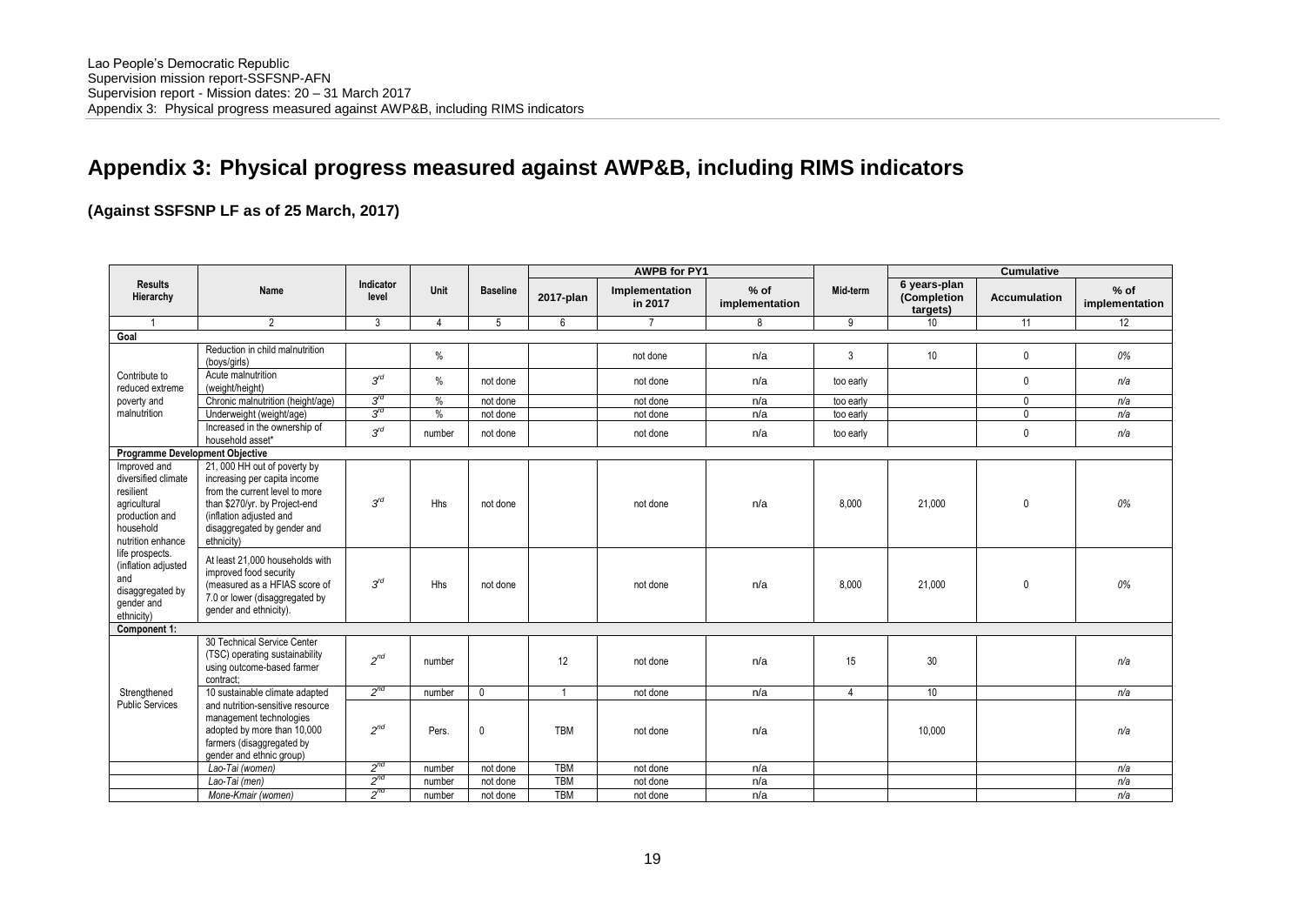# **Appendix 3: Physical progress measured against AWP&B, including RIMS indicators**

# **(Against SSFSNP LF as of 25 March, 2017)**

|                                                                                                                      | <b>AWPB for PY1</b>                                                                                                                                                                                     |                    |               |                 | <b>Cumulative</b> |                           |                          |                |                                         |                     |                          |
|----------------------------------------------------------------------------------------------------------------------|---------------------------------------------------------------------------------------------------------------------------------------------------------------------------------------------------------|--------------------|---------------|-----------------|-------------------|---------------------------|--------------------------|----------------|-----------------------------------------|---------------------|--------------------------|
| <b>Results</b><br>Hierarchy                                                                                          | Name                                                                                                                                                                                                    | Indicator<br>level | Unit          | <b>Baseline</b> | 2017-plan         | Implementation<br>in 2017 | $%$ of<br>implementation | Mid-term       | 6 years-plan<br>(Completion<br>targets) | <b>Accumulation</b> | $%$ of<br>implementation |
|                                                                                                                      | 2                                                                                                                                                                                                       | 3                  | 4             | 5               | 6                 | $\overline{7}$            | 8                        | 9              | 10                                      | 11                  | 12                       |
| Goal                                                                                                                 |                                                                                                                                                                                                         |                    |               |                 |                   |                           |                          |                |                                         |                     |                          |
|                                                                                                                      | Reduction in child malnutrition<br>(boys/girls)                                                                                                                                                         |                    | $\%$          |                 |                   | not done                  | n/a                      | 3              | 10 <sup>°</sup>                         | $\mathbf 0$         | 0%                       |
| Contribute to<br>reduced extreme                                                                                     | Acute malnutrition<br>(weight/height)                                                                                                                                                                   | $3^{rd}$           | $\%$          | not done        |                   | not done                  | n/a                      | too early      |                                         | $\mathbf{0}$        | n/a                      |
| poverty and                                                                                                          | Chronic malnutrition (height/age)                                                                                                                                                                       | $3^{rd}$           | $\frac{0}{2}$ | not done        |                   | not done                  | n/a                      | too early      |                                         | $\mathbf 0$         | n/a                      |
| malnutrition                                                                                                         | Underweight (weight/age)                                                                                                                                                                                | $3^{rd}$           | $\frac{0}{0}$ | not done        |                   | not done                  | n/a                      | too early      |                                         | $\mathbf{0}$        | n/a                      |
|                                                                                                                      | Increased in the ownership of<br>household asset*                                                                                                                                                       | $3^{rd}$           | number        | not done        |                   | not done                  | n/a                      | too early      |                                         | $\mathbf{0}$        | n/a                      |
| <b>Programme Development Objective</b>                                                                               |                                                                                                                                                                                                         |                    |               |                 |                   |                           |                          |                |                                         |                     |                          |
| Improved and<br>diversified climate<br>resilient<br>agricultural<br>production and<br>household<br>nutrition enhance | 21, 000 HH out of poverty by<br>increasing per capita income<br>from the current level to more<br>than \$270/yr. by Project-end<br>(inflation adjusted and<br>disaggregated by gender and<br>ethnicity) | $3^{rd}$           | Hhs           | not done        |                   | not done                  | n/a                      | 8.000          | 21,000                                  | $\mathbf{0}$        | 0%                       |
| life prospects.<br>(inflation adjusted<br>and<br>disaggregated by<br>gender and<br>ethnicity)                        | At least 21,000 households with<br>improved food security<br>(measured as a HFIAS score of<br>7.0 or lower (disaggregated by<br>gender and ethnicity).                                                  | $3^{rd}$           | <b>Hhs</b>    | not done        |                   | not done                  | n/a                      | 8.000          | 21,000                                  | $\pmb{0}$           | 0%                       |
| Component 1:                                                                                                         |                                                                                                                                                                                                         |                    |               |                 |                   |                           |                          |                |                                         |                     |                          |
|                                                                                                                      | 30 Technical Service Center<br>(TSC) operating sustainability<br>using outcome-based farmer<br>contract:                                                                                                | $2^{nd}$           | number        |                 | 12                | not done                  | n/a                      | 15             | 30                                      |                     | n/a                      |
| Strengthened                                                                                                         | 10 sustainable climate adapted                                                                                                                                                                          | $2^{nd}$           | number        | $\mathbf 0$     | $\overline{1}$    | not done                  | n/a                      | $\overline{4}$ | 10 <sup>°</sup>                         |                     | n/a                      |
| <b>Public Services</b>                                                                                               | and nutrition-sensitive resource<br>management technologies<br>adopted by more than 10,000<br>farmers (disaggregated by<br>gender and ethnic group)                                                     | $2^{nd}$           | Pers.         | $\mathbf 0$     | <b>TBM</b>        | not done                  | n/a                      |                | 10,000                                  |                     | n/a                      |
|                                                                                                                      | Lao-Tai (women)                                                                                                                                                                                         | $2^{nd}$           | number        | not done        | <b>TBM</b>        | not done                  | n/a                      |                |                                         |                     | n/a                      |
|                                                                                                                      | Lao-Tai (men)                                                                                                                                                                                           | $2^{nd}$           | number        | not done        | <b>TBM</b>        | not done                  | n/a                      |                |                                         |                     | n/a                      |
|                                                                                                                      | Mone-Kmair (women)                                                                                                                                                                                      | $2^{nd}$           | number        | not done        | <b>TBM</b>        | not done                  | n/a                      |                |                                         |                     | n/a                      |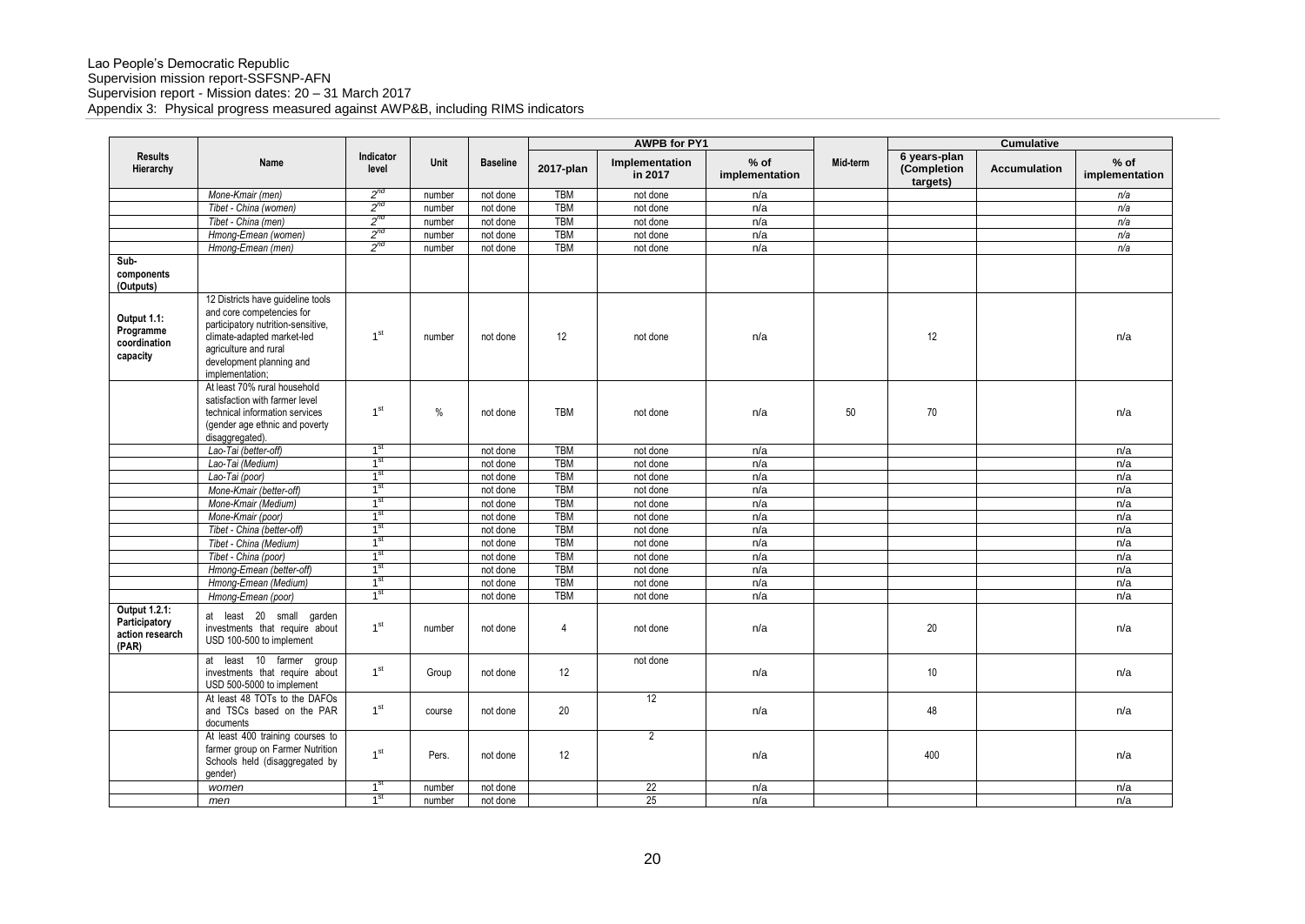|                                                            |                                                                                                                                                                                                            |                    |               |                 | <b>AWPB for PY1</b> |                           |                          | Cumulative |                                         |                     |                          |
|------------------------------------------------------------|------------------------------------------------------------------------------------------------------------------------------------------------------------------------------------------------------------|--------------------|---------------|-----------------|---------------------|---------------------------|--------------------------|------------|-----------------------------------------|---------------------|--------------------------|
| <b>Results</b><br>Hierarchy                                | Name                                                                                                                                                                                                       | Indicator<br>level | Unit          | <b>Baseline</b> | 2017-plan           | Implementation<br>in 2017 | $%$ of<br>implementation | Mid-term   | 6 years-plan<br>(Completion<br>targets) | <b>Accumulation</b> | $%$ of<br>implementation |
|                                                            | Mone-Kmair (men)                                                                                                                                                                                           | $2^{nd}$           | number        | not done        | <b>TBM</b>          | not done                  | n/a                      |            |                                         |                     | n/a                      |
|                                                            | Tibet - China (women)                                                                                                                                                                                      | $2^{nd}$           | number        | not done        | <b>TBM</b>          | not done                  | n/a                      |            |                                         |                     | n/a                      |
|                                                            | Tibet - China (men)                                                                                                                                                                                        | $2^{nd}$           | number        | not done        | <b>TBM</b>          | not done                  | n/a                      |            |                                         |                     | n/a                      |
|                                                            | Hmong-Emean (women)                                                                                                                                                                                        | $2^{nq}$           | number        | not done        | <b>TBM</b>          | not done                  | n/a                      |            |                                         |                     | n/a                      |
|                                                            | Hmong-Emean (men)                                                                                                                                                                                          | $2^{nd}$           | number        | not done        | <b>TBM</b>          | not done                  | n/a                      |            |                                         |                     | n/a                      |
| Sub-<br>components<br>(Outputs)                            |                                                                                                                                                                                                            |                    |               |                 |                     |                           |                          |            |                                         |                     |                          |
| Output 1.1:<br>Programme<br>coordination<br>capacity       | 12 Districts have guideline tools<br>and core competencies for<br>participatory nutrition-sensitive,<br>climate-adapted market-led<br>agriculture and rural<br>development planning and<br>implementation; | 1 <sup>st</sup>    | number        | not done        | 12                  | not done                  | n/a                      |            | 12                                      |                     | n/a                      |
|                                                            | At least 70% rural household<br>satisfaction with farmer level<br>technical information services<br>(gender age ethnic and poverty<br>disaggregated).                                                      | 1 <sup>st</sup>    | $\frac{0}{0}$ | not done        | <b>TBM</b>          | not done                  | n/a                      | 50         | 70                                      |                     | n/a                      |
|                                                            | Lao-Tai (better-off)                                                                                                                                                                                       | $1^{\rm st}$       |               | not done        | <b>TBM</b>          | not done                  | n/a                      |            |                                         |                     | n/a                      |
|                                                            | Lao-Tai (Medium)                                                                                                                                                                                           | 1 <sup>st</sup>    |               | not done        | TBM                 | not done                  | n/a                      |            |                                         |                     | n/a                      |
|                                                            | Lao-Tai (poor)                                                                                                                                                                                             | 1 <sup>st</sup>    |               | not done        | <b>TBM</b>          | not done                  | n/a                      |            |                                         |                     | n/a                      |
|                                                            | Mone-Kmair (better-off)                                                                                                                                                                                    | 1 <sup>st</sup>    |               | not done        | <b>TBM</b>          | not done                  | n/a                      |            |                                         |                     | n/a                      |
|                                                            | Mone-Kmair (Medium)                                                                                                                                                                                        | 1 <sup>st</sup>    |               | not done        | <b>TBM</b>          | not done                  | n/a                      |            |                                         |                     | n/a                      |
|                                                            | Mone-Kmair (poor)                                                                                                                                                                                          | 1 <sup>st</sup>    |               | not done        | <b>TBM</b>          | not done                  | n/a                      |            |                                         |                     | n/a                      |
|                                                            | Tibet - China (better-off)                                                                                                                                                                                 | 1 <sup>st</sup>    |               | not done        | TBM                 | not done                  | n/a                      |            |                                         |                     | n/a                      |
|                                                            | Tibet - China (Medium)                                                                                                                                                                                     | 1 <sup>st</sup>    |               | not done        | <b>TBM</b>          | not done                  | n/a                      |            |                                         |                     | n/a                      |
|                                                            | Tibet - China (poor)                                                                                                                                                                                       | 1 <sup>st</sup>    |               | not done        | <b>TBM</b>          | not done                  | n/a                      |            |                                         |                     | n/a                      |
|                                                            | Hmong-Emean (better-off)                                                                                                                                                                                   | 1 <sup>st</sup>    |               | not done        | <b>TBM</b>          | not done                  | n/a                      |            |                                         |                     | n/a                      |
|                                                            | Hmong-Emean (Medium)                                                                                                                                                                                       | 1 <sup>st</sup>    |               | not done        | <b>TBM</b>          | not done                  | n/a                      |            |                                         |                     | n/a                      |
|                                                            | Hmong-Emean (poor)                                                                                                                                                                                         | 1 <sup>st</sup>    |               | not done        | TBM                 | not done                  | n/a                      |            |                                         |                     | n/a                      |
| Output 1.2.1:<br>Participatory<br>action research<br>(PAR) | at least 20 small garden<br>investments that require about<br>USD 100-500 to implement                                                                                                                     | 1 <sup>st</sup>    | number        | not done        | 4                   | not done                  | n/a                      |            | 20                                      |                     | n/a                      |
|                                                            | at least 10 farmer<br>group<br>investments that require about<br>USD 500-5000 to implement                                                                                                                 | 1 <sup>st</sup>    | Group         | not done        | 12                  | not done                  | n/a                      |            | 10                                      |                     | n/a                      |
|                                                            | At least 48 TOTs to the DAFOs<br>and TSCs based on the PAR<br>documents                                                                                                                                    | 1 <sup>st</sup>    | course        | not done        | 20                  | 12                        | n/a                      |            | 48                                      |                     | n/a                      |
|                                                            | At least 400 training courses to<br>farmer group on Farmer Nutrition<br>Schools held (disaggregated by<br>gender)                                                                                          | 1 <sup>st</sup>    | Pers.         | not done        | 12                  | $\overline{2}$            | n/a                      |            | 400                                     |                     | n/a                      |
|                                                            | women                                                                                                                                                                                                      | 1 <sup>st</sup>    | number        | not done        |                     | 22                        | n/a                      |            |                                         |                     | n/a                      |
|                                                            | men                                                                                                                                                                                                        | 1 <sup>st</sup>    | number        | not done        |                     | 25                        | n/a                      |            |                                         |                     | n/a                      |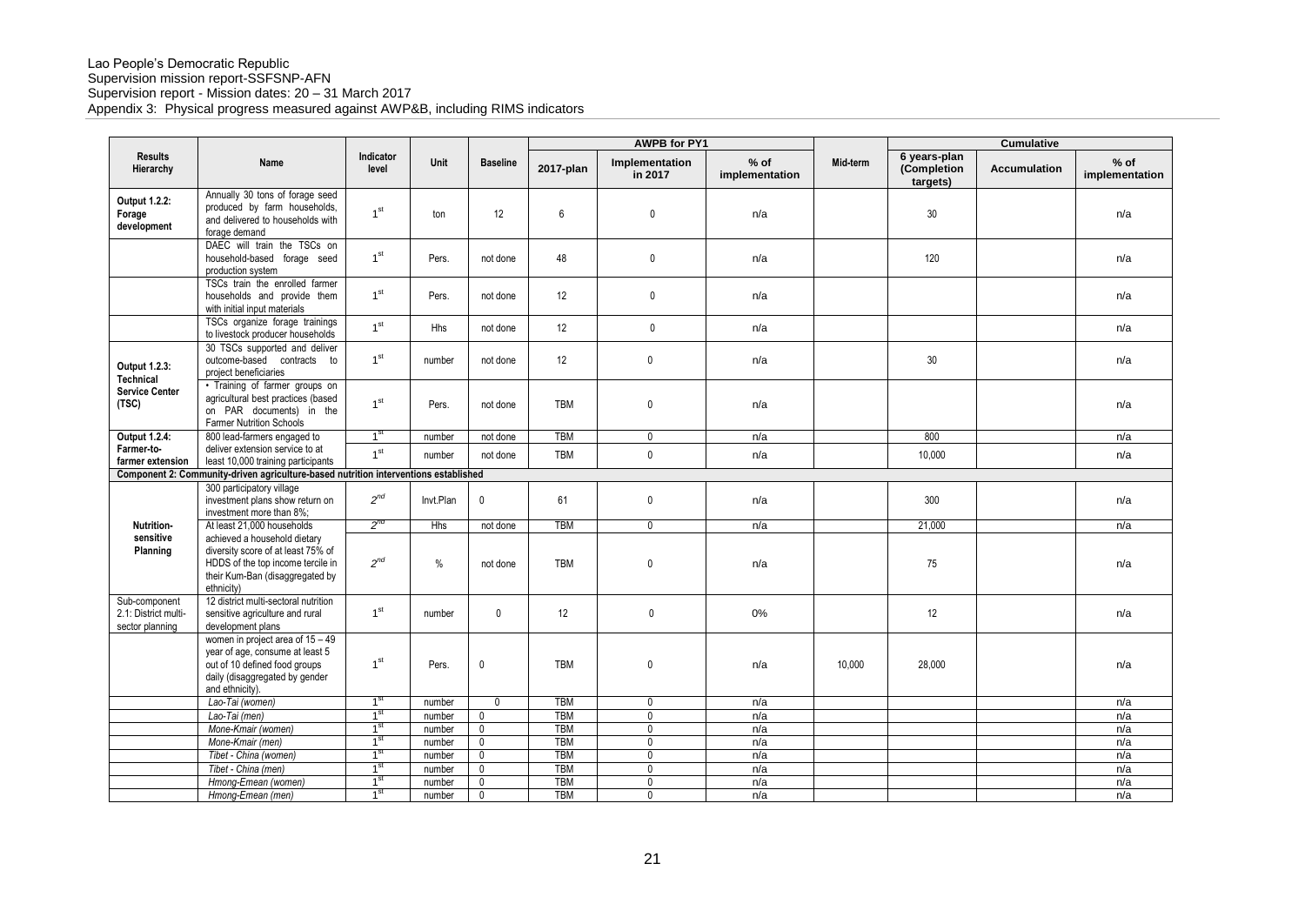|                                                          |                                                                                                                                                             |                                    |                  |                             |                          | <b>AWPB for PY1</b>              |                          |          |                                         | <b>Cumulative</b> |                          |
|----------------------------------------------------------|-------------------------------------------------------------------------------------------------------------------------------------------------------------|------------------------------------|------------------|-----------------------------|--------------------------|----------------------------------|--------------------------|----------|-----------------------------------------|-------------------|--------------------------|
| <b>Results</b><br>Hierarchy                              | Name                                                                                                                                                        | Indicator<br>level                 | Unit             | <b>Baseline</b>             | 2017-plan                | Implementation<br>in 2017        | $%$ of<br>implementation | Mid-term | 6 years-plan<br>(Completion<br>targets) | Accumulation      | $%$ of<br>implementation |
| Output 1.2.2:<br>Forage<br>development                   | Annually 30 tons of forage seed<br>produced by farm households,<br>and delivered to households with<br>forage demand                                        | 1 <sup>st</sup>                    | ton              | 12                          | 6                        | $\mathbf{0}$                     | n/a                      |          | 30                                      |                   | n/a                      |
|                                                          | DAEC will train the TSCs on<br>household-based forage seed<br>production system                                                                             | 1 <sup>st</sup>                    | Pers.            | not done                    | 48                       | $\mathbf 0$                      | n/a                      |          | 120                                     |                   | n/a                      |
|                                                          | TSCs train the enrolled farmer<br>households and provide them<br>with initial input materials                                                               | 1 <sup>st</sup>                    | Pers.            | not done                    | 12                       | $\mathbf 0$                      | n/a                      |          |                                         |                   | n/a                      |
|                                                          | TSCs organize forage trainings<br>to livestock producer households                                                                                          | 1 <sup>st</sup>                    | <b>Hhs</b>       | not done                    | 12                       | $\mathbf 0$                      | n/a                      |          |                                         |                   | n/a                      |
| Output 1.2.3:<br><b>Technical</b>                        | 30 TSCs supported and deliver<br>outcome-based contracts to<br>project beneficiaries                                                                        | 1 <sup>st</sup>                    | number           | not done                    | 12                       | $\mathbf 0$                      | n/a                      |          | 30                                      |                   | n/a                      |
| <b>Service Center</b><br>(TSC)                           | · Training of farmer groups on<br>agricultural best practices (based<br>on PAR documents) in the<br><b>Farmer Nutrition Schools</b>                         | 1 <sup>st</sup>                    | Pers.            | not done                    | <b>TBM</b>               | $\mathbf 0$                      | n/a                      |          |                                         |                   | n/a                      |
| Output 1.2.4:                                            | 800 lead-farmers engaged to                                                                                                                                 | 1 <sup>st</sup>                    | number           | not done                    | <b>TBM</b>               | $\mathbf 0$                      | n/a                      |          | 800                                     |                   | n/a                      |
| Farmer-to-<br>farmer extension                           | deliver extension service to at<br>least 10,000 training participants                                                                                       | 1 <sup>st</sup>                    | number           | not done                    | <b>TBM</b>               | $\mathbf{0}$                     | n/a                      |          | 10.000                                  |                   | n/a                      |
|                                                          | Component 2: Community-driven agriculture-based nutrition interventions established                                                                         |                                    |                  |                             |                          |                                  |                          |          |                                         |                   |                          |
|                                                          | 300 participatory village<br>investment plans show return on<br>investment more than 8%;                                                                    | $2^{nd}$                           | Invt.Plan        | $\mathbf 0$                 | 61                       | $\mathbf 0$                      | n/a                      |          | 300                                     |                   | n/a                      |
| <b>Nutrition-</b>                                        | At least 21,000 households                                                                                                                                  | $2^{nd}$                           | <b>Hhs</b>       | not done                    | <b>TBM</b>               | $\mathbf 0$                      | n/a                      |          | 21.000                                  |                   | n/a                      |
| sensitive<br>Planning                                    | achieved a household dietary<br>diversity score of at least 75% of<br>HDDS of the top income tercile in<br>their Kum-Ban (disaggregated by<br>ethnicity)    | $2^{nd}$                           | $\%$             | not done                    | <b>TBM</b>               | $\mathbf 0$                      | n/a                      |          | 75                                      |                   | n/a                      |
| Sub-component<br>2.1: District multi-<br>sector planning | 12 district multi-sectoral nutrition<br>sensitive agriculture and rural<br>development plans                                                                | 1 <sup>st</sup>                    | number           | $\mathbf 0$                 | 12                       | $\pmb{0}$                        | $0\%$                    |          | 12                                      |                   | n/a                      |
|                                                          |                                                                                                                                                             |                                    |                  |                             |                          |                                  |                          |          |                                         |                   |                          |
|                                                          | women in project area of $15 - 49$<br>year of age, consume at least 5<br>out of 10 defined food groups<br>daily (disaggregated by gender<br>and ethnicity). | 1 <sup>st</sup>                    | Pers.            | $\pmb{0}$                   | <b>TBM</b>               | $\mathbf 0$                      | n/a                      | 10,000   | 28,000                                  |                   | n/a                      |
|                                                          | Lao-Tai (women)                                                                                                                                             | 1 <sup>st</sup>                    | number           | $\mathbf{0}$                | <b>TBM</b>               | $\mathbf 0$                      | n/a                      |          |                                         |                   | n/a                      |
|                                                          | Lao-Tai (men)                                                                                                                                               | 1 <sup>st</sup>                    | number           | 0                           | <b>TBM</b>               | $\mathbf 0$                      | n/a                      |          |                                         |                   | n/a                      |
|                                                          | Mone-Kmair (women)                                                                                                                                          | 1 <sup>st</sup>                    | number           | $\mathbf 0$                 | <b>TBM</b>               | $\mathbf 0$                      | n/a                      |          |                                         |                   | n/a                      |
|                                                          | Mone-Kmair (men)                                                                                                                                            | 1 <sup>st</sup>                    | number           | $\mathbf{0}$                | <b>TBM</b>               | $\mathbf 0$                      | n/a                      |          |                                         |                   | n/a                      |
|                                                          | Tibet - China (women)                                                                                                                                       | 1 <sup>st</sup>                    | number           | $\mathbf 0$                 | <b>TBM</b>               | $\overline{0}$                   | n/a                      |          |                                         |                   | n/a                      |
|                                                          | Tibet - China (men)<br>Hmong-Emean (women)                                                                                                                  | 1 <sup>st</sup><br>1 <sup>st</sup> | number<br>number | $\mathbf{0}$<br>$\mathbf 0$ | <b>TBM</b><br><b>TBM</b> | $\overline{0}$<br>$\overline{0}$ | n/a<br>n/a               |          |                                         |                   | n/a<br>n/a               |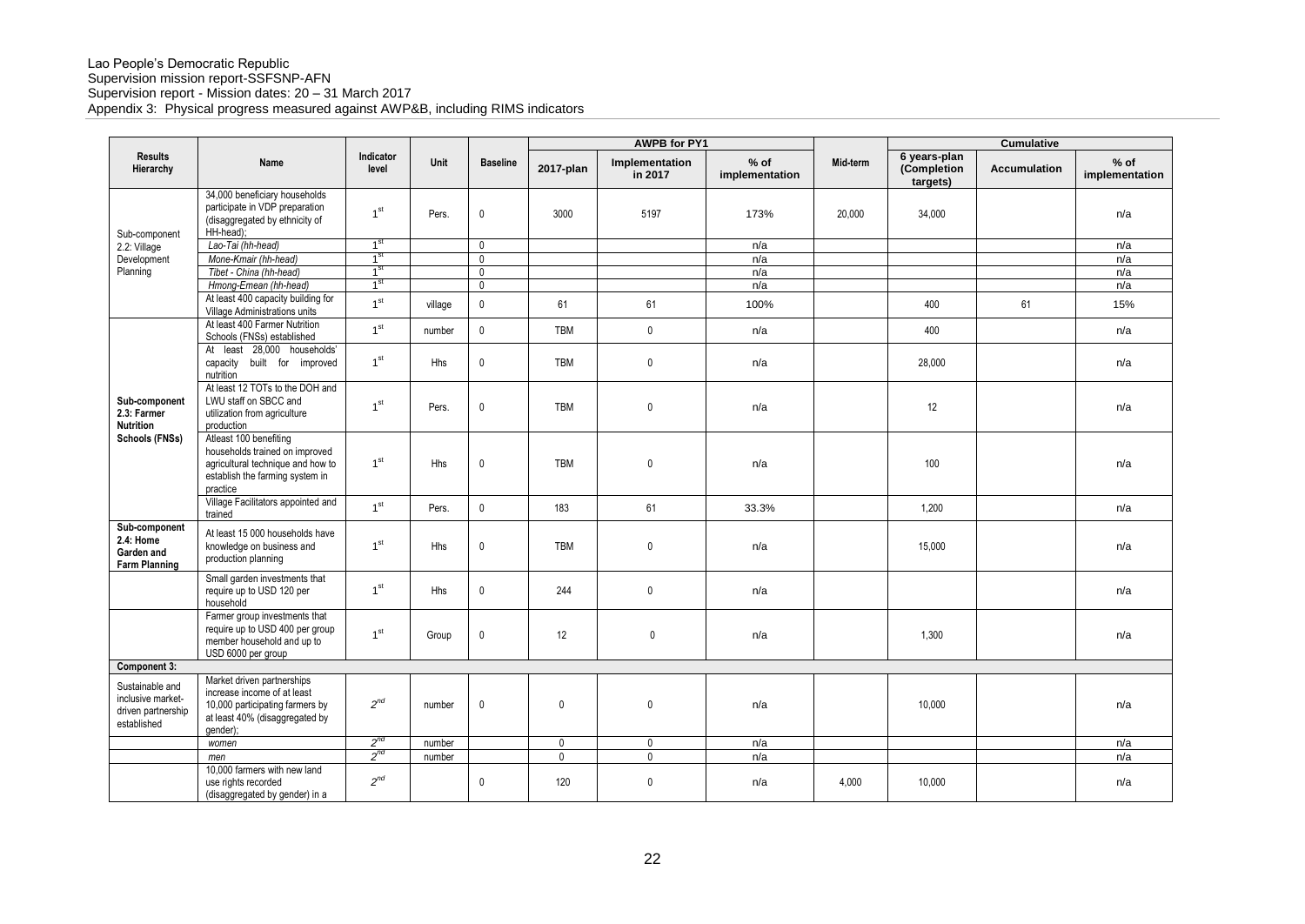|                                                                           |                                                                                                                                              |                                    |         |                            |             | <b>AWPB for PY1</b>       |                          |          | <b>Cumulative</b>                       |              |                          |
|---------------------------------------------------------------------------|----------------------------------------------------------------------------------------------------------------------------------------------|------------------------------------|---------|----------------------------|-------------|---------------------------|--------------------------|----------|-----------------------------------------|--------------|--------------------------|
| <b>Results</b><br>Hierarchy                                               | Name                                                                                                                                         | Indicator<br>level                 | Unit    | <b>Baseline</b>            | 2017-plan   | Implementation<br>in 2017 | $%$ of<br>implementation | Mid-term | 6 years-plan<br>(Completion<br>targets) | Accumulation | $%$ of<br>implementation |
| Sub-component                                                             | 34,000 beneficiary households<br>participate in VDP preparation<br>(disaggregated by ethnicity of<br>HH-head);                               | 1 <sup>st</sup>                    | Pers.   | $\mathbf 0$                | 3000        | 5197                      | 173%                     | 20,000   | 34,000                                  |              | n/a                      |
| 2.2: Village                                                              | Lao-Tai (hh-head)                                                                                                                            | 1 <sup>st</sup>                    |         | $\mathbf{0}$               |             |                           | n/a                      |          |                                         |              | n/a                      |
| Development                                                               | Mone-Kmair (hh-head)                                                                                                                         | 1 <sup>st</sup>                    |         | $\mathbf{0}$               |             |                           | n/a                      |          |                                         |              | n/a                      |
| Planning                                                                  | Tibet - China (hh-head)                                                                                                                      | 1 <sup>st</sup><br>1 <sup>st</sup> |         | $\mathbf{0}$               |             |                           | n/a                      |          |                                         |              | n/a                      |
|                                                                           | Hmong-Emean (hh-head)<br>At least 400 capacity building for<br>Village Administrations units                                                 | 1 <sup>st</sup>                    | village | $\mathbf 0$<br>$\mathbb O$ | 61          | 61                        | n/a<br>100%              |          | 400                                     | 61           | n/a<br>15%               |
|                                                                           | At least 400 Farmer Nutrition<br>Schools (FNSs) established                                                                                  | 1 <sup>st</sup>                    | number  | $\mathbf{0}$               | TBM         | $\mathbf 0$               | n/a                      |          | 400                                     |              | n/a                      |
|                                                                           | At least 28,000 households'<br>capacity built for improved<br>nutrition                                                                      | 1 <sup>st</sup>                    | Hhs     | $\mathbf{0}$               | <b>TBM</b>  | 0                         | n/a                      |          | 28,000                                  |              | n/a                      |
| Sub-component<br>2.3: Farmer<br><b>Nutrition</b>                          | At least 12 TOTs to the DOH and<br>LWU staff on SBCC and<br>utilization from agriculture<br>production                                       | 1 <sup>st</sup>                    | Pers.   | $\mathbf 0$                | <b>TBM</b>  | 0                         | n/a                      |          | 12                                      |              | n/a                      |
| Schools (FNSs)                                                            | Atleast 100 benefiting<br>households trained on improved<br>agricultural technique and how to<br>establish the farming system in<br>practice | 1 <sup>st</sup>                    | Hhs     | $\mathbf{0}$               | <b>TBM</b>  | 0                         | n/a                      |          | 100                                     |              | n/a                      |
|                                                                           | Village Facilitators appointed and<br>trained                                                                                                | 1 <sup>st</sup>                    | Pers.   | $\mathbf{0}$               | 183         | 61                        | 33.3%                    |          | 1.200                                   |              | n/a                      |
| Sub-component<br>2.4: Home<br>Garden and<br><b>Farm Planning</b>          | At least 15 000 households have<br>knowledge on business and<br>production planning                                                          | 1 <sup>st</sup>                    | Hhs     | $\mathbf{0}$               | <b>TBM</b>  | 0                         | n/a                      |          | 15,000                                  |              | n/a                      |
|                                                                           | Small garden investments that<br>require up to USD 120 per<br>household                                                                      | 1 <sup>st</sup>                    | Hhs     | $\mathbf{0}$               | 244         | 0                         | n/a                      |          |                                         |              | n/a                      |
|                                                                           | Farmer group investments that<br>require up to USD 400 per group<br>member household and up to<br>USD 6000 per group                         | 1 <sup>st</sup>                    | Group   | $\mathbf{0}$               | 12          | $\mathbf 0$               | n/a                      |          | 1,300                                   |              | n/a                      |
| Component 3:                                                              |                                                                                                                                              |                                    |         |                            |             |                           |                          |          |                                         |              |                          |
| Sustainable and<br>inclusive market-<br>driven partnership<br>established | Market driven partnerships<br>increase income of at least<br>10,000 participating farmers by<br>at least 40% (disaggregated by<br>gender);   | $2^{nd}$                           | number  | $\mathbf 0$                | $\mathbf 0$ | 0                         | n/a                      |          | 10,000                                  |              | n/a                      |
|                                                                           | women                                                                                                                                        | $2^{nd}$                           | number  |                            | $\mathbf 0$ | 0                         | n/a                      |          |                                         |              | n/a                      |
|                                                                           | men                                                                                                                                          | $2^{nd}$                           | number  |                            | $\Omega$    | 0                         | n/a                      |          |                                         |              | n/a                      |
|                                                                           | 10,000 farmers with new land<br>use rights recorded<br>(disaggregated by gender) in a                                                        | $2^{nd}$                           |         | $\mathbf 0$                | 120         | 0                         | n/a                      | 4,000    | 10,000                                  |              | n/a                      |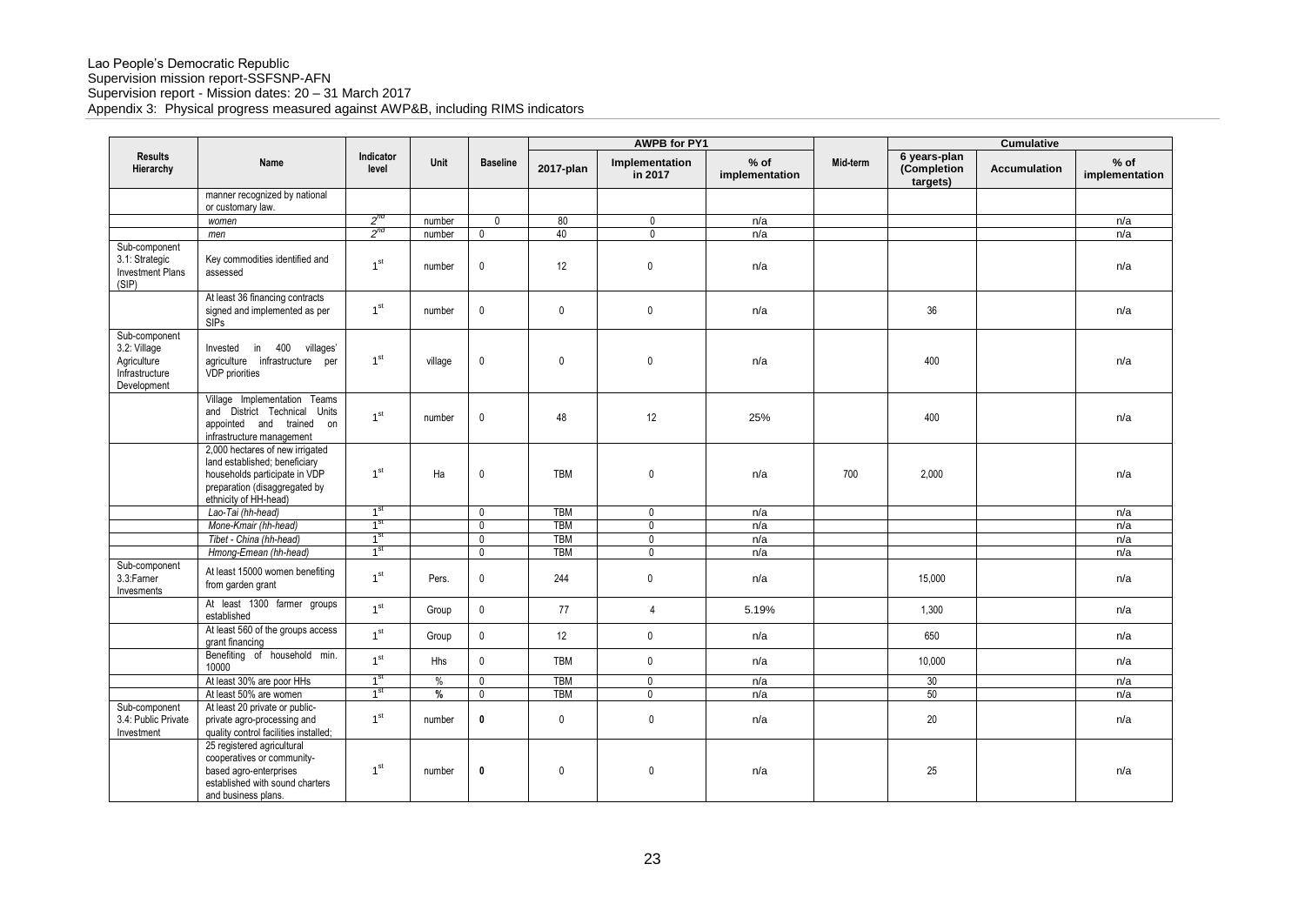|                                                                               |                                                                                                                                                             |                    |               |                 | <b>AWPB for PY1</b> |                           |                          | Cumulative |                                         |              |                          |
|-------------------------------------------------------------------------------|-------------------------------------------------------------------------------------------------------------------------------------------------------------|--------------------|---------------|-----------------|---------------------|---------------------------|--------------------------|------------|-----------------------------------------|--------------|--------------------------|
| <b>Results</b><br>Hierarchy                                                   | Name                                                                                                                                                        | Indicator<br>level | Unit          | <b>Baseline</b> | 2017-plan           | Implementation<br>in 2017 | $%$ of<br>implementation | Mid-term   | 6 years-plan<br>(Completion<br>targets) | Accumulation | $%$ of<br>implementation |
|                                                                               | manner recognized by national<br>or customary law.                                                                                                          |                    |               |                 |                     |                           |                          |            |                                         |              |                          |
|                                                                               | women                                                                                                                                                       | $2^{nd}$           | number        | $\mathbf{0}$    | 80                  | $\mathbf 0$               | n/a                      |            |                                         |              | n/a                      |
|                                                                               | men                                                                                                                                                         | $2^{nd}$           | number        | $\mathbf{0}$    | 40                  | $\mathbf 0$               | n/a                      |            |                                         |              | n/a                      |
| Sub-component<br>3.1: Strategic<br><b>Investment Plans</b><br>(SIP)           | Key commodities identified and<br>assessed                                                                                                                  | 1 <sup>st</sup>    | number        | 0               | 12                  | $\mathbf{0}$              | n/a                      |            |                                         |              | n/a                      |
|                                                                               | At least 36 financing contracts<br>signed and implemented as per<br><b>SIPs</b>                                                                             | 1 <sup>st</sup>    | number        | $\mathbf 0$     | $\mathbf 0$         | $\mathbf 0$               | n/a                      |            | 36                                      |              | n/a                      |
| Sub-component<br>3.2: Village<br>Agriculture<br>Infrastructure<br>Development | in 400<br>villages'<br>Invested<br>agriculture infrastructure per<br>VDP priorities                                                                         | 1 <sup>st</sup>    | village       | $\pmb{0}$       | $\mathbf{0}$        | $\mathbf 0$               | n/a                      |            | 400                                     |              | n/a                      |
|                                                                               | Village Implementation Teams<br>and District Technical<br>Units<br>appointed and trained on<br>infrastructure management                                    | 1 <sup>st</sup>    | number        | 0               | 48                  | 12                        | 25%                      |            | 400                                     |              | n/a                      |
|                                                                               | 2,000 hectares of new irrigated<br>land established; beneficiary<br>households participate in VDP<br>preparation (disaggregated by<br>ethnicity of HH-head) | 1 <sup>st</sup>    | Ha            | 0               | <b>TBM</b>          | $\mathbf 0$               | n/a                      | 700        | 2,000                                   |              | n/a                      |
|                                                                               | Lao-Tai (hh-head)                                                                                                                                           | 1 <sup>st</sup>    |               | $\mathbf 0$     | <b>TBM</b>          | $\mathbf 0$               | n/a                      |            |                                         |              | n/a                      |
|                                                                               | Mone-Kmair (hh-head)                                                                                                                                        | 1 <sup>st</sup>    |               | $\mathbf{0}$    | <b>TBM</b>          | $\overline{0}$            | n/a                      |            |                                         |              | n/a                      |
|                                                                               | Tibet - China (hh-head)                                                                                                                                     | 1 <sup>st</sup>    |               | $\mathbf{0}$    | <b>TBM</b>          | $\mathbf 0$               | n/a                      |            |                                         |              | n/a                      |
|                                                                               | Hmong-Emean (hh-head)                                                                                                                                       | 1 <sup>st</sup>    |               | $\mathbf{0}$    | <b>TBM</b>          | $\mathbf 0$               | n/a                      |            |                                         |              | n/a                      |
| Sub-component<br>3.3:Farner<br>Invesments                                     | At least 15000 women benefiting<br>from garden grant                                                                                                        | 1 <sup>st</sup>    | Pers.         | 0               | 244                 | $\mathbf 0$               | n/a                      |            | 15.000                                  |              | n/a                      |
|                                                                               | At least 1300 farmer groups<br>established                                                                                                                  | 1 <sup>st</sup>    | Group         | $\mathbf 0$     | 77                  | $\overline{4}$            | 5.19%                    |            | 1,300                                   |              | n/a                      |
|                                                                               | At least 560 of the groups access<br>grant financing                                                                                                        | 1 <sup>st</sup>    | Group         | $\mathbf 0$     | 12                  | $\mathbf 0$               | n/a                      |            | 650                                     |              | n/a                      |
|                                                                               | Benefiting of household min.<br>10000                                                                                                                       | 1 <sup>st</sup>    | <b>Hhs</b>    | $\mathbf 0$     | <b>TBM</b>          | $\mathbf 0$               | n/a                      |            | 10,000                                  |              | n/a                      |
|                                                                               | At least 30% are poor HHs                                                                                                                                   | 1 <sup>st</sup>    | $\frac{0}{0}$ | $\mathbf{0}$    | <b>TBM</b>          | $\mathbf 0$               | n/a                      |            | 30                                      |              | n/a                      |
|                                                                               | At least 50% are women                                                                                                                                      | 1 <sup>st</sup>    | %             | $\mathbf{0}$    | <b>TBM</b>          | $\overline{0}$            | n/a                      |            | 50                                      |              | n/a                      |
| Sub-component<br>3.4: Public Private<br>Investment                            | At least 20 private or public-<br>private agro-processing and<br>quality control facilities installed;                                                      | 1 <sup>st</sup>    | number        | $\pmb{0}$       | $\mathbf 0$         | $\mathsf{O}\xspace$       | n/a                      |            | 20                                      |              | n/a                      |
|                                                                               | 25 registered agricultural<br>cooperatives or community-<br>based agro-enterprises<br>established with sound charters<br>and business plans.                | 1 <sup>st</sup>    | number        | 0               | $\mathbf{0}$        | $\mathbf 0$               | n/a                      |            | 25                                      |              | n/a                      |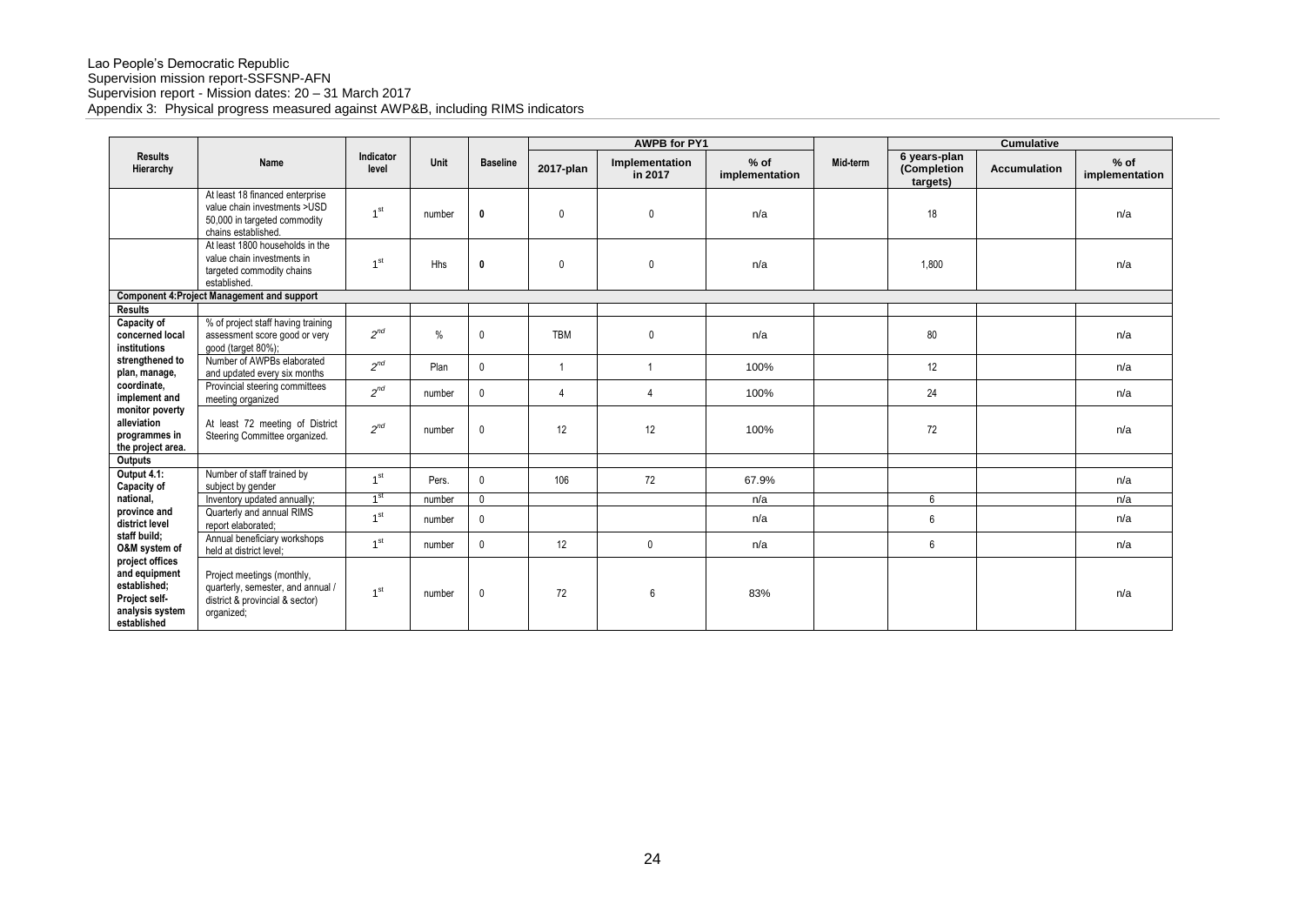|                                                                                                     |                                                                                                                        |                    |               |                 |              | <b>AWPB for PY1</b>       |                          |          |                                         | <b>Cumulative</b>   |                          |
|-----------------------------------------------------------------------------------------------------|------------------------------------------------------------------------------------------------------------------------|--------------------|---------------|-----------------|--------------|---------------------------|--------------------------|----------|-----------------------------------------|---------------------|--------------------------|
| <b>Results</b><br>Hierarchy                                                                         | Name                                                                                                                   | Indicator<br>level | Unit          | <b>Baseline</b> | 2017-plan    | Implementation<br>in 2017 | $%$ of<br>implementation | Mid-term | 6 years-plan<br>(Completion<br>targets) | <b>Accumulation</b> | $%$ of<br>implementation |
|                                                                                                     | At least 18 financed enterprise<br>value chain investments >USD<br>50,000 in targeted commodity<br>chains established. | 1 <sup>st</sup>    | number        | $\mathbf 0$     | $\mathbf{0}$ | $\mathbf 0$               | n/a                      |          | 18                                      |                     | n/a                      |
|                                                                                                     | At least 1800 households in the<br>value chain investments in<br>targeted commodity chains<br>established.             | 1 <sup>st</sup>    | Hhs           | $\mathbf{0}$    | $\mathbf{0}$ | $\mathbf{0}$              | n/a                      |          | 1,800                                   |                     | n/a                      |
|                                                                                                     | <b>Component 4: Project Management and support</b>                                                                     |                    |               |                 |              |                           |                          |          |                                         |                     |                          |
| Results                                                                                             |                                                                                                                        |                    |               |                 |              |                           |                          |          |                                         |                     |                          |
| Capacity of<br>concerned local<br>institutions                                                      | % of project staff having training<br>assessment score good or very<br>good (target 80%);                              | $2^{nd}$           | $\frac{0}{0}$ | 0               | <b>TBM</b>   | $\mathbf{0}$              | n/a                      |          | 80                                      |                     | n/a                      |
| strengthened to<br>plan, manage,                                                                    | Number of AWPBs elaborated<br>and updated every six months                                                             | $2^{nd}$           | Plan          | $\mathbf 0$     | -1           |                           | 100%                     |          | 12                                      |                     | n/a                      |
| coordinate,<br>implement and                                                                        | Provincial steering committees<br>meeting organized                                                                    | $2^{nd}$           | number        | $\mathbf 0$     | 4            | 4                         | 100%                     |          | 24                                      |                     | n/a                      |
| monitor poverty<br>alleviation<br>programmes in<br>the project area.                                | At least 72 meeting of District<br>Steering Committee organized.                                                       | $2^{nd}$           | number        | $\mathbf 0$     | 12           | 12                        | 100%                     |          | 72                                      |                     | n/a                      |
| Outputs                                                                                             |                                                                                                                        |                    |               |                 |              |                           |                          |          |                                         |                     |                          |
| Output 4.1:<br>Capacity of                                                                          | Number of staff trained by<br>subject by gender                                                                        | 1 <sup>st</sup>    | Pers.         | $\mathbf 0$     | 106          | 72                        | 67.9%                    |          |                                         |                     | n/a                      |
| national,                                                                                           | Inventory updated annually;                                                                                            | 1 <sup>st</sup>    | number        | $\mathbf 0$     |              |                           | n/a                      |          | 6                                       |                     | n/a                      |
| province and<br>district level                                                                      | Quarterly and annual RIMS<br>report elaborated:                                                                        | 1 <sup>st</sup>    | number        | $\mathbf 0$     |              |                           | n/a                      |          | 6                                       |                     | n/a                      |
| staff build;<br>O&M system of                                                                       | Annual beneficiary workshops<br>held at district level;                                                                | 1 <sup>st</sup>    | number        | $\mathbf 0$     | 12           | $\mathbf{0}$              | n/a                      |          | 6                                       |                     | n/a                      |
| project offices<br>and equipment<br>established;<br>Project self-<br>analysis system<br>established | Project meetings (monthly,<br>quarterly, semester, and annual /<br>district & provincial & sector)<br>organized;       | 1 <sup>st</sup>    | number        | 0               | 72           | 6                         | 83%                      |          |                                         |                     | n/a                      |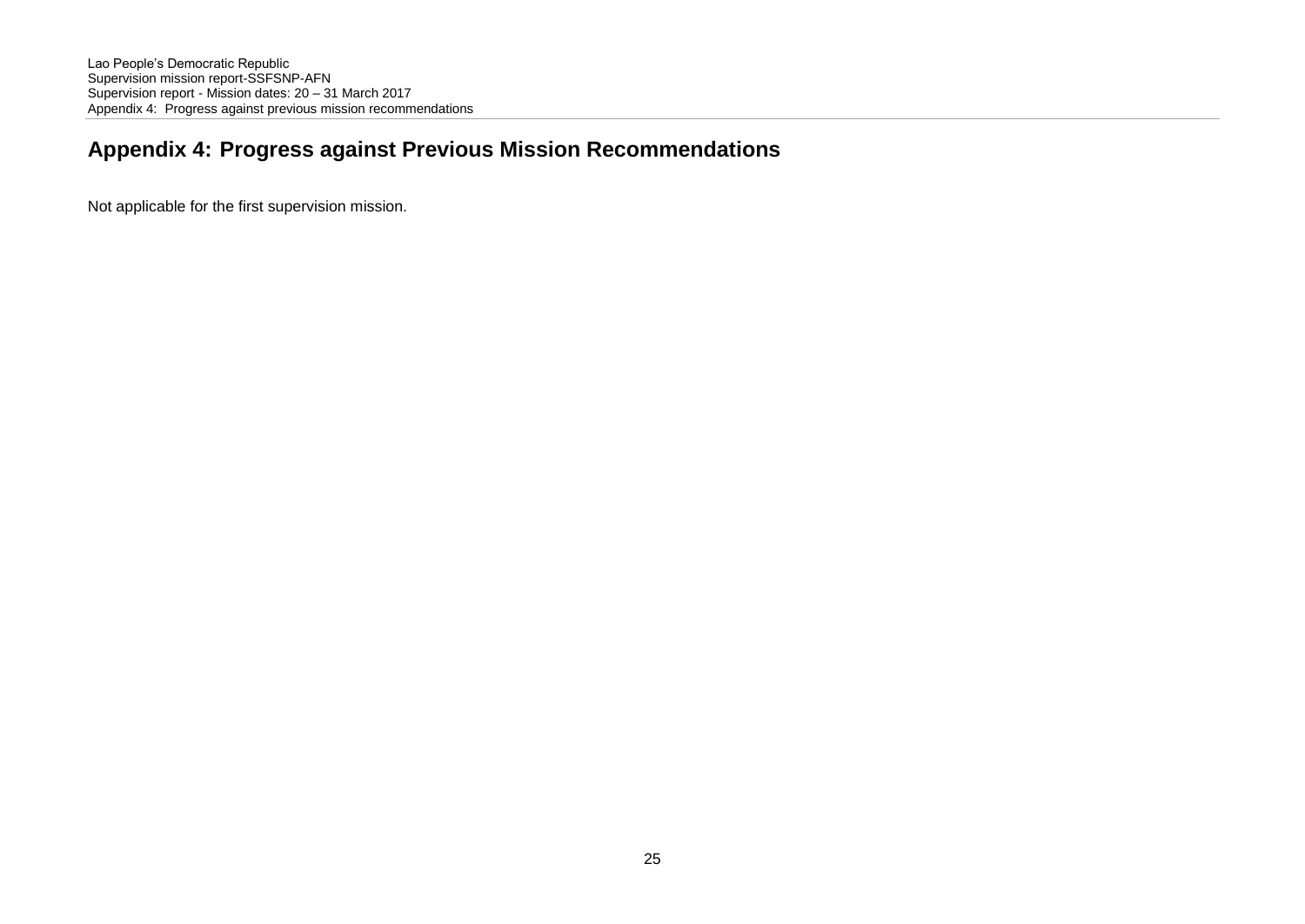# **Appendix 4: Progress against Previous Mission Recommendations**

Not applicable for the first supervision mission.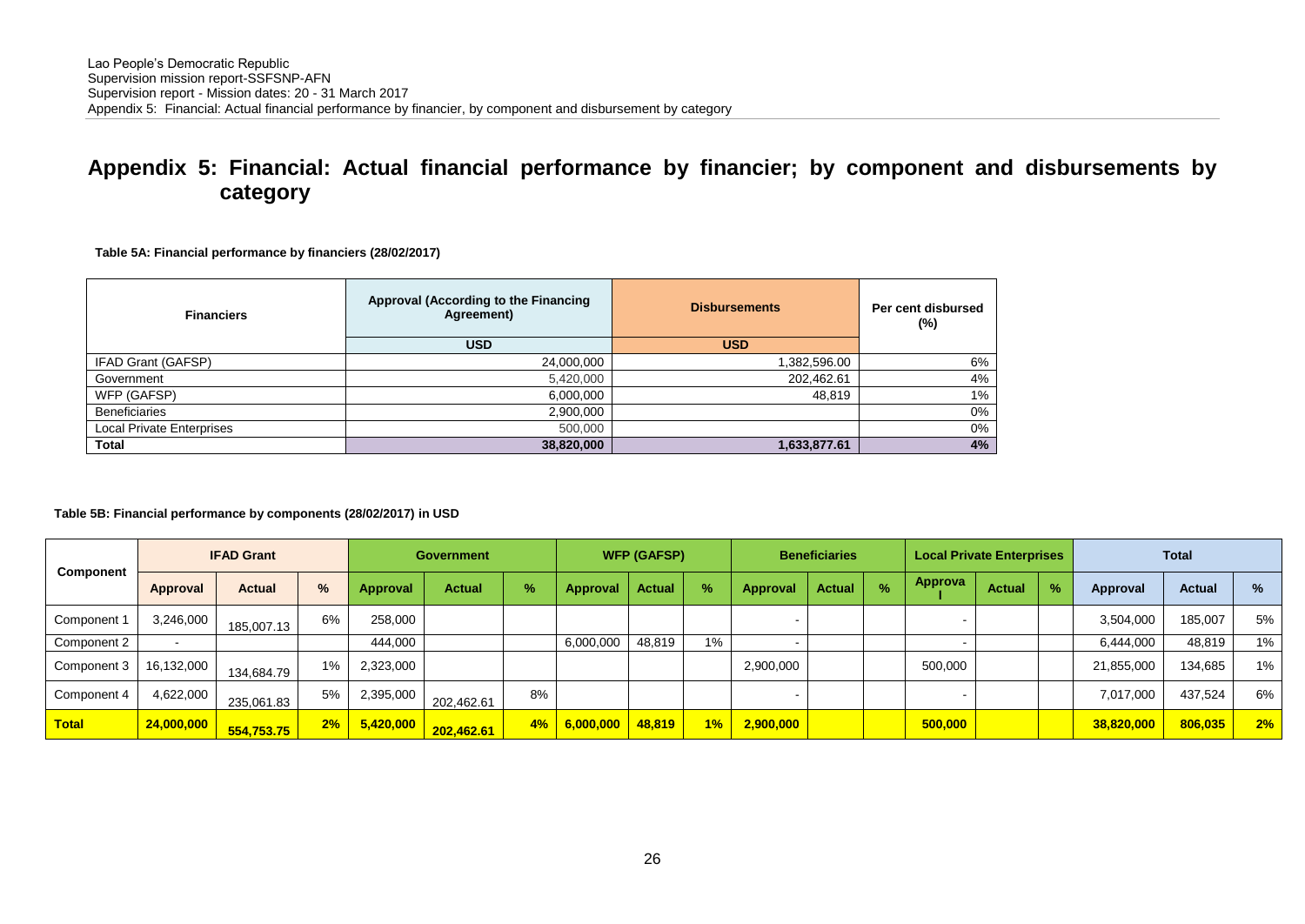# **Appendix 5: Financial: Actual financial performance by financier; by component and disbursements by category**

**Table 5A: Financial performance by financiers (28/02/2017)**

| <b>Financiers</b>                | Approval (According to the Financing<br>Agreement) | <b>Disbursements</b> | Per cent disbursed<br>(%) |
|----------------------------------|----------------------------------------------------|----------------------|---------------------------|
|                                  | <b>USD</b>                                         | <b>USD</b>           |                           |
| IFAD Grant (GAFSP)               | 24,000,000                                         | 1,382,596.00         | 6%                        |
| Government                       | 5,420,000                                          | 202,462.61           | 4%                        |
| WFP (GAFSP)                      | 6,000,000                                          | 48,819               | 1%                        |
| <b>Beneficiaries</b>             | 2,900,000                                          |                      | 0%                        |
| <b>Local Private Enterprises</b> | 500,000                                            |                      | 0%                        |
| Total                            | 38,820,000                                         | 1,633,877.61         | 4%                        |

#### **Table 5B: Financial performance by components (28/02/2017) in USD**

|              |            | <b>IFAD Grant</b> |               |           | <b>Government</b> |      |                     | <b>WFP (GAFSP)</b> |    |           | <b>Beneficiaries</b> |               |         | <b>Local Private Enterprises</b> |               |            | <b>Total</b>  |    |
|--------------|------------|-------------------|---------------|-----------|-------------------|------|---------------------|--------------------|----|-----------|----------------------|---------------|---------|----------------------------------|---------------|------------|---------------|----|
| Component    | Approval   | <b>Actual</b>     | $\frac{9}{6}$ | Approval  | Actual            | $\%$ | Approval            | <b>Actual</b>      | %  | Approval  | <b>Actual</b>        | $\frac{9}{6}$ | Approva | <b>Actual</b>                    | $\frac{9}{6}$ | Approval   | <b>Actual</b> | %  |
| Component 1  | 3.246.000  | 185,007.13        | 6%            | 258.000   |                   |      |                     |                    |    |           |                      |               |         |                                  |               | 3,504,000  | 185,007       | 5% |
| Component 2  |            |                   |               | 444.000   |                   |      | 6,000,000           | 48,819             | 1% |           |                      |               |         |                                  |               | 6,444,000  | 48,819        | 1% |
| Component 3  | 16,132,000 | 134,684.79        | $1\%$         | 2,323,000 |                   |      |                     |                    |    | 2,900,000 |                      |               | 500,000 |                                  |               | 21,855,000 | 134,685       | 1% |
| Component 4  | 4,622,000  | 235,061.83        | 5%            | 2,395,000 | 202,462.61        | 8%   |                     |                    |    |           |                      |               |         |                                  |               | 7,017,000  | 437,524       | 6% |
| <b>Total</b> | 24,000,000 | 554,753.75        | 2%            | 5,420,000 | 202,462.61        |      | 4% 6,000,000 48,819 |                    | 1% | 2,900,000 |                      |               | 500,000 |                                  |               | 38,820,000 | 806,035       | 2% |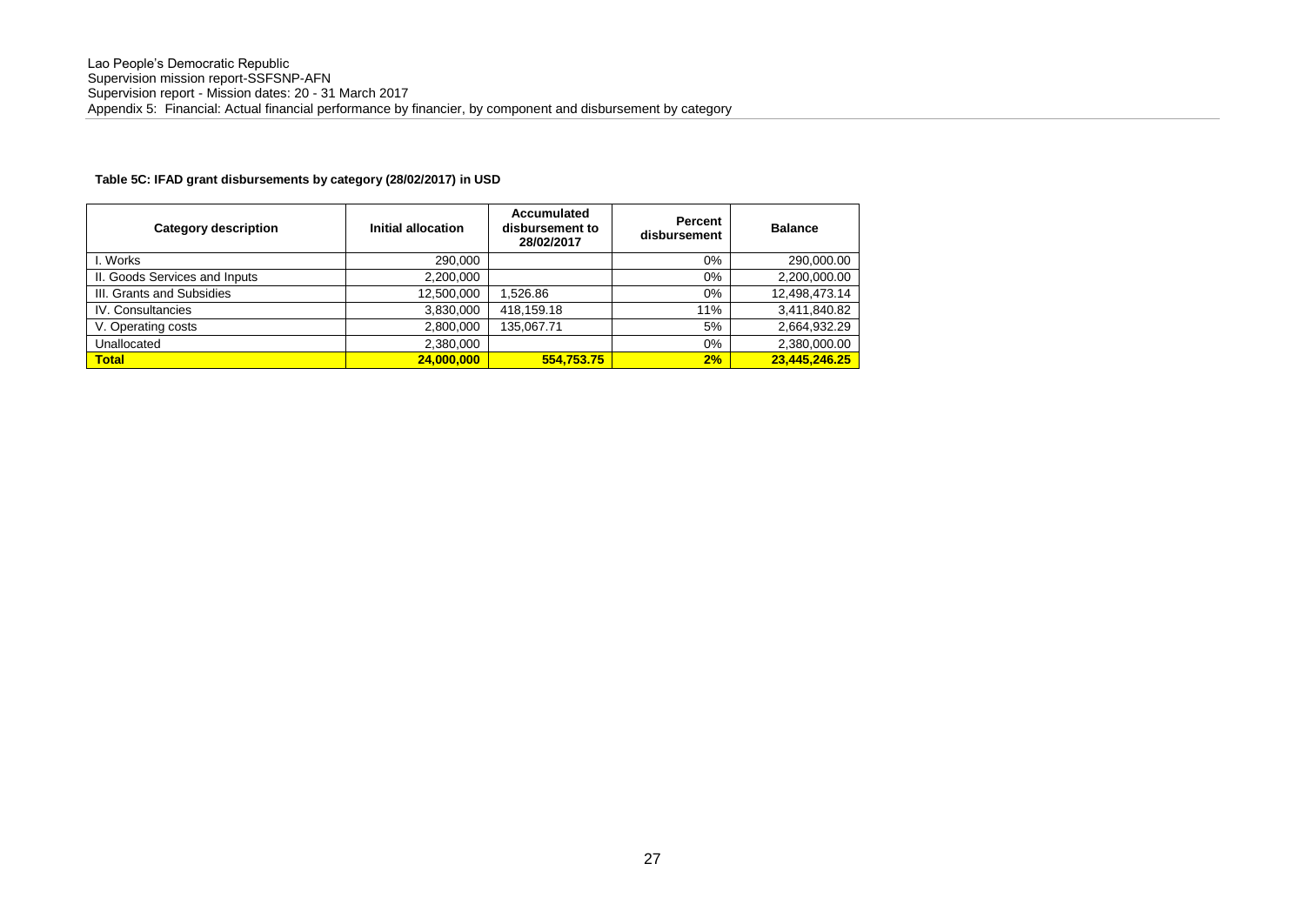#### **Table 5C: IFAD grant disbursements by category (28/02/2017) in USD**

| <b>Category description</b>   | Initial allocation | Accumulated<br>disbursement to<br>28/02/2017 | Percent<br>disbursement | <b>Balance</b> |
|-------------------------------|--------------------|----------------------------------------------|-------------------------|----------------|
| I. Works                      | 290.000            |                                              | $0\%$                   | 290,000.00     |
| II. Goods Services and Inputs | 2.200.000          |                                              | $0\%$                   | 2,200,000.00   |
| III. Grants and Subsidies     | 12,500,000         | .526.86                                      | $0\%$                   | 12,498,473.14  |
| IV. Consultancies             | 3,830,000          | 418.159.18                                   | 11%                     | 3,411,840.82   |
| V. Operating costs            | 2.800.000          | 135.067.71                                   | 5%                      | 2.664.932.29   |
| Unallocated                   | 2,380,000          |                                              | $0\%$                   | 2,380,000.00   |
| <b>Total</b>                  | 24,000,000         | 554.753.75                                   | 2%                      | 23.445.246.25  |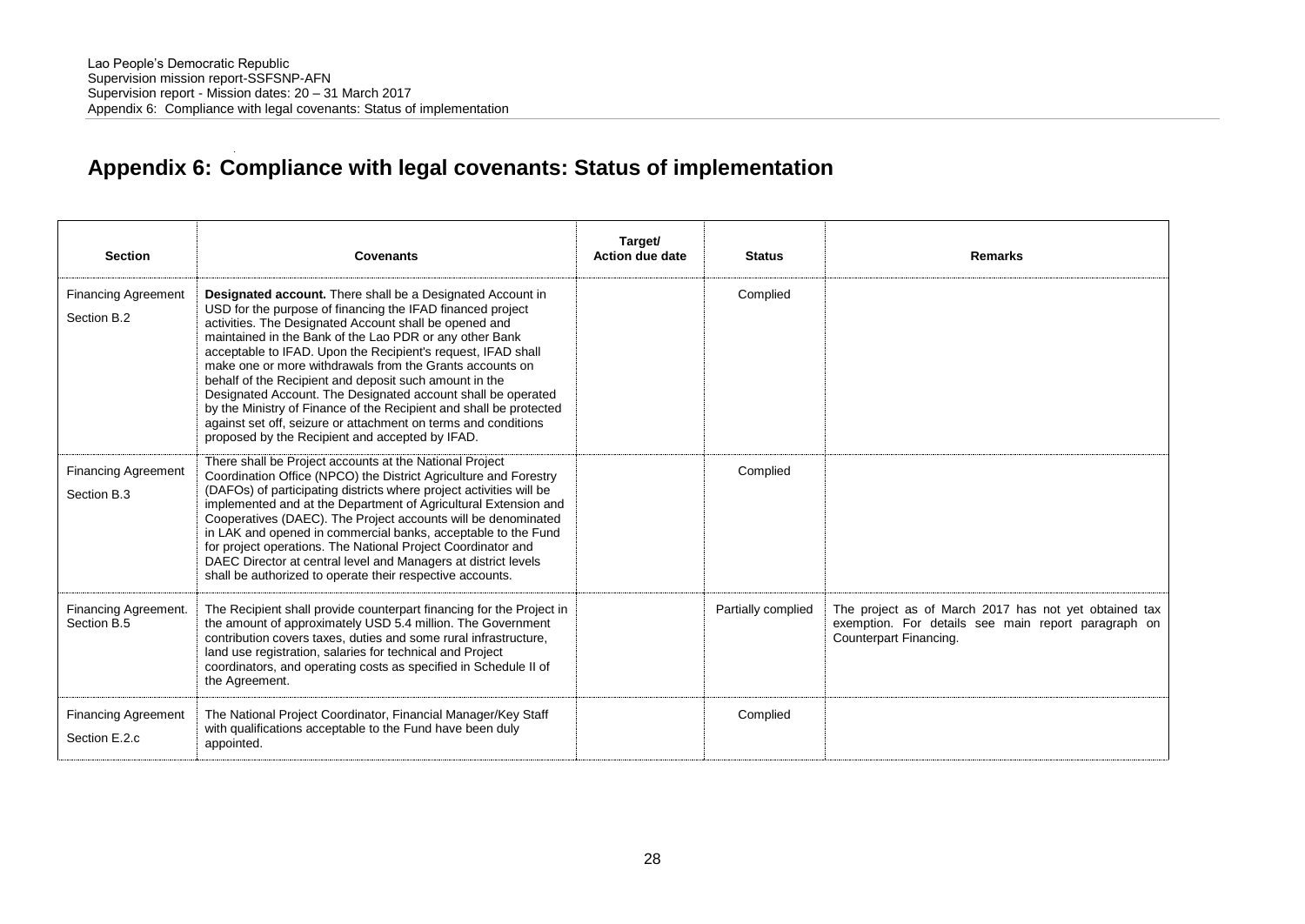# **Appendix 6: Compliance with legal covenants: Status of implementation**

| <b>Section</b>                              | Covenants                                                                                                                                                                                                                                                                                                                                                                                                                                                                                                                                                                                                                                                                                             | Target/<br>Action due date | <b>Status</b>      | <b>Remarks</b>                                                                                                                         |
|---------------------------------------------|-------------------------------------------------------------------------------------------------------------------------------------------------------------------------------------------------------------------------------------------------------------------------------------------------------------------------------------------------------------------------------------------------------------------------------------------------------------------------------------------------------------------------------------------------------------------------------------------------------------------------------------------------------------------------------------------------------|----------------------------|--------------------|----------------------------------------------------------------------------------------------------------------------------------------|
| <b>Financing Agreement</b><br>Section B.2   | <b>Designated account.</b> There shall be a Designated Account in<br>USD for the purpose of financing the IFAD financed project<br>activities. The Designated Account shall be opened and<br>maintained in the Bank of the Lao PDR or any other Bank<br>acceptable to IFAD. Upon the Recipient's request, IFAD shall<br>make one or more withdrawals from the Grants accounts on<br>behalf of the Recipient and deposit such amount in the<br>Designated Account. The Designated account shall be operated<br>by the Ministry of Finance of the Recipient and shall be protected<br>against set off, seizure or attachment on terms and conditions<br>proposed by the Recipient and accepted by IFAD. |                            | Complied           |                                                                                                                                        |
| <b>Financing Agreement</b><br>Section B.3   | There shall be Project accounts at the National Project<br>Coordination Office (NPCO) the District Agriculture and Forestry<br>(DAFOs) of participating districts where project activities will be<br>implemented and at the Department of Agricultural Extension and<br>Cooperatives (DAEC). The Project accounts will be denominated<br>in LAK and opened in commercial banks, acceptable to the Fund<br>for project operations. The National Project Coordinator and<br>DAEC Director at central level and Managers at district levels<br>shall be authorized to operate their respective accounts.                                                                                                |                            | Complied           |                                                                                                                                        |
| Financing Agreement.<br>Section B.5         | The Recipient shall provide counterpart financing for the Project in<br>the amount of approximately USD 5.4 million. The Government<br>contribution covers taxes, duties and some rural infrastructure,<br>land use registration, salaries for technical and Project<br>coordinators, and operating costs as specified in Schedule II of<br>the Agreement.                                                                                                                                                                                                                                                                                                                                            |                            | Partially complied | The project as of March 2017 has not yet obtained tax<br>exemption. For details see main report paragraph on<br>Counterpart Financing. |
| <b>Financing Agreement</b><br>Section E.2.c | The National Project Coordinator, Financial Manager/Key Staff<br>with qualifications acceptable to the Fund have been duly<br>appointed.                                                                                                                                                                                                                                                                                                                                                                                                                                                                                                                                                              |                            | Complied           |                                                                                                                                        |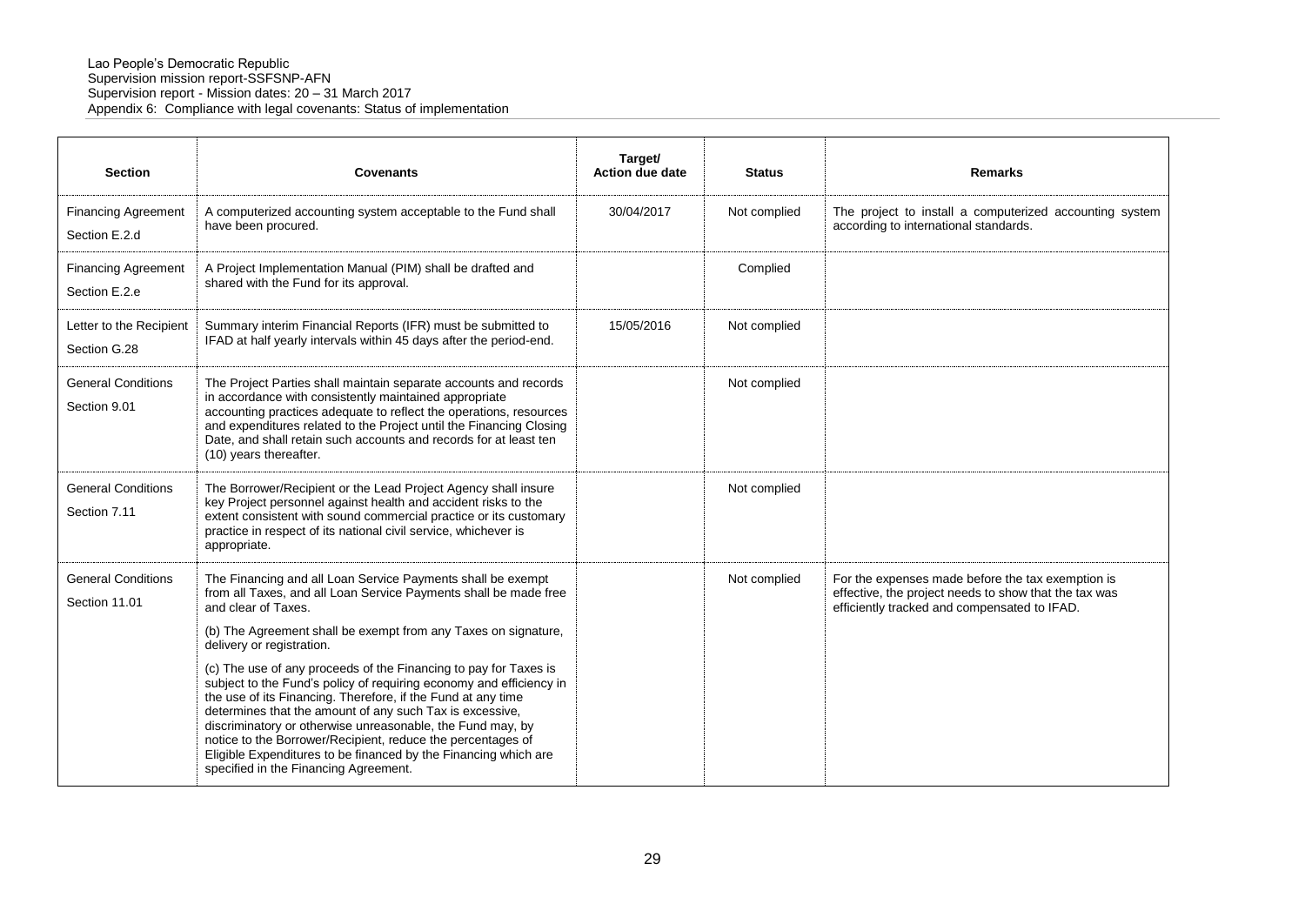| <b>Section</b>                              | <b>Covenants</b>                                                                                                                                                                                                                                                                                                                                                                                                                                                                                                                                                                                                                                                                                                                                                      | Target/<br><b>Action due date</b> | <b>Status</b> | <b>Remarks</b>                                                                                                                                             |
|---------------------------------------------|-----------------------------------------------------------------------------------------------------------------------------------------------------------------------------------------------------------------------------------------------------------------------------------------------------------------------------------------------------------------------------------------------------------------------------------------------------------------------------------------------------------------------------------------------------------------------------------------------------------------------------------------------------------------------------------------------------------------------------------------------------------------------|-----------------------------------|---------------|------------------------------------------------------------------------------------------------------------------------------------------------------------|
| <b>Financing Agreement</b><br>Section E.2.d | A computerized accounting system acceptable to the Fund shall<br>have been procured.                                                                                                                                                                                                                                                                                                                                                                                                                                                                                                                                                                                                                                                                                  | 30/04/2017                        | Not complied  | The project to install a computerized accounting system<br>according to international standards.                                                           |
| <b>Financing Agreement</b><br>Section E.2.e | A Project Implementation Manual (PIM) shall be drafted and<br>shared with the Fund for its approval.                                                                                                                                                                                                                                                                                                                                                                                                                                                                                                                                                                                                                                                                  |                                   | Complied      |                                                                                                                                                            |
| Letter to the Recipient<br>Section G.28     | Summary interim Financial Reports (IFR) must be submitted to<br>IFAD at half yearly intervals within 45 days after the period-end.                                                                                                                                                                                                                                                                                                                                                                                                                                                                                                                                                                                                                                    | 15/05/2016                        | Not complied  |                                                                                                                                                            |
| <b>General Conditions</b><br>Section 9.01   | The Project Parties shall maintain separate accounts and records<br>in accordance with consistently maintained appropriate<br>accounting practices adequate to reflect the operations, resources<br>and expenditures related to the Project until the Financing Closing<br>Date, and shall retain such accounts and records for at least ten<br>(10) years thereafter.                                                                                                                                                                                                                                                                                                                                                                                                |                                   | Not complied  |                                                                                                                                                            |
| <b>General Conditions</b><br>Section 7.11   | The Borrower/Recipient or the Lead Project Agency shall insure<br>key Project personnel against health and accident risks to the<br>extent consistent with sound commercial practice or its customary<br>practice in respect of its national civil service, whichever is<br>appropriate.                                                                                                                                                                                                                                                                                                                                                                                                                                                                              |                                   | Not complied  |                                                                                                                                                            |
| <b>General Conditions</b><br>Section 11.01  | The Financing and all Loan Service Payments shall be exempt<br>from all Taxes, and all Loan Service Payments shall be made free<br>and clear of Taxes.<br>(b) The Agreement shall be exempt from any Taxes on signature,<br>delivery or registration.<br>(c) The use of any proceeds of the Financing to pay for Taxes is<br>subject to the Fund's policy of requiring economy and efficiency in<br>the use of its Financing. Therefore, if the Fund at any time<br>determines that the amount of any such Tax is excessive,<br>discriminatory or otherwise unreasonable, the Fund may, by<br>notice to the Borrower/Recipient, reduce the percentages of<br>Eligible Expenditures to be financed by the Financing which are<br>specified in the Financing Agreement. |                                   | Not complied  | For the expenses made before the tax exemption is<br>effective, the project needs to show that the tax was<br>efficiently tracked and compensated to IFAD. |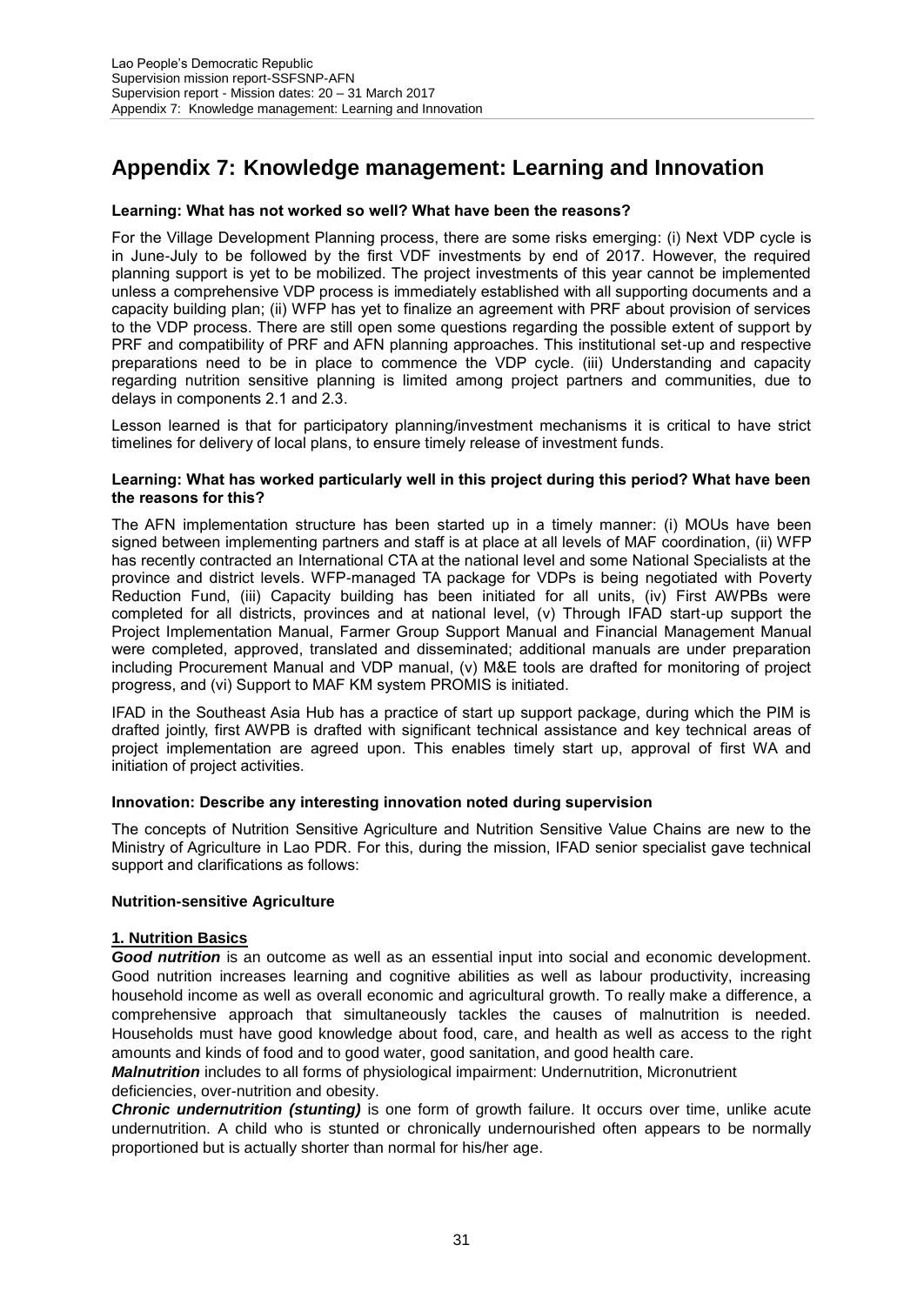# **Appendix 7: Knowledge management: Learning and Innovation**

### **Learning: What has not worked so well? What have been the reasons?**

For the Village Development Planning process, there are some risks emerging: (i) Next VDP cycle is in June-July to be followed by the first VDF investments by end of 2017. However, the required planning support is yet to be mobilized. The project investments of this year cannot be implemented unless a comprehensive VDP process is immediately established with all supporting documents and a capacity building plan; (ii) WFP has yet to finalize an agreement with PRF about provision of services to the VDP process. There are still open some questions regarding the possible extent of support by PRF and compatibility of PRF and AFN planning approaches. This institutional set-up and respective preparations need to be in place to commence the VDP cycle. (iii) Understanding and capacity regarding nutrition sensitive planning is limited among project partners and communities, due to delays in components 2.1 and 2.3.

Lesson learned is that for participatory planning/investment mechanisms it is critical to have strict timelines for delivery of local plans, to ensure timely release of investment funds.

#### **Learning: What has worked particularly well in this project during this period? What have been the reasons for this?**

The AFN implementation structure has been started up in a timely manner: (i) MOUs have been signed between implementing partners and staff is at place at all levels of MAF coordination, (ii) WFP has recently contracted an International CTA at the national level and some National Specialists at the province and district levels. WFP-managed TA package for VDPs is being negotiated with Poverty Reduction Fund, (iii) Capacity building has been initiated for all units, (iv) First AWPBs were completed for all districts, provinces and at national level, (v) Through IFAD start-up support the Project Implementation Manual, Farmer Group Support Manual and Financial Management Manual were completed, approved, translated and disseminated; additional manuals are under preparation including Procurement Manual and VDP manual, (v) M&E tools are drafted for monitoring of project progress, and (vi) Support to MAF KM system PROMIS is initiated.

IFAD in the Southeast Asia Hub has a practice of start up support package, during which the PIM is drafted jointly, first AWPB is drafted with significant technical assistance and key technical areas of project implementation are agreed upon. This enables timely start up, approval of first WA and initiation of project activities.

# **Innovation: Describe any interesting innovation noted during supervision**

The concepts of Nutrition Sensitive Agriculture and Nutrition Sensitive Value Chains are new to the Ministry of Agriculture in Lao PDR. For this, during the mission, IFAD senior specialist gave technical support and clarifications as follows:

# **Nutrition-sensitive Agriculture**

#### **1. Nutrition Basics**

*Good nutrition* is an outcome as well as an essential input into social and economic development. Good nutrition increases learning and cognitive abilities as well as labour productivity, increasing household income as well as overall economic and agricultural growth. To really make a difference, a comprehensive approach that simultaneously tackles the causes of malnutrition is needed. Households must have good knowledge about food, care, and health as well as access to the right amounts and kinds of food and to good water, good sanitation, and good health care.

### *Malnutrition* includes to all forms of physiological impairment: Undernutrition, Micronutrient deficiencies, over-nutrition and obesity.

*Chronic undernutrition (stunting)* is one form of growth failure. It occurs over time, unlike acute undernutrition. A child who is stunted or chronically undernourished often appears to be normally proportioned but is actually shorter than normal for his/her age.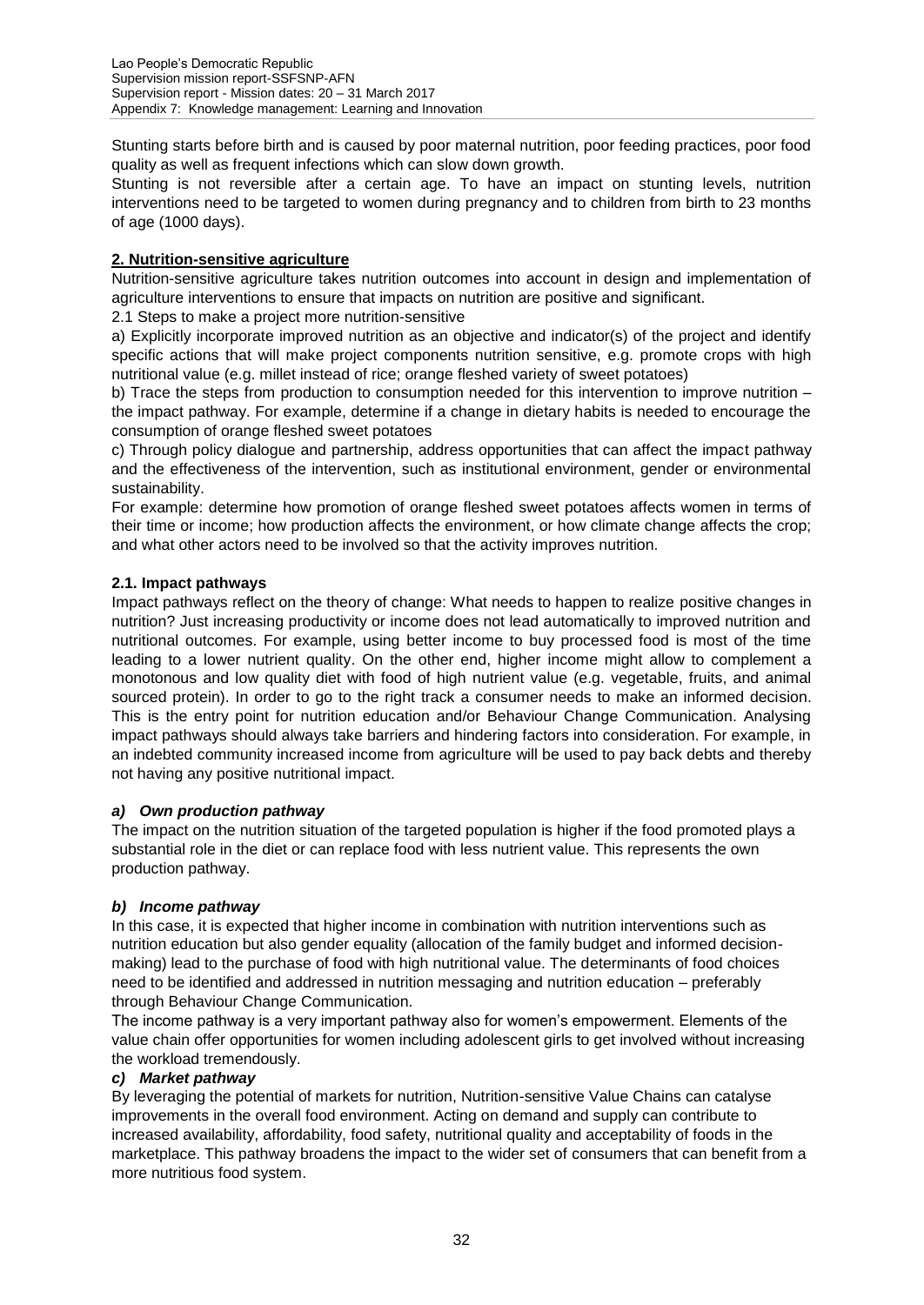Stunting starts before birth and is caused by poor maternal nutrition, poor feeding practices, poor food quality as well as frequent infections which can slow down growth.

Stunting is not reversible after a certain age. To have an impact on stunting levels, nutrition interventions need to be targeted to women during pregnancy and to children from birth to 23 months of age (1000 days).

### **2. Nutrition-sensitive agriculture**

Nutrition-sensitive agriculture takes nutrition outcomes into account in design and implementation of agriculture interventions to ensure that impacts on nutrition are positive and significant.

2.1 Steps to make a project more nutrition-sensitive

a) Explicitly incorporate improved nutrition as an objective and indicator(s) of the project and identify specific actions that will make project components nutrition sensitive, e.g. promote crops with high nutritional value (e.g. millet instead of rice; orange fleshed variety of sweet potatoes)

b) Trace the steps from production to consumption needed for this intervention to improve nutrition – the impact pathway. For example, determine if a change in dietary habits is needed to encourage the consumption of orange fleshed sweet potatoes

c) Through policy dialogue and partnership, address opportunities that can affect the impact pathway and the effectiveness of the intervention, such as institutional environment, gender or environmental sustainability.

For example: determine how promotion of orange fleshed sweet potatoes affects women in terms of their time or income; how production affects the environment, or how climate change affects the crop; and what other actors need to be involved so that the activity improves nutrition.

### **2.1. Impact pathways**

Impact pathways reflect on the theory of change: What needs to happen to realize positive changes in nutrition? Just increasing productivity or income does not lead automatically to improved nutrition and nutritional outcomes. For example, using better income to buy processed food is most of the time leading to a lower nutrient quality. On the other end, higher income might allow to complement a monotonous and low quality diet with food of high nutrient value (e.g. vegetable, fruits, and animal sourced protein). In order to go to the right track a consumer needs to make an informed decision. This is the entry point for nutrition education and/or Behaviour Change Communication. Analysing impact pathways should always take barriers and hindering factors into consideration. For example, in an indebted community increased income from agriculture will be used to pay back debts and thereby not having any positive nutritional impact.

#### *a) Own production pathway*

The impact on the nutrition situation of the targeted population is higher if the food promoted plays a substantial role in the diet or can replace food with less nutrient value. This represents the own production pathway.

#### *b) Income pathway*

In this case, it is expected that higher income in combination with nutrition interventions such as nutrition education but also gender equality (allocation of the family budget and informed decisionmaking) lead to the purchase of food with high nutritional value. The determinants of food choices need to be identified and addressed in nutrition messaging and nutrition education – preferably through Behaviour Change Communication.

The income pathway is a very important pathway also for women's empowerment. Elements of the value chain offer opportunities for women including adolescent girls to get involved without increasing the workload tremendously.

#### *c) Market pathway*

By leveraging the potential of markets for nutrition, Nutrition-sensitive Value Chains can catalyse improvements in the overall food environment. Acting on demand and supply can contribute to increased availability, affordability, food safety, nutritional quality and acceptability of foods in the marketplace. This pathway broadens the impact to the wider set of consumers that can benefit from a more nutritious food system.